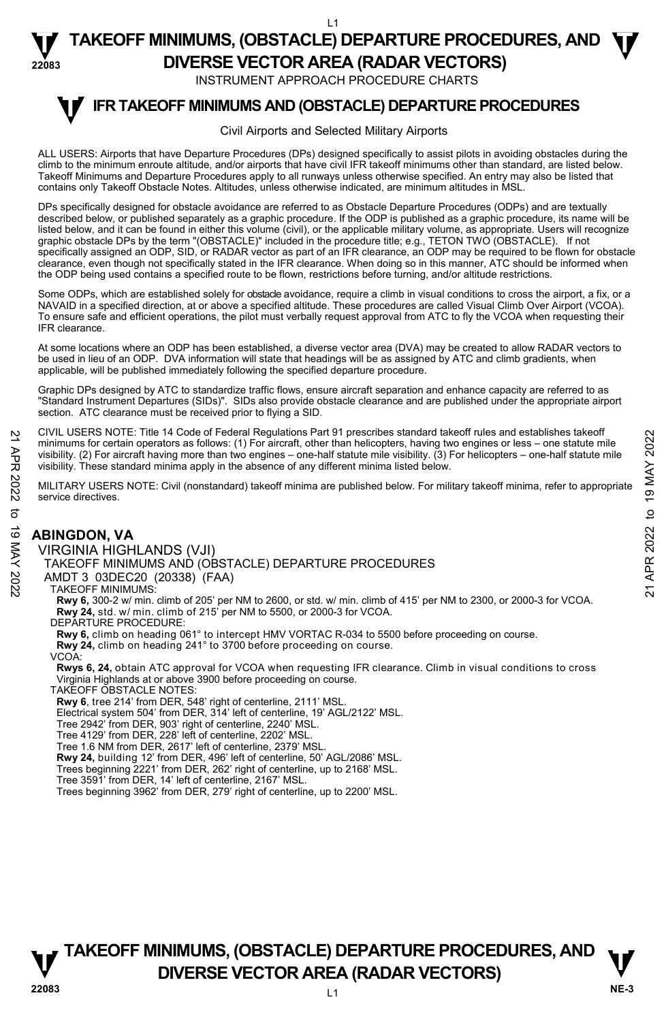#### L1

**TAKEOFF MINIMUMS, (OBSTACLE) DEPARTURE PROCEDURES, AND**  $\Psi$ 

**22083** 

**DIVERSE VECTOR AREA (RADAR VECTORS)**  INSTRUMENT APPROACH PROCEDURE CHARTS

#### **IFR TAKEOFF MINIMUMS AND (OBSTACLE) DEPARTURE PROCEDURES T**

#### Civil Airports and Selected Military Airports

ALL USERS: Airports that have Departure Procedures (DPs) designed specifically to assist pilots in avoiding obstacles during the climb to the minimum enroute altitude, and/or airports that have civil IFR takeoff minimums other than standard, are listed below. Takeoff Minimums and Departure Procedures apply to all runways unless otherwise specified. An entry may also be listed that contains only Takeoff Obstacle Notes. Altitudes, unless otherwise indicated, are minimum altitudes in MSL.

DPs specifically designed for obstacle avoidance are referred to as Obstacle Departure Procedures (ODPs) and are textually described below, or published separately as a graphic procedure. If the ODP is published as a graphic procedure, its name will be listed below, and it can be found in either this volume (civil), or the applicable military volume, as appropriate. Users will recognize graphic obstacle DPs by the term "(OBSTACLE)" included in the procedure title; e.g., TETON TWO (OBSTACLE). If not specifically assigned an ODP, SID, or RADAR vector as part of an IFR clearance, an ODP may be required to be flown for obstacle clearance, even though not specifically stated in the IFR clearance. When doing so in this manner, ATC should be informed when the ODP being used contains a specified route to be flown, restrictions before turning, and/or altitude restrictions.

Some ODPs, which are established solely for obstacle avoidance, require a climb in visual conditions to cross the airport, a fix, or a NAVAID in a specified direction, at or above a specified altitude. These procedures are called Visual Climb Over Airport (VCOA). To ensure safe and efficient operations, the pilot must verbally request approval from ATC to fly the VCOA when requesting their IFR clearance.

At some locations where an ODP has been established, a diverse vector area (DVA) may be created to allow RADAR vectors to<br>be used in lieu of an ODP. DVA information will state that headings will be as assigned by ATC and applicable, will be published immediately following the specified departure procedure.

Graphic DPs designed by ATC to standardize traffic flows, ensure aircraft separation and enhance capacity are referred to as "Standard Instrument Departures (SIDs)". SIDs also provide obstacle clearance and are published under the appropriate airport section. ATC clearance must be received prior to flying a SID.

CIVIL USERS NOTE: Title 14 Code of Federal Regulations Part 91 prescribes standard takeoff rules and establishes takeoff minimums for certain operators as follows: (1) For aircraft, other than helicopters, having two engines or less – one statute mile visibility. (2) For aircraft having more than two engines – one-half statute mile visibility. (3) For helicopters – one-half statute mile visibility. These standard minima apply in the absence of any different minima listed below. 22 UNIC USENS NOTE: The 14 Code of Federal regulators Part 91 prescinces standard takeoff minima is for certain operators as follows: (1) For aircraft, due than helicopters, having two engines or less – one-half statute

MILITARY USERS NOTE: Civil (nonstandard) takeoff minima are published below. For military takeoff minima, refer to appropriate service directives.

#### **ABINGDON, VA**

VIRGINIA HIGHLANDS (VJI)

TAKEOFF MINIMUMS AND (OBSTACLE) DEPARTURE PROCEDURES

AMDT 3 03DEC20 (20338) (FAA)

#### TAKEOFF MINIMUMS:

**Rwy 6,** 300-2 w/ min. climb of 205' per NM to 2600, or std. w/ min. climb of 415' per NM to 2300, or 2000-3 for VCOA. **Rwy 24,** std. w/ min. climb of 215' per NM to 5500, or 2000-3 for VCOA.

DEPARTURE PROCEDURE:

**Rwy 6,** climb on heading 061° to intercept HMV VORTAC R-034 to 5500 before proceeding on course.

**Rwy 24,** climb on heading 241° to 3700 before proceeding on course. VCOA:

 **Rwys 6, 24,** obtain ATC approval for VCOA when requesting IFR clearance. Climb in visual conditions to cross Virginia Highlands at or above 3900 before proceeding on course.

TAKEOFF OBSTACLE NOTES:

**Rwy 6**, tree 214' from DER, 548' right of centerline, 2111' MSL.

Electrical system 504' from DER, 314' left of centerline, 19' AGL/2122' MSL.

Tree 2942' from DER, 903' right of centerline, 2240' MSL.

Tree 4129' from DER, 228' left of centerline, 2202' MSL.

Tree 1.6 NM from DER, 2617' left of centerline, 2379' MSL.

**Rwy 24,** building 12' from DER, 496' left of centerline, 50' AGL/2086' MSL. Trees beginning 2221' from DER, 262' right of centerline, up to 2168' MSL.

Tree 3591' from DER, 14' left of centerline, 2167' MSL.

Trees beginning 3962' from DER, 279' right of centerline, up to 2200' MSL.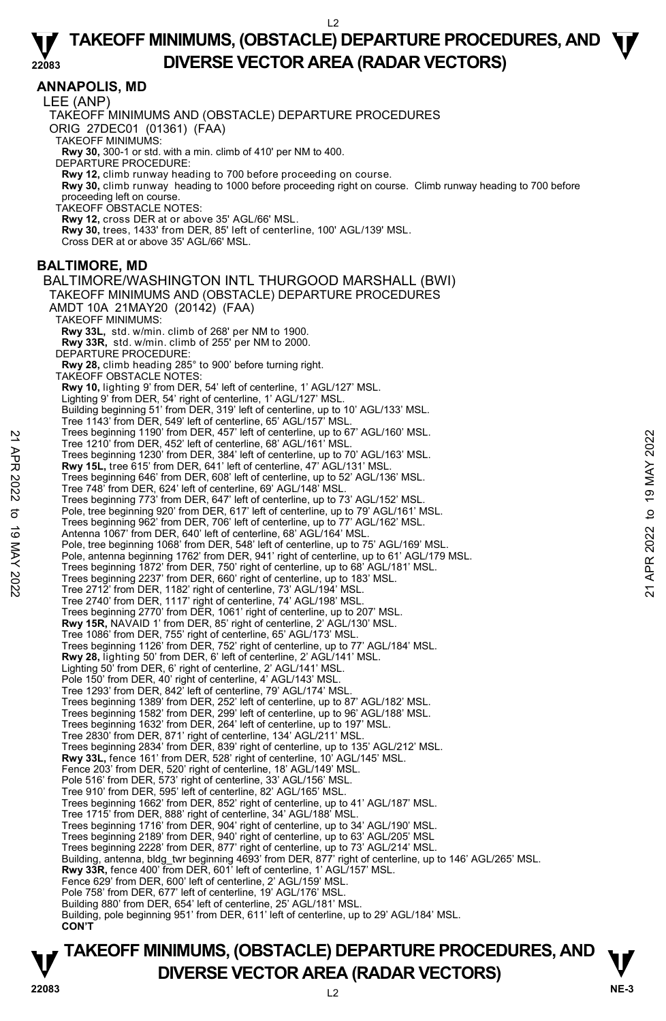**ANNAPOLIS, MD** 

LEE (ANP)

TAKEOFF MINIMUMS AND (OBSTACLE) DEPARTURE PROCEDURES

ORIG 27DEC01 (01361) (FAA)

TAKEOFF MINIMUMS:

**Rwy 30,** 300-1 or std. with a min. climb of 410' per NM to 400. DEPARTURE PROCEDURE:

**Rwy 12,** climb runway heading to 700 before proceeding on course.

**Rwy 30,** climb runway heading to 1000 before proceeding right on course. Climb runway heading to 700 before

proceeding left on course. TAKEOFF OBSTACLE NOTES:

**Rwy 12,** cross DER at or above 35' AGL/66' MSL.

**Rwy 30,** trees, 1433' from DER, 85' left of centerline, 100' AGL/139' MSL.

Cross DER at or above 35' AGL/66' MSL.

#### **BALTIMORE, MD**

BALTIMORE/WASHINGTON INTL THURGOOD MARSHALL (BWI) TAKEOFF MINIMUMS AND (OBSTACLE) DEPARTURE PROCEDURES AMDT 10A 21MAY20 (20142) (FAA) TAKEOFF MINIMUMS: **Rwy 33L,** std. w/min. climb of 268' per NM to 1900. **Rwy 33R,** std. w/min. climb of 255' per NM to 2000. DEPARTURE PROCEDURE: **Rwy 28,** climb heading 285° to 900' before turning right. TAKEOFF OBSTACLE NOTES: **Rwy 10,** lighting 9' from DER, 54' left of centerline, 1' AGL/127' MSL.<br>Lighting 9' from DER, 54' right of centerline, 1' AGL/127' MSL. Building beginning 51' from DER, 319' left of centerline, up to 10' AGL/133' MSL. Tree 1143' from DER, 549' left of centerline, 65' AGL/157' MSL Trees beginning 1190' from DER, 457' left of centerline, up to 67' AGL/160' MSL. Tree 1210' from DER, 452' left of centerline, 68' AGL/161' MSL. Trees beginning 1230' from DER, 384' left of centerline, up to 70' AGL/163' MSL. **Rwy 15L,** tree 615' from DER, 641' left of centerline, 47' AGL/131' MSL. Trees beginning 646' from DER, 608' left of centerline, up to 52' AGL/136' MSL. Tree 748' from DER, 624' left of centerline, 69' AGL/148' MSL. Trees beginning 773' from DER, 647' left of centerline, up to 73' AGL/152' MSL. Pole, tree beginning 920' from DER, 617' left of centerline, up to 79' AGL/161' MSL. Trees beginning 962' from DER, 706' left of centerline, up to 77' AGL/162' MSL. Antenna 1067' from DER, 640' left of centerline, 68' AGL/164' MSL. Pole, tree beginning 1068' from DER, 548' left of centerline, up to 75' AGL/169' MSL. Pole, antenna beginning 1762' from DER, 941' right of centerline, up to 61' AGL/179 MSL. Trees beginning 1872' from DER, 750' right of centerline, up to 68' AGL/181' MSL. Trees beginning 2237' from DER, 660' right of centerline, up to 183' MSL. Tree 2712' from DER, 1182' right of centerline, 73' AGL/194' MSL. Tree 2740' from DER, 1117' right of centerline, 74' AGL/198' MSL. Trees beginning 2770' from DER, 1061' right of centerline, up to 207' MSL. **Rwy 15R,** NAVAID 1' from DER, 85' right of centerline, 2' AGL/130' MSL. Tree 1086' from DER, 755' right of centerline, 65' AGL/173' MSL. Trees beginning 1126' from DER, 752' right of centerline, up to 77' AGL/184' MSL. **Rwy 28,** lighting 50' from DER, 6' left of centerline, 2' AGL/141' MSL. Lighting 50' from DER, 6' right of centerline, 2' AGL/141' MSL. Pole 150' from DER, 40' right of centerline, 4' AGL/143' MSL. Tree 1293' from DER, 842' left of centerline, 79' AGL/174' MSL. Trees beginning 1389' from DER, 252' left of centerline, up to 87' AGL/182' MSL. Trees beginning 1582' from DER, 299' left of centerline, up to 96' AGL/188' MSL. Trees beginning 1632' from DER, 264' left of centerline, up to 197' MSL. Tree 2830' from DER, 871' right of centerline, 134' AGL/211' MSL. Trees beginning 2834' from DER, 839' right of centerline, up to 135' AGL/212' MSL. **Rwy 33L,** fence 161' from DER, 528' right of centerline, 10' AGL/145' MSL. Fence 203' from DER, 520' right of centerline, 18' AGL/149' MSL. Pole 516' from DER, 573' right of centerline, 33' AGL/156' MSL. Tree 910' from DER, 595' left of centerline, 82' AGL/165' MSL. Trees beginning 1662' from DER, 852' right of centerline, up to 41' AGL/187' MSL. Tree 1715' from DER, 888' right of centerline, 34' AGL/188' MSL. Trees beginning 1716' from DER, 904' right of centerline, up to 34' AGL/190' MSL. Trees beginning 2189' from DER, 940' right of centerline, up to 63' AGL/205' MSL Trees beginning 2228' from DER, 877' right of centerline, up to 73' AGL/214' MSL. Building, antenna, bldg\_twr beginning 4693' from DER, 877' right of centerline, up to 146' AGL/265' MSL. **Rwy 33R,** fence 400' from DER, 601' left of centerline, 1' AGL/157' MSL. Fence 629' from DER, 600' left of centerline, 2' AGL/159' MSL. Pole 758' from DER, 677' left of centerline, 19' AGL/176' MSL. Building 880' from DER, 654' left of centerline, 25' AGL/181' MSL. Building, pole beginning 951' from DER, 611' left of centerline, up to 29' AGL/184' MSL. **CON'T** Tree Seginning 1190 Tom DER, 457 'lett of centerline, up to 6' AGL/160' MSL.<br>
Tree 1210' from DER, 452' left of centerline, 68' AGL/161' MSL.<br>
Tree seginning 1230' from DER, 384' left of centerline, up to 70' AGL/163' MSL.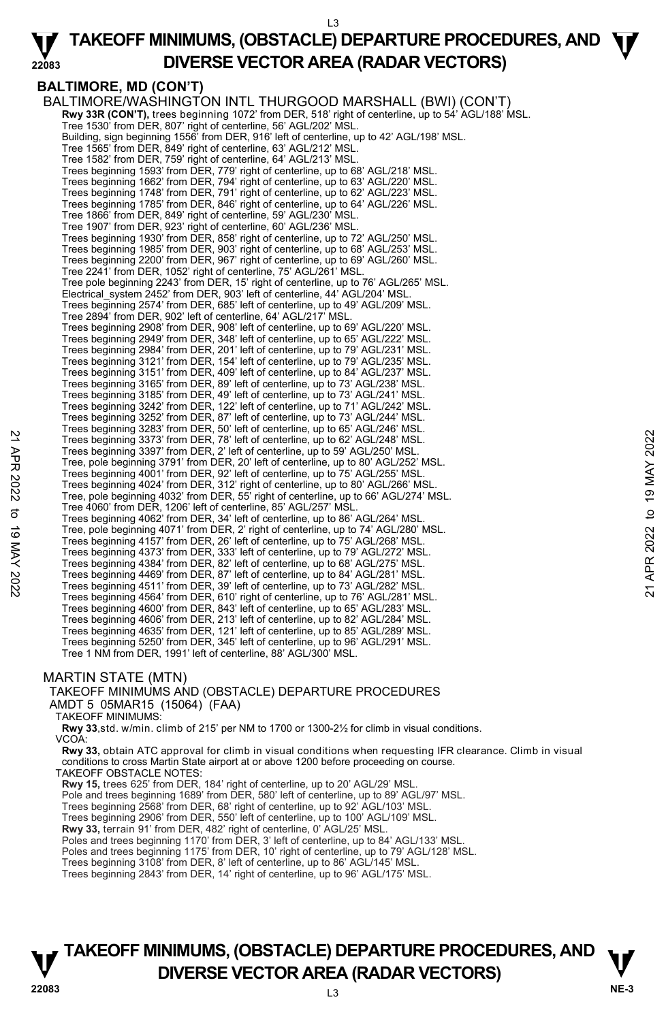#### L3

#### **22083 TAKEOFF MINIMUMS, (OBSTACLE) DEPARTURE PROCEDURES, AND**  $\Psi$ **DIVERSE VECTOR AREA (RADAR VECTORS)**

**BALTIMORE, MD (CON'T)** 

BALTIMORE/WASHINGTON INTL THURGOOD MARSHALL (BWI) (CON'T)  **Rwy 33R (CON'T),** trees beginning 1072' from DER, 518' right of centerline, up to 54' AGL/188' MSL. Tree 1530' from DER, 807' right of centerline, 56' AGL/202' MSL. Building, sign beginning 1556' from DER, 916' left of centerline, up to 42' AGL/198' MSL. Tree 1565' from DER, 849' right of centerline, 63' AGL/212' MSL. Tree 1582' from DER, 759' right of centerline, 64' AGL/213' MSL. Trees beginning 1593' from DER, 779' right of centerline, up to 68' AGL/218' MSL. Trees beginning 1662' from DER, 794' right of centerline, up to 63' AGL/220' MSL. Trees beginning 1748' from DER, 791' right of centerline, up to 62' AGL/223' MSL. Trees beginning 1785' from DER, 846' right of centerline, up to 64' AGL/226' MSL. Tree 1866' from DER, 849' right of centerline, 59' AGL/230' MSL. Tree 1907' from DER, 923' right of centerline, 60' AGL/236' MSL. Trees beginning 1930' from DER, 858' right of centerline, up to 72' AGL/250' MSL. Trees beginning 1985' from DER, 903' right of centerline, up to 68' AGL/253' MSL. Trees beginning 2200' from DER, 967' right of centerline, up to 69' AGL/260' MSL. Tree 2241' from DER, 1052' right of centerline, 75' AGL/261' MSL. Tree pole beginning 2243' from DER, 15' right of centerline, up to 76' AGL/265' MSL. Electrical\_system 2452' from DER, 903' left of centerline, 44' AGL/204' MSL. Trees beginning 2574' from DER, 685' left of centerline, up to 49' AGL/209' MSL. Tree 2894' from DER, 902' left of centerline, 64' AGL/217' MSL. Trees beginning 2908' from DER, 908' left of centerline, up to 69' AGL/220' MSL. Trees beginning 2949' from DER, 348' left of centerline, up to 65' AGL/222' MSL. Trees beginning 2984' from DER, 201' left of centerline, up to 79' AGL/231' MSL. Trees beginning 3121' from DER, 154' left of centerline, up to 79' AGL/235' MSL. Trees beginning 3151' from DER, 409' left of centerline, up to 84' AGL/237' MSL. Trees beginning 3165' from DER, 89' left of centerline, up to 73' AGL/238' MSL. Trees beginning 3185' from DER, 49' left of centerline, up to 73' AGL/241' MSL. Trees beginning 3242' from DER, 122' left of centerline, up to 71' AGL/242' MSL. Trees beginning 3252' from DER, 87' left of centerline, up to 73' AGL/244' MSL. Trees beginning 3283' from DER, 50' left of centerline, up to 65' AGL/246' MSL. Trees beginning 3373' from DER, 78' left of centerline, up to 62' AGL/248' MSL. Trees beginning 3397' from DER, 2' left of centerline, up to 59' AGL/250' MSL. Tree, pole beginning 3791' from DER, 20' left of centerline, up to 80' AGL/252' MSL. Trees beginning 4001' from DER, 92' left of centerline, up to 75' AGL/255' MSL. Trees beginning 4024' from DER, 312' right of centerline, up to 80' AGL/266' MSL. Tree, pole beginning 4032' from DER, 55' right of centerline, up to 66' AGL/274' MSL. Tree 4060' from DER, 1206' left of centerline, 85' AGL/257' MSL. Trees beginning 4062' from DER, 34' left of centerline, up to 86' AGL/264' MSL. Tree, pole beginning 4071' from DER, 2' right of centerline, up to 74' AGL/280' MSL. Trees beginning 4157' from DER, 26' left of centerline, up to 75' AGL/268' MSL. Trees beginning 4373' from DER, 333' left of centerline, up to 79' AGL/272' MSL. Trees beginning 4384' from DER, 82' left of centerline, up to 68' AGL/275' MSL. Trees beginning 4469' from DER, 87' left of centerline, up to 84' AGL/281' MSL. Trees beginning 4511' from DER, 39' left of centerline, up to 73' AGL/282' MSL. Trees beginning 4564' from DER, 610' right of centerline, up to 76' AGL/281' MSL. Trees beginning 4600' from DER, 843' left of centerline, up to 65' AGL/283' MSL. Trees beginning 4606' from DER, 213' left of centerline, up to 82' AGL/284' MSL. Trees beginning 4635' from DER, 121' left of centerline, up to 85' AGL/289' MSL. Trees beginning 5250' from DER, 345' left of centerline, up to 96' AGL/291' MSL. Tree 1 NM from DER, 1991' left of centerline, 88' AGL/300' MSL. Trees beginning 3737 from DER, 78' left of centerline, up to 62' AGL/248' MSL.<br>
Trees beginning 3397' from DER, 2' left of centerline, up to 62' AGL/248' MSL.<br>
Trees beginning 3397' from DER, 20' left of centerline, up to

#### MARTIN STATE (MTN)

TAKEOFF MINIMUMS AND (OBSTACLE) DEPARTURE PROCEDURES AMDT 5 05MAR15 (15064) (FAA) TAKEOFF MINIMUMS:

**Rwy 33**,std. w/min. climb of 215' per NM to 1700 or 1300-2½ for climb in visual conditions.

VCOA:

**Rwy 33,** obtain ATC approval for climb in visual conditions when requesting IFR clearance. Climb in visual conditions to cross Martin State airport at or above 1200 before proceeding on course.

TAKEOFF OBSTACLE NOTES:

**Rwy 15,** trees 625' from DER, 184' right of centerline, up to 20' AGL/29' MSL.

Pole and trees beginning 1689' from DER, 580' left of centerline, up to 89' AGL/97' MSL.

Trees beginning 2568' from DER, 68' right of centerline, up to 92' AGL/103' MSL. Trees beginning 2906' from DER, 550' left of centerline, up to 100' AGL/109' MSL.

**Rwy 33,** terrain 91' from DER, 482' right of centerline, 0' AGL/25' MSL.

Poles and trees beginning 1170' from DER, 3' left of centerline, up to 84' AGL/133' MSL. Poles and trees beginning 1175' from DER, 10' right of centerline, up to 79' AGL/128' MSL.

Trees beginning 3108' from DER, 8' left of centerline, up to 86' AGL/145' MSL.

Trees beginning 2843' from DER, 14' right of centerline, up to 96' AGL/175' MSL.

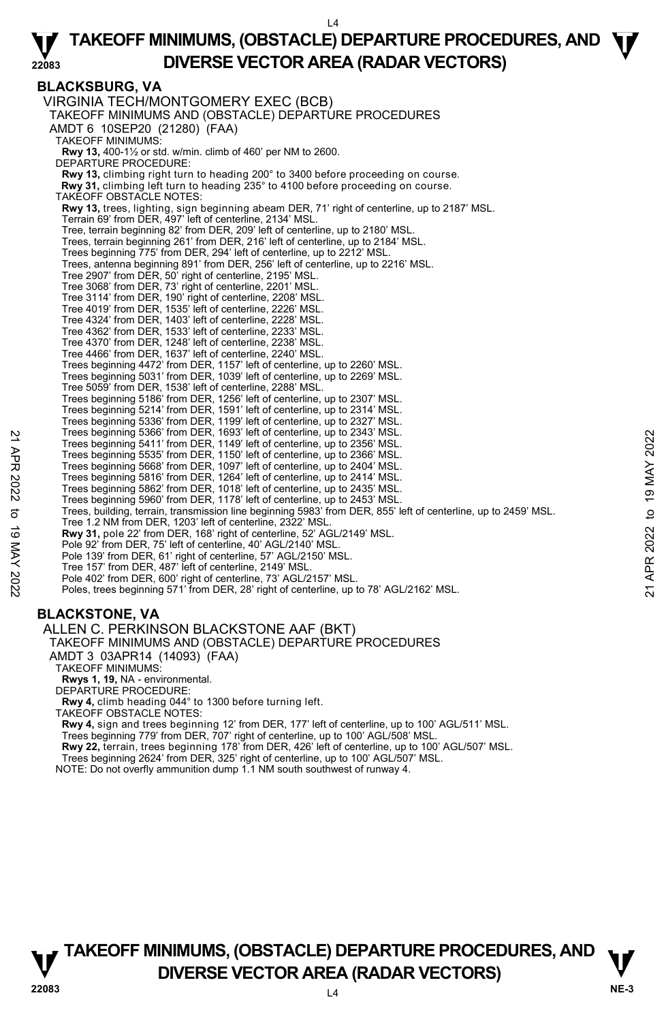# **BLACKSBURG, VA**

VIRGINIA TECH/MONTGOMERY EXEC (BCB) TAKEOFF MINIMUMS AND (OBSTACLE) DEPARTURE PROCEDURES AMDT 6 10SEP20 (21280) (FAA) TAKEOFF MINIMUMS: **Rwy 13,** 400-1½ or std. w/min. climb of 460' per NM to 2600. DEPARTURE PROCEDURE: **Rwy 13,** climbing right turn to heading 200° to 3400 before proceeding on course. **Rwy 31,** climbing left turn to heading 235° to 4100 before proceeding on course. TAKEOFF OBSTACLE NOTES: **Rwy 13,** trees, lighting, sign beginning abeam DER, 71' right of centerline, up to 2187' MSL. Terrain 69' from DER, 497' left of centerline, 2134' MSL. Tree, terrain beginning 82' from DER, 209' left of centerline, up to 2180' MSL. Trees, terrain beginning 261' from DER, 216' left of centerline, up to 2184' MSL. Trees beginning 775' from DER, 294' left of centerline, up to 2212' MSL. Trees, antenna beginning 891' from DER, 256' left of centerline, up to 2216' MSL. Tree 2907' from DER, 50' right of centerline, 2195' MSL. Tree 3068' from DER, 73' right of centerline, 2201' MSL. Tree 3114' from DER, 190' right of centerline, 2208' MSL. Tree 4019' from DER, 1535' left of centerline, 2226' MSL. Tree 4324' from DER, 1403' left of centerline, 2228' MSL. Tree 4362' from DER, 1533' left of centerline, 2233' MSL. Tree 4370' from DER, 1248' left of centerline, 2238' MSL. Tree 4466' from DER, 1637' left of centerline, 2240' MSL. Trees beginning 4472' from DER, 1157' left of centerline, up to 2260' MSL. Trees beginning 5031' from DER, 1039' left of centerline, up to 2269' MSL. Tree 5059' from DER, 1538' left of centerline, 2288' MSL. Trees beginning 5186' from DER, 1256' left of centerline, up to 2307' MSL. Trees beginning 5214' from DER, 1591' left of centerline, up to 2314' MSL. Trees beginning 5336' from DER, 1199' left of centerline, up to 2327' MSL. Trees beginning 5366' from DER, 1693' left of centerline, up to 2343' MSL. Trees beginning 5411' from DER, 1149' left of centerline, up to 2356' MSL. Trees beginning 5535' from DER, 1150' left of centerline, up to 2366' MSL. Trees beginning 5668' from DER, 1097' left of centerline, up to 2404' MSL. Trees beginning 5816' from DER, 1264' left of centerline, up to 2414' MSL. Trees beginning 5862' from DER, 1018' left of centerline, up to 2435' MSL. Trees beginning 5960' from DER, 1178' left of centerline, up to 2453' MSL. Trees, building, terrain, transmission line beginning 5983' from DER, 855' left of centerline, up to 2459' MSL. Tree 1.2 NM from DER, 1203' left of centerline, 2322' MSL. **Rwy 31,** pole 22' from DER, 168' right of centerline, 52' AGL/2149' MSL.<br>Pole 92' from DER, 75' left of centerline, 40' AGL/2140' MSL. Pole 139' from DER, 61' right of centerline, 57' AGL/2150' MSL. Tree 157' from DER, 487' left of centerline, 2149' MSL. Pole 402' from DER, 600' right of centerline, 73' AGL/2157' MSL. Poles, trees beginning 571' from DER, 28' right of centerline, up to 78' AGL/2162' MSL. Trees beginning 5406' from DER, 1993' lett of centerline, up to 2345' MSL.<br>
Trees beginning 5610' from DER, 1149' left of centerline, up to 2366' MSL.<br>
Trees beginning 5635' from DER, 1150' left of centerline, up to 2404'

# **BLACKSTONE, VA**

ALLEN C. PERKINSON BLACKSTONE AAF (BKT)

#### TAKEOFF MINIMUMS AND (OBSTACLE) DEPARTURE PROCEDURES

AMDT 3 03APR14 (14093) (FAA)

TAKEOFF MINIMUMS:

**Rwys 1, 19,** NA - environmental.

DEPARTURE PROCEDURE:

**Rwy 4,** climb heading 044° to 1300 before turning left.

TAKEOFF OBSTACLE NOTES:

**Rwy 4,** sign and trees beginning 12' from DER, 177' left of centerline, up to 100' AGL/511' MSL.<br>Trees beginning 779' from DER, 707' right of centerline, up to 100' AGL/508' MSL.

**Rwy 22,** terrain, trees beginning 178' from DER, 426' left of centerline, up to 100' AGL/507' MSL.

Trees beginning 2624' from DER, 325' right of centerline, up to 100' AGL/507' MSL.

NOTE: Do not overfly ammunition dump 1.1 NM south southwest of runway 4.

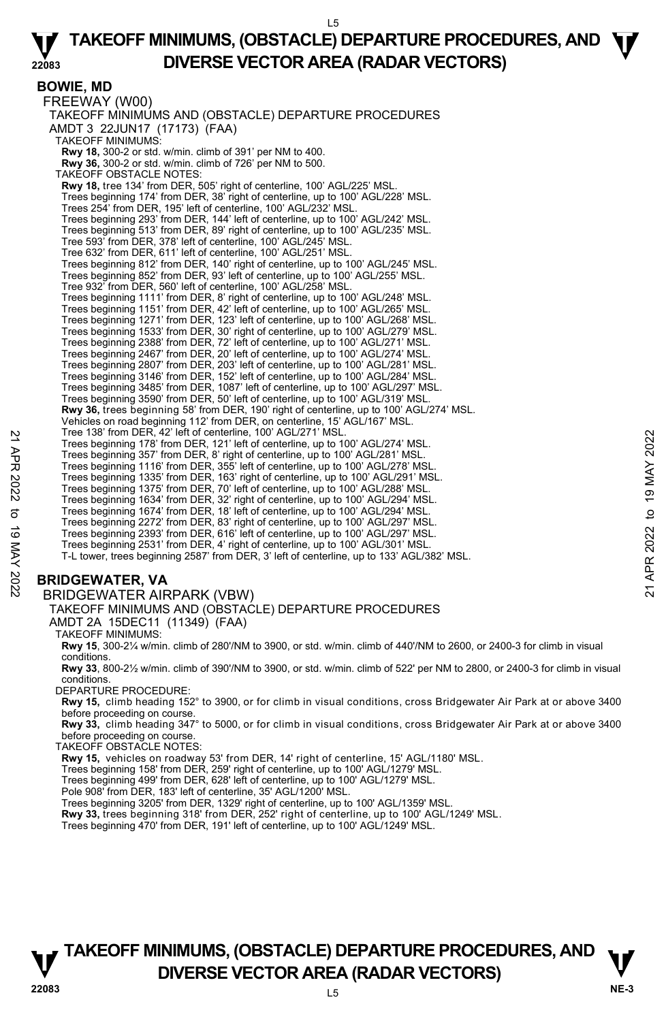#### **BOWIE, MD**

FREEWAY (W00) TAKEOFF MINIMUMS AND (OBSTACLE) DEPARTURE PROCEDURES AMDT 3 22JUN17 (17173) (FAA) TAKEOFF MINIMUMS: **Rwy 18,** 300-2 or std. w/min. climb of 391' per NM to 400. **Rwy 36,** 300-2 or std. w/min. climb of 726' per NM to 500. TAKEOFF OBSTACLE NOTES: **Rwy 18,** tree 134' from DER, 505' right of centerline, 100' AGL/225' MSL. Trees beginning 174' from DER, 38' right of centerline, up to 100' AGL/228' MSL. Trees 254' from DER, 195' left of centerline, 100' AGL/232' MSL. Trees beginning 293' from DER, 144' left of centerline, up to 100' AGL/242' MSL. Trees beginning 513' from DER, 89' right of centerline, up to 100' AGL/235' MSL. Tree 593' from DER, 378' left of centerline, 100' AGL/245' MSL. Tree 632' from DER, 611' left of centerline, 100' AGL/251' MSL. Trees beginning 812' from DER, 140' right of centerline, up to 100' AGL/245' MSL. Trees beginning 852' from DER, 93' left of centerline, up to 100' AGL/255' MSL. Tree 932' from DER, 560' left of centerline, 100' AGL/258' MSL. Trees beginning 1111' from DER, 8' right of centerline, up to 100' AGL/248' MSL. Trees beginning 1151' from DER, 42' left of centerline, up to 100' AGL/265' MSL. Trees beginning 1271' from DER, 123' left of centerline, up to 100' AGL/268' MSL. Trees beginning 1533' from DER, 30' right of centerline, up to 100' AGL/279' MSL. Trees beginning 2388' from DER, 72' left of centerline, up to 100' AGL/271' MSL.<br>Trees beginning 2467' from DER, 20' left of centerline, up to 100' AGL/274' MSL.<br>Trees beginning 2807' from DER, 203' left of centerline, up Trees beginning 3146' from DER, 152' left of centerline, up to 100' AGL/284' MSL. Trees beginning 3485' from DER, 1087' left of centerline, up to 100' AGL/297' MSL. Trees beginning 3590' from DER, 50' left of centerline, up to 100' AGL/319' MSL. **Rwy 36,** trees beginning 58' from DER, 190' right of centerline, up to 100' AGL/274' MSL. Vehicles on road beginning 112' from DER, on centerline, 15' AGL/167' MSL. Tree 138' from DER, 42' left of centerline, 100' AGL/271' MSL. Trees beginning 178' from DER, 121' left of centerline, up to 100' AGL/274' MSL. Trees beginning 357' from DER, 8' right of centerline, up to 100' AGL/281' MSL. Trees beginning 1116' from DER, 355' left of centerline, up to 100' AGL/278' MSL. Trees beginning 1335' from DER, 163' right of centerline, up to 100' AGL/291' MSL. Trees beginning 1375' from DER, 70' left of centerline, up to 100' AGL/288' MSL. Trees beginning 1634' from DER, 32' right of centerline, up to 100' AGL/294' MSL. Trees beginning 1674' from DER, 18' left of centerline, up to 100' AGL/294' MSL. Trees beginning 2272' from DER, 83' right of centerline, up to 100' AGL/297' MSL. Trees beginning 2393' from DER, 616' left of centerline, up to 100' AGL/297' MSL. Trees beginning 2531' from DER, 4' right of centerline, up to 100' AGL/301' MSL. T-L tower, trees beginning 2587' from DER, 3' left of centerline, up to 133' AGL/382' MSL. Tree 138' from DER, 42' lett of centerline, 100 AGL/271' MSL.<br>
Trees beginning 178' from DER, 121' left of centerline, up to 100' AGL/281' MSL.<br>
Trees beginning 178' from DER, 35' left of centerline, up to 100' AGL/281' M

# **BRIDGEWATER, VA**

## BRIDGEWATER AIRPARK (VBW)

#### TAKEOFF MINIMUMS AND (OBSTACLE) DEPARTURE PROCEDURES

AMDT 2A 15DEC11 (11349) (FAA)

TAKEOFF MINIMUMS:

**Rwy 15**, 300-2¼ w/min. climb of 280'/NM to 3900, or std. w/min. climb of 440'/NM to 2600, or 2400-3 for climb in visual conditions.

**Rwy 33**, 800-2½ w/min. climb of 390'/NM to 3900, or std. w/min. climb of 522' per NM to 2800, or 2400-3 for climb in visual conditions.

DEPARTURE PROCEDURE:

**Rwy 15,** climb heading 152° to 3900, or for climb in visual conditions, cross Bridgewater Air Park at or above 3400 before proceeding on course.

**Rwy 33,** climb heading 347° to 5000, or for climb in visual conditions, cross Bridgewater Air Park at or above 3400 before proceeding on course.

TAKEOFF OBSTACLE NOTES:

**Rwy 15,** vehicles on roadway 53' from DER, 14' right of centerline, 15' AGL/1180' MSL.

Trees beginning 158' from DER, 259' right of centerline, up to 100' AGL/1279' MSL. Trees beginning 499' from DER, 628' left of centerline, up to 100' AGL/1279' MSL.

Pole 908' from DER, 183' left of centerline, 35' AGL/1200' MSL.

Trees beginning 3205' from DER, 1329' right of centerline, up to 100' AGL/1359' MSL.<br>**Rwy 33,** trees beginning 318' from DER, 252' right of centerline, up to 100' AGL/1249' MSL.

Trees beginning 470' from DER, 191' left of centerline, up to 100' AGL/1249' MSL.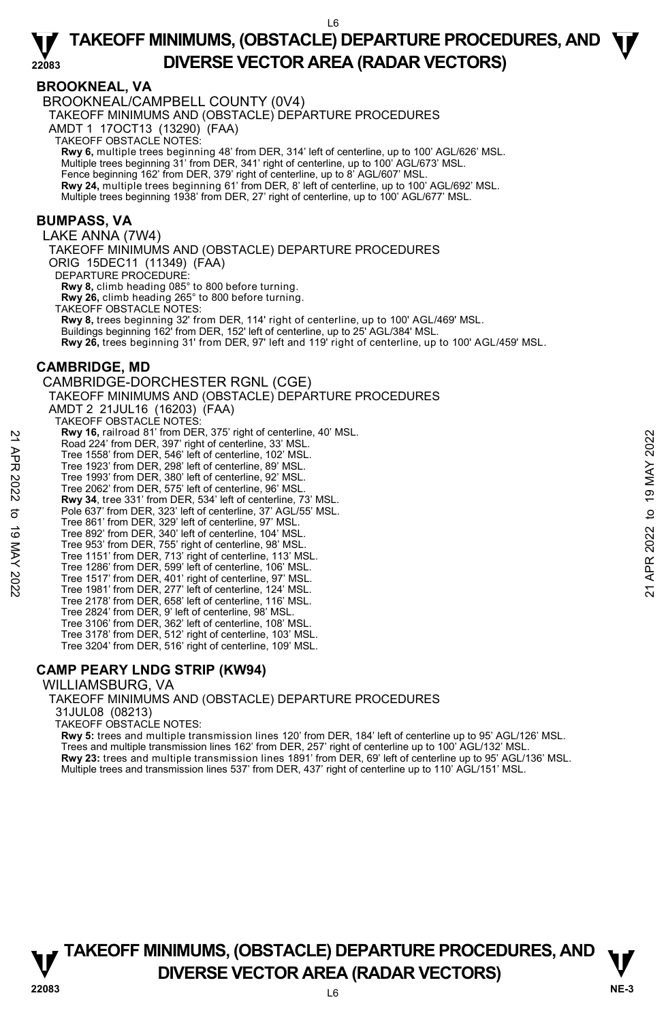#### **BROOKNEAL, VA**

BROOKNEAL/CAMPBELL COUNTY (0V4)

TAKEOFF MINIMUMS AND (OBSTACLE) DEPARTURE PROCEDURES

AMDT 1 17OCT13 (13290) (FAA)

TAKEOFF OBSTACLE NOTES:

**Rwy 6,** multiple trees beginning 48' from DER, 314' left of centerline, up to 100' AGL/626' MSL.<br>Multiple trees beginning 31' from DER, 341' right of centerline, up to 100' AGL/673' MSL.

Fence beginning 162' from DER, 379' right of centerline, up to 8' AGL/607' MSL.

**Rwy 24,** multiple trees beginning 61' from DER, 8' left of centerline, up to 100' AGL/692' MSL. Multiple trees beginning 1938' from DER, 27' right of centerline, up to 100' AGL/677' MSL.

#### **BUMPASS, VA**

LAKE ANNA (7W4)

TAKEOFF MINIMUMS AND (OBSTACLE) DEPARTURE PROCEDURES ORIG 15DEC11 (11349) (FAA) DEPARTURE PROCEDURE:

**Rwy 8,** climb heading 085° to 800 before turning. **Rwy 26,** climb heading 265° to 800 before turning.

TAKEOFF OBSTACLE NOTES:

**Rwy 8,** trees beginning 32' from DER, 114' right of centerline, up to 100' AGL/469' MSL. Buildings beginning 162' from DER, 152' left of centerline, up to 25' AGL/384' MSL.

**Rwy 26,** trees beginning 31' from DER, 97' left and 119' right of centerline, up to 100' AGL/459' MSL.

#### **CAMBRIDGE, MD**

CAMBRIDGE-DORCHESTER RGNL (CGE) TAKEOFF MINIMUMS AND (OBSTACLE) DEPARTURE PROCEDURES AMDT 2 21JUL16 (16203) (FAA) TAKEOFF OBSTACLE NOTES: **Rwy 16,** railroad 81' from DER, 375' right of centerline, 40' MSL. Road 224' from DER, 397' right of centerline, 33' MSL. Tree 1558' from DER, 546' left of centerline, 102' MSL. Tree 1923' from DER, 298' left of centerline, 89' MSL. Tree 1993' from DER, 380' left of centerline, 92' MSL. Tree 2062' from DER, 575' left of centerline, 96' MSL. **Rwy 34**, tree 331' from DER, 534' left of centerline, 73' MSL. Pole 637' from DER, 323' left of centerline, 37' AGL/55' MSL. Tree 861' from DER, 329' left of centerline, 97' MSL. Tree 892' from DER, 340' left of centerline, 104' MSL. Tree 953' from DER, 755' right of centerline, 98' MSL. Tree 1151' from DER, 713' right of centerline, 113' MSL. Tree 1286' from DER, 599' left of centerline, 106' MSL. Tree 1517' from DER, 401' right of centerline, 97' MSL. Tree 1981' from DER, 277' left of centerline, 124' MSL. Tree 2178' from DER, 658' left of centerline, 116' MSL. Tree 2824' from DER, 9' left of centerline, 98' MSL. Tree 3106' from DER, 362' left of centerline, 108' MSL. Tree 3178' from DER, 512' right of centerline, 103' MSL. Tree 3204' from DER, 516' right of centerline, 109' MSL. **EXAMPLE 16:** Faint and 31 Trem DER, 397 right of centerline, 33' MSL.<br>
Tree 1558' from DER, 546' left of centerline, 102' MSL.<br>
Tree 1923' from DER, 298' left of centerline, 92' MSL.<br>
Tree 1993' from DER, 208' left of ce

## **CAMP PEARY LNDG STRIP (KW94)**

WILLIAMSBURG, VA

TAKEOFF MINIMUMS AND (OBSTACLE) DEPARTURE PROCEDURES

31JUL08 (08213)

TAKEOFF OBSTACLE NOTES:

**Rwy 5:** trees and multiple transmission lines 120' from DER, 184' left of centerline up to 95' AGL/126' MSL. Trees and multiple transmission lines 162' from DER, 257' right of centerline up to 100' AGL/132' MSL. **Rwy 23:** trees and multiple transmission lines 1891' from DER, 69' left of centerline up to 95' AGL/136' MSL.

Multiple trees and transmission lines 537' from DER, 437' right of centerline up to 110' AGL/151' MSL.

L6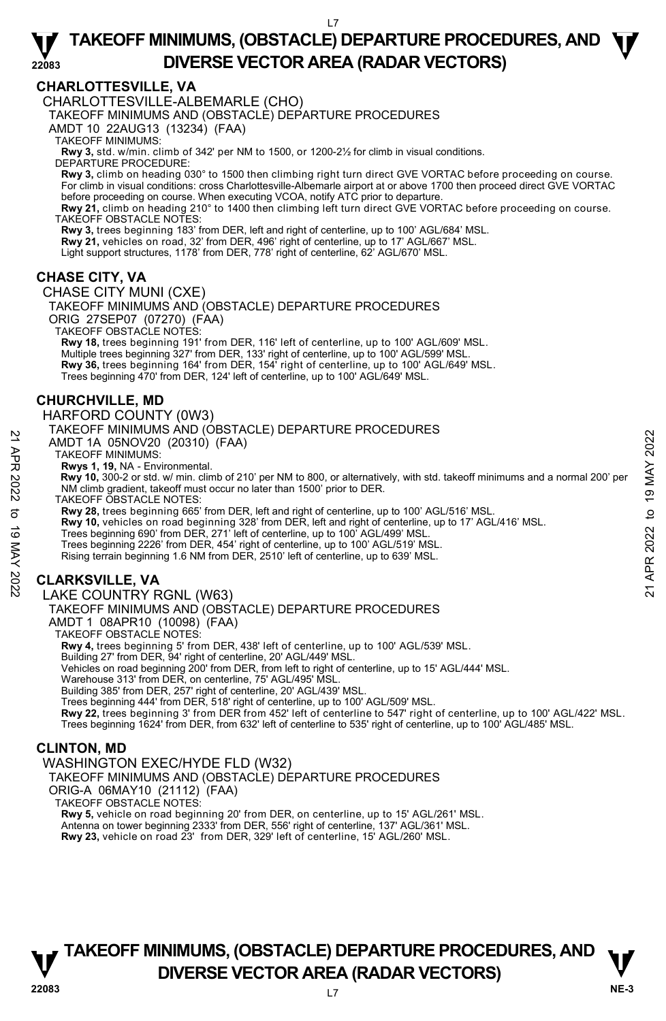## **CHARLOTTESVILLE, VA**

CHARLOTTESVILLE-ALBEMARLE (CHO)

TAKEOFF MINIMUMS AND (OBSTACLE) DEPARTURE PROCEDURES

AMDT 10 22AUG13 (13234) (FAA)

TAKEOFF MINIMUMS:

**Rwy 3,** std. w/min. climb of 342' per NM to 1500, or 1200-2½ for climb in visual conditions. DEPARTURE PROCEDURE:

**Rwy 3,** climb on heading 030° to 1500 then climbing right turn direct GVE VORTAC before proceeding on course. For climb in visual conditions: cross Charlottesville-Albemarle airport at or above 1700 then proceed direct GVE VORTAC before proceeding on course. When executing VCOA, notify ATC prior to departure **Rwy 21,** climb on heading 210° to 1400 then climbing left turn direct GVE VORTAC before proceeding on course.

TAKEOFF OBSTACLE NOTES:

**Rwy 3,** trees beginning 183' from DER, left and right of centerline, up to 100' AGL/684' MSL.

**Rwy 21,** vehicles on road, 32' from DER, 496' right of centerline, up to 17' AGL/667' MSL.

Light support structures, 1178' from DER, 778' right of centerline, 62' AGL/670' MSL.

# **CHASE CITY, VA**

CHASE CITY MUNI (CXE) TAKEOFF MINIMUMS AND (OBSTACLE) DEPARTURE PROCEDURES ORIG 27SEP07 (07270) (FAA) TAKEOFF OBSTACLE NOTES: **Rwy 18,** trees beginning 191' from DER, 116' left of centerline, up to 100' AGL/609' MSL.

Multiple trees beginning 327' from DER, 133' right of centerline, up to 100' AGL/599' MSL. **Rwy 36,** trees beginning 164' from DER, 154' right of centerline, up to 100' AGL/649' MSL. Trees beginning 470' from DER, 124' left of centerline, up to 100' AGL/649' MSL.

# **CHURCHVILLE, MD**

HARFORD COUNTY (0W3)

#### TAKEOFF MINIMUMS AND (OBSTACLE) DEPARTURE PROCEDURES

AMDT 1A 05NOV20 (20310) (FAA)

TAKEOFF MINIMUMS:

**Rwys 1, 19,** NA - Environmental.

 **Rwy 10,** 300-2 or std. w/ min. climb of 210' per NM to 800, or alternatively, with std. takeoff minimums and a normal 200' per NM climb gradient, takeoff must occur no later than 1500' prior to DER. AMDT 1A 05NOV20 (20310) (FAA)<br>
AMDT 1A 05NOV20 (20310) (FAA)<br>
TAKEOFF MINIMUMS:<br>
Rwy 10, 300-2 or std. w/ min. climb of 210' per NM to 800, or alternatively, with std. takeoff minimums and a normal 200' per<br>
NM climb gradi

TAKEOFF OBSTACLE NOTES:

**Rwy 28,** trees beginning 665' from DER, left and right of centerline, up to 100' AGL/516' MSL.

**Rwy 10,** vehicles on road beginning 328' from DER, left and right of centerline, up to 17' AGL/416' MSL.

Trees beginning 690' from DER, 271' left of centerline, up to 100' AGL/499' MSL.

Trees beginning 2226' from DER, 454' right of centerline, up to 100' AGL/519' MSL.

Rising terrain beginning 1.6 NM from DER, 2510' left of centerline, up to 639' MSL.

# **CLARKSVILLE, VA**

#### LAKE COUNTRY RGNL (W63)

TAKEOFF MINIMUMS AND (OBSTACLE) DEPARTURE PROCEDURES

AMDT 1 08APR10 (10098) (FAA)

TAKEOFF OBSTACLE NOTES:

**Rwy 4,** trees beginning 5' from DER, 438' left of centerline, up to 100' AGL/539' MSL. Building 27' from DER, 94' right of centerline, 20' AGL/449' MSL.

Vehicles on road beginning 200' from DER, from left to right of centerline, up to 15' AGL/444' MSL.

Warehouse 313' from DER, on centerline, 75' AGL/495' MSL.

Building 385' from DER, 257' right of centerline, 20' AGL/439' MSL.

Trees beginning 444' from DER, 518' right of centerline, up to 100' AGL/509' MSL.

**Rwy 22,** trees beginning 3' from DER from 452' left of centerline to 547' right of centerline, up to 100' AGL/422' MSL.

Trees beginning 1624' from DER, from 632' left of centerline to 535' right of centerline, up to 100' AGL/485' MSL.

## **CLINTON, MD**

WASHINGTON EXEC/HYDE FLD (W32) TAKEOFF MINIMUMS AND (OBSTACLE) DEPARTURE PROCEDURES ORIG-A 06MAY10 (21112) (FAA) TAKEOFF OBSTACLE NOTES: **Rwy 5,** vehicle on road beginning 20' from DER, on centerline, up to 15' AGL/261' MSL. Antenna on tower beginning 2333' from DER, 556' right of centerline, 137' AGL/361' MSL.

**Rwy 23,** vehicle on road 23' from DER, 329' left of centerline, 15' AGL/260' MSL.

# **T T TAKEOFF MINIMUMS, (OBSTACLE) DEPARTURE PROCEDURES, AND V** DIVERSE VECTOR AREA (RADAR VECTORS) V<br>22083

 $\overline{1}$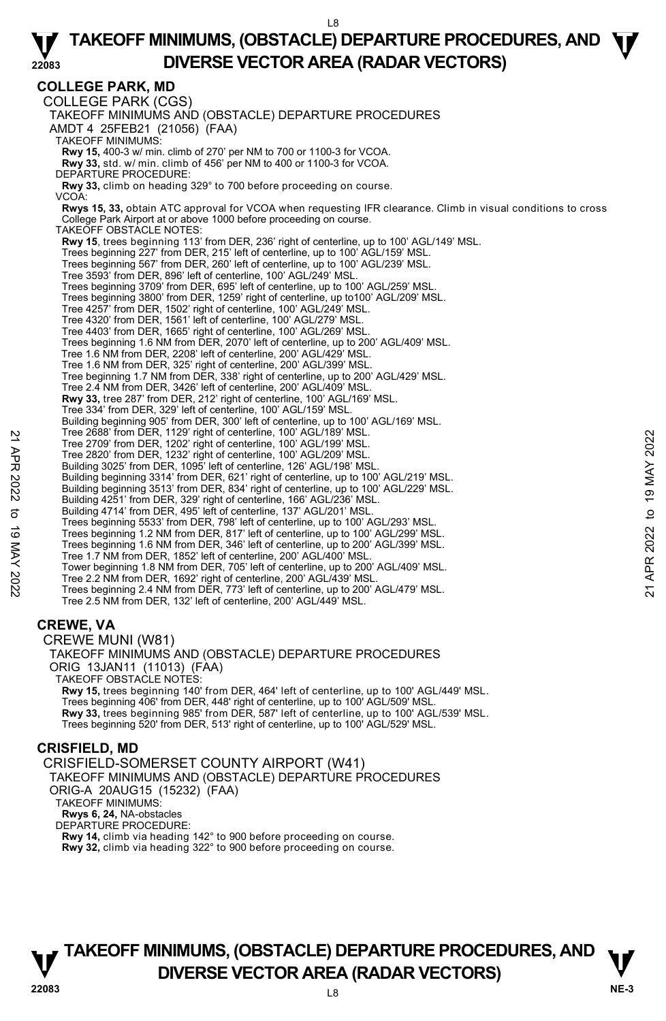**COLLEGE PARK, MD**  COLLEGE PARK (CGS) TAKEOFF MINIMUMS AND (OBSTACLE) DEPARTURE PROCEDURES AMDT 4 25FEB21 (21056) (FAA) TAKEOFF MINIMUMS: **Rwy 15,** 400-3 w/ min. climb of 270' per NM to 700 or 1100-3 for VCOA. **Rwy 33,** std. w/ min. climb of 456' per NM to 400 or 1100-3 for VCOA. DEPARTURE PROCEDURE: **Rwy 33,** climb on heading 329° to 700 before proceeding on course. VCOA: **Rwys 15, 33,** obtain ATC approval for VCOA when requesting IFR clearance. Climb in visual conditions to cross College Park Airport at or above 1000 before proceeding on course. TAKEOFF OBSTACLE NOTES: **Rwy 15**, trees beginning 113' from DER, 236' right of centerline, up to 100' AGL/149' MSL. Trees beginning 227' from DER, 215' left of centerline, up to 100' AGL/159' MSL. Trees beginning 567' from DER, 260' left of centerline, up to 100' AGL/239' MSL. Tree 3593' from DER, 896' left of centerline, 100' AGL/249' MSL. Trees beginning 3709' from DER, 695' left of centerline, up to 100' AGL/259' MSL. Trees beginning 3800' from DER, 1259' right of centerline, up to100' AGL/209' MSL. Tree 4257' from DER, 1502' right of centerline, 100' AGL/249' MSL.<br>Tree 4320' from DER, 1561' left of centerline, 100' AGL/279' MSL.<br>Tree 4403' from DER, 1665' right of centerline, 100' AGL/269' MSL. Trees beginning 1.6 NM from DER, 2070' left of centerline, up to 200' AGL/409' MSL. Tree 1.6 NM from DER, 2208' left of centerline, 200' AGL/429' MSL. Tree 1.6 NM from DER, 325' right of centerline, 200' AGL/399' MSL. Tree beginning 1.7 NM from DER, 338' right of centerline, up to 200' AGL/429' MSL. Tree 2.4 NM from DER, 3426' left of centerline, 200' AGL/409' MSL.  **Rwy 33,** tree 287' from DER, 212' right of centerline, 100' AGL/169' MSL. Tree 334' from DER, 329' left of centerline, 100' AGL/159' MSL. Building beginning 905' from DER, 300' left of centerline, up to 100' AGL/169' MSL. Tree 2688' from DER, 1129' right of centerline, 100' AGL/189' MSL. Tree 2709' from DER, 1202' right of centerline, 100' AGL/199' MSL. Tree 2820' from DER, 1232' right of centerline, 100' AGL/209' MSL. Building 3025' from DER, 1095' left of centerline, 126' AGL/198' MSL. Building beginning 3314' from DER, 621' right of centerline, up to 100' AGL/219' MSL. Building beginning 3513' from DER, 834' right of centerline, up to 100' AGL/229' MSL. Building 4251' from DER, 329' right of centerline, 166' AGL/236' MSL. Building 4714' from DER, 495' left of centerline, 137' AGL/201' MSL. Trees beginning 5533' from DER, 798' left of centerline, up to 100' AGL/293' MSL. Trees beginning 1.2 NM from DER, 817' left of centerline, up to 100' AGL/299' MSL. Trees beginning 1.6 NM from DER, 346' left of centerline, up to 200' AGL/399' MSL. Tree 1.7 NM from DER, 1852' left of centerline, 200' AGL/400' MSL. Tower beginning 1.8 NM from DER, 705' left of centerline, up to 200' AGL/409' MSL. Tree 2.2 NM from DER, 1692' right of centerline, 200' AGL/439' MSL. Trees beginning 2.4 NM from DER, 773' left of centerline, up to 200' AGL/479' MSL. Tree 2.5 NM from DER, 132' left of centerline, 200' AGL/449' MSL. **CREWE, VA**  CREWE MUNI (W81) TAKEOFF MINIMUMS AND (OBSTACLE) DEPARTURE PROCEDURES ORIG 13JAN11 (11013) (FAA) TAKEOFF OBSTACLE NOTES: **Rwy 15,** trees beginning 140' from DER, 464' left of centerline, up to 100' AGL/449' MSL. Trees beginning 406' from DER, 448' right of centerline, up to 100' AGL/509' MSL. **Rwy 33,** trees beginning 985' from DER, 587' left of centerline, up to 100' AGL/539' MSL. Trees beginning 520' from DER, 513' right of centerline, up to 100' AGL/529' MSL. **CRISFIELD, MD**  Tree 2088' from DER, 1229' right of centerline, 100' AGL/189' MSL.<br>
Tree 2709' from DER, 1202' right of centerline, 100' AGL/209' MSL.<br>
Building 3025' from DER, 1095' left of centerline, 100' AGL/209' MSL.<br>
Building begin

CRISFIELD-SOMERSET COUNTY AIRPORT (W41) TAKEOFF MINIMUMS AND (OBSTACLE) DEPARTURE PROCEDURES ORIG-A 20AUG15 (15232) (FAA) TAKEOFF MINIMUMS: **Rwys 6, 24,** NA-obstacles DEPARTURE PROCEDURE: **Rwy 14,** climb via heading 142° to 900 before proceeding on course. **Rwy 32,** climb via heading 322° to 900 before proceeding on course.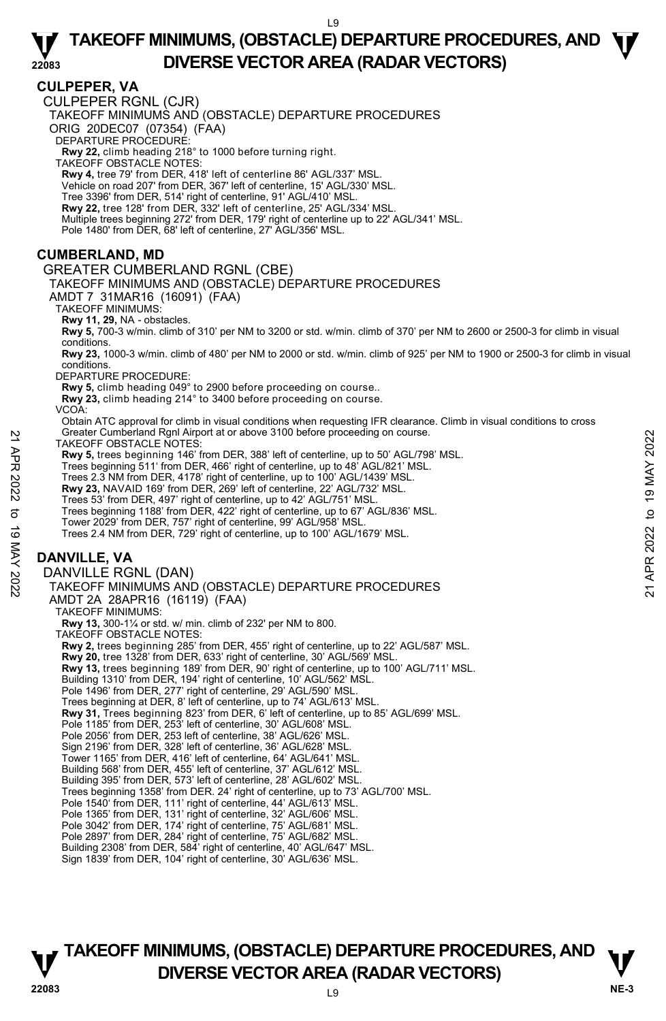#### **CULPEPER, VA**

CULPEPER RGNL (CJR)

TAKEOFF MINIMUMS AND (OBSTACLE) DEPARTURE PROCEDURES

ORIG 20DEC07 (07354) (FAA)

DEPARTURE PROCEDURE:

**Rwy 22,** climb heading 218° to 1000 before turning right. TAKEOFF OBSTACLE NOTES:

**Rwy 4,** tree 79' from DER, 418' left of centerline 86' AGL/337' MSL.

Vehicle on road 207' from DER, 367' left of centerline, 15' AGL/330' MSL.

Tree 3396' from DER, 514' right of centerline, 91' AGL/410' MSL. **Rwy 22,** tree 128' from DER, 332' left of centerline, 25' AGL/334' MSL.

Multiple trees beginning 272' from DER, 179' right of centerline up to 22' AGL/341' MSL.

Pole 1480' from DER, 68' left of centerline, 27' AGL/356' MSL.

#### **CUMBERLAND, MD**

GREATER CUMBERLAND RGNL (CBE)

TAKEOFF MINIMUMS AND (OBSTACLE) DEPARTURE PROCEDURES

AMDT 7 31MAR16 (16091) (FAA)

TAKEOFF MINIMUMS:

**Rwy 11, 29,** NA - obstacles.

**Rwy 5,** 700-3 w/min. climb of 310' per NM to 3200 or std. w/min. climb of 370' per NM to 2600 or 2500-3 for climb in visual conditions.

**Rwy 23,** 1000-3 w/min. climb of 480' per NM to 2000 or std. w/min. climb of 925' per NM to 1900 or 2500-3 for climb in visual conditions.

DEPARTURE PROCEDURE:

**Rwy 5,** climb heading 049° to 2900 before proceeding on course..

**Rwy 23,** climb heading 214° to 3400 before proceeding on course.

VCOA:

Obtain ATC approval for climb in visual conditions when requesting IFR clearance. Climb in visual conditions to cross Greater Cumberland Rgnl Airport at or above 3100 before proceeding on course.

TAKEOFF OBSTACLE NOTES:

**Rwy 5,** trees beginning 146' from DER, 388' left of centerline, up to 50' AGL/798' MSL.

Trees beginning 511' from DER, 466' right of centerline, up to 48' AGL/821' MSL.

Trees 2.3 NM from DER, 4178' right of centerline, up to 100' AGL/1439' MSL.

**Rwy 23,** NAVAID 169' from DER, 269' left of centerline, 22' AGL/732' MSL.

Trees 53' from DER, 497' right of centerline, up to 42' AGL/751' MSI

Trees beginning 1188' from DER, 422' right of centerline, up to 67' AGL/836' MSL.

Tower 2029' from DER, 757' right of centerline, 99' AGL/958' MSL.

Trees 2.4 NM from DER, 729' right of centerline, up to 100' AGL/1679' MSL.

# **DANVILLE, VA**

DANVILLE RGNL (DAN)

TAKEOFF MINIMUMS AND (OBSTACLE) DEPARTURE PROCEDURES AMDT 2A 28APR16 (16119) (FAA) 21 Greater Cumbenland Napril Altropology and The Conservation Conservation Conservation CHAC THE SE beginning 146' from DER, 388' left of centerline, up to 50' AGL/798' MSL.<br>
Trees beginning 511' from DER, 46' right of ce

TAKEOFF MINIMUMS:

**Rwy 13,** 300-1¼ or std. w/ min. climb of 232' per NM to 800.

TAKEOFF OBSTACLE NOTES:

**Rwy 2,** trees beginning 285' from DER, 455' right of centerline, up to 22' AGL/587' MSL.

**Rwy 20,** tree 1328' from DER, 633' right of centerline, 30' AGL/569' MSL.

**Rwy 13,** trees beginning 189' from DER, 90' right of centerline, up to 100' AGL/711' MSL.

Building 1310' from DER, 194' right of centerline, 10' AGL/562' MSL.

Pole 1496' from DER, 277' right of centerline, 29' AGL/590' MSL

Trees beginning at DER, 8' left of centerline, up to 74' AGL/613' MSL.

**Rwy 31,** Trees beginning 823' from DER, 6' left of centerline, up to 85' AGL/699' MSL.

Pole 1185' from DER, 253' left of centerline, 30' AGL/608' MSL.

Pole 2056' from DER, 253 left of centerline, 38' AGL/626' MSL.

Sign 2196' from DER, 328' left of centerline, 36' AGL/628' MSL.

Tower 1165' from DER, 416' left of centerline, 64' AGL/641' MSL.

Building 568' from DER, 455' left of centerline, 37' AGL/612' MSL. Building 395' from DER, 573' left of centerline, 28' AGL/602' MSL.

Trees beginning 1358' from DER. 24' right of centerline, up to 73' AGL/700' MSL.

Pole 1540' from DER, 111' right of centerline, 44' AGL/613' MSL. Pole 1365' from DER, 131' right of centerline, 32' AGL/606' MSL.

Pole 3042' from DER, 174' right of centerline, 75' AGL/681' MSL.

Pole 2897' from DER, 284' right of centerline, 75' AGL/682' MSL. Building 2308' from DER, 584' right of centerline, 40' AGL/647' MSL.

Sign 1839' from DER, 104' right of centerline, 30' AGL/636' MSL.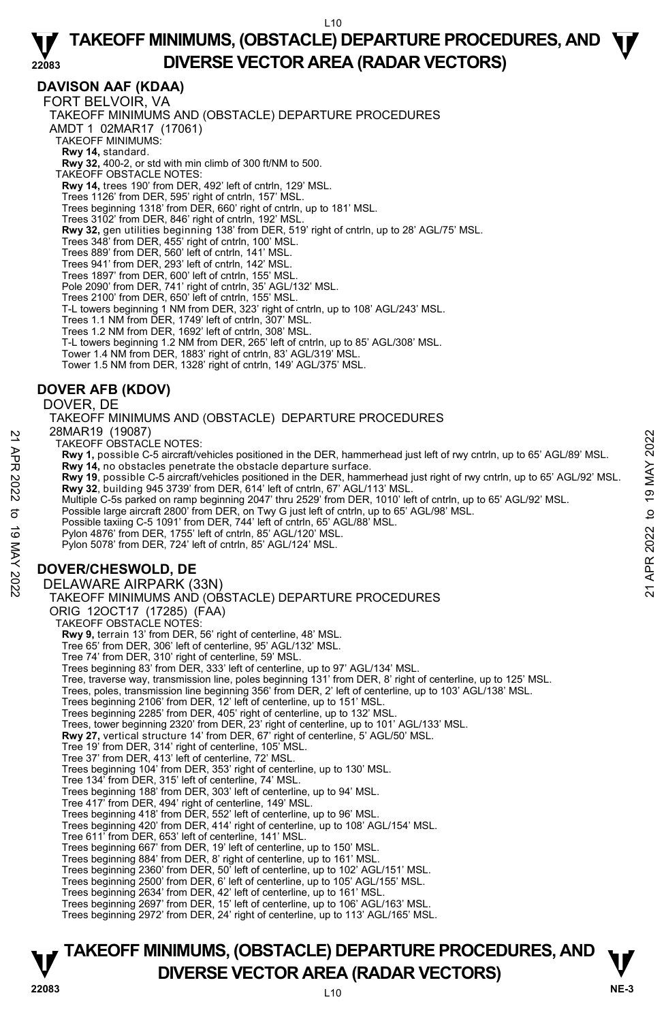## **DAVISON AAF (KDAA)**

FORT BELVOIR, VA TAKEOFF MINIMUMS AND (OBSTACLE) DEPARTURE PROCEDURES AMDT 1 02MAR17 (17061) TAKEOFF MINIMUMS: **Rwy 14,** standard. **Rwy 32,** 400-2, or std with min climb of 300 ft/NM to 500. TAKEOFF OBSTACLE NOTES: **Rwy 14,** trees 190' from DER, 492' left of cntrln, 129' MSL. Trees 1126' from DER, 595' right of cntrln, 157' MSL. Trees beginning 1318' from DER, 660' right of cntrln, up to 181' MSL. Trees 3102' from DER, 846' right of cntrln, 192' MSL. **Rwy 32,** gen utilities beginning 138' from DER, 519' right of cntrln, up to 28' AGL/75' MSL.<br>Trees 348' from DER, 455' right of cntrln, 100' MSL. Trees 889' from DER, 560' left of cntrln, 141' MSL. Trees 941' from DER, 293' left of cntrln, 142' MSL. Trees 1897' from DER, 600' left of cntrln, 155' MSL. Pole 2090' from DER, 741' right of cntrln, 35' AGL/132' MSL. Trees 2100' from DER, 650' left of cntrln, 155' MSL. T-L towers beginning 1 NM from DER, 323' right of cntrln, up to 108' AGL/243' MSL.<br>Trees 1.1 NM from DER, 1749' left of cntrln, 307' MSL.<br>Trees 1.2 NM from DER, 1692' left of cntrln, 308' MSL. T-L towers beginning 1.2 NM from DER, 265' left of cntrln, up to 85' AGL/308' MSL. Tower 1.4 NM from DER, 1883' right of cntrln, 83' AGL/319' MSL. Tower 1.5 NM from DER, 1328' right of cntrln, 149' AGL/375' MSL.

# **DOVER AFB (KDOV)**

#### DOVER, DE

TAKEOFF MINIMUMS AND (OBSTACLE) DEPARTURE PROCEDURES 28MAR19 (19087)

TAKEOFF OBSTACLE NOTES:

- **Rwy 1,** possible C-5 aircraft/vehicles positioned in the DER, hammerhead just left of rwy cntrln, up to 65' AGL/89' MSL. **Rwy 14,** no obstacles penetrate the obstacle departure surface.
- **Rwy 19**, possible C-5 aircraft/vehicles positioned in the DER, hammerhead just right of rwy cntrln, up to 65' AGL/92' MSL. **Rwy 32**, building 945 3739' from DER, 614' left of cntrln, 67' AGL/113' MSL.
- Multiple C-5s parked on ramp beginning 2047' thru 2529' from DER, 1010' left of cntrln, up to 65' AGL/92' MSL.<br>Possible large aircraft 2800' from DER, on Twy G just left of cntrln, up to 65' AGL/98' MSL.
- Possible taxiing C-5 1091' from DER, 744' left of cntrln, 65' AGL/88' MSL.
- Pylon 4876' from DER, 1755' left of cntrln, 85' AGL/120' MSL.
- Pylon 5078' from DER, 724' left of cntrln, 85' AGL/124' MSL.

# **DOVER/CHESWOLD, DE**

# DELAWARE AIRPARK (33N) TAKEOFF MINIMUMS AND (OBSTACLE) DEPARTURE PROCEDURES ORIG 12OCT17 (17285) (FAA) TAKEOFF OBSTACLE NOTES: **Rwy 9,** terrain 13' from DER, 56' right of centerline, 48' MSL. Tree 65' from DER, 306' left of centerline, 95' AGL/132' MSL. Tree 74' from DER, 310' right of centerline, 59' MSL. Trees beginning 83' from DER, 333' left of centerline, up to 97' AGL/134' MSL. Tree, traverse way, transmission line, poles beginning 131' from DER, 8' right of centerline, up to 125' MSL. Trees, poles, transmission line beginning 356' from DER, 2' left of centerline, up to 103' AGL/138' MSL.<br>Trees beginning 2106' from DER, 12' left of centerline, up to 151' MSL. Trees beginning 2285' from DER, 405' right of centerline, up to 132' MSL. Trees, tower beginning 2320' from DER, 23' right of centerline, up to 101' AGL/133' MSL. **Rwy 27,** vertical structure 14' from DER, 67' right of centerline, 5' AGL/50' MSL. Tree 19' from DER, 314' right of centerline, 105' MSL. Tree 37' from DER, 413' left of centerline, 72' MSL. Trees beginning 104' from DER, 353' right of centerline, up to 130' MSL. Tree 134' from DER, 315' left of centerline, 74' MSL. Trees beginning 188' from DER, 303' left of centerline, up to 94' MSL. Tree 417' from DER, 494' right of centerline, 149' MSL. Trees beginning 418' from DER, 552' left of centerline, up to 96' MSL. Trees beginning 420' from DER, 414' right of centerline, up to 108' AGL/154' MSL. Tree 611' from DER, 653' left of centerline, 141' MSL. Trees beginning 667' from DER, 19' left of centerline, up to 150' MSL. Trees beginning 884' from DER, 8' right of centerline, up to 161' MSL. Trees beginning 2360' from DER, 50' left of centerline, up to 102' AGL/151' MSL. Trees beginning 2500' from DER, 6' left of centerline, up to 105' AGL/155' MSL. Trees beginning 2634' from DER, 42' left of centerline, up to 161' MSL. Trees beginning 2697' from DER, 15' left of centerline, up to 106' AGL/163' MSL. 20WIARTY 19907<br>
TAKEOFF OBSTACLE NOTES:<br> **Rwy 1,** possible C-5 aircraft/vehicles positioned in the DER, hammerhead just left of rwy cntrln, up to 65' AGL/89' MSL.<br> **Rwy 14**, no obstacles penetrate the obstacle departure su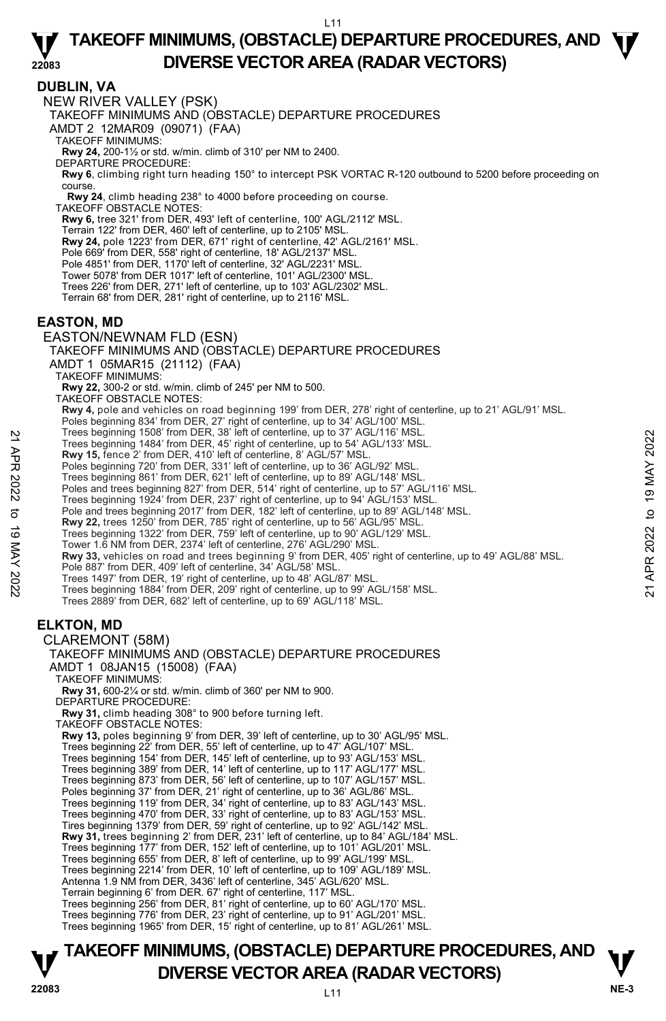#### **DUBLIN, VA**

NEW RIVER VALLEY (PSK)

TAKEOFF MINIMUMS AND (OBSTACLE) DEPARTURE PROCEDURES

AMDT 2 12MAR09 (09071) (FAA)

TAKEOFF MINIMUMS:

**Rwy 24,** 200-1½ or std. w/min. climb of 310' per NM to 2400. DEPARTURE PROCEDURE:

**Rwy 6**, climbing right turn heading 150° to intercept PSK VORTAC R-120 outbound to 5200 before proceeding on course.

 **Rwy 24**, climb heading 238° to 4000 before proceeding on course. TAKEOFF OBSTACLE NOTES:

**Rwy 6,** tree 321' from DER, 493' left of centerline, 100' AGL/2112' MSL.

Terrain 122' from DER, 460' left of centerline, up to 2105' MSL.

**Rwy 24,** pole 1223' from DER, 671' right of centerline, 42' AGL/2161' MSL.

Pole 669' from DER, 558' right of centerline, 18' AGL/2137' MSL.

Pole 4851' from DER, 1170' left of centerline, 32' AGL/2231' MSL

Tower 5078' from DER 1017' left of centerline, 101' AGL/2300' MSL.

Trees 226' from DER, 271' left of centerline, up to 103' AGL/2302' MSL.

Terrain 68' from DER, 281' right of centerline, up to 2116' MSL.

#### **EASTON, MD**

EASTON/NEWNAM FLD (ESN)

TAKEOFF MINIMUMS AND (OBSTACLE) DEPARTURE PROCEDURES

- AMDT 1 05MAR15 (21112) (FAA)
- TAKEOFF MINIMUMS:

**Rwy 22,** 300-2 or std. w/min. climb of 245' per NM to 500. TAKEOFF OBSTACLE NOTES:

**Rwy 4,** pole and vehicles on road beginning 199' from DER, 278' right of centerline, up to 21' AGL/91' MSL.

Poles beginning 834' from DER, 27' right of centerline, up to 34' AGL/100' MSL. Trees beginning 1508' from DER, 38' left of centerline, up to 37' AGL/116' MSL.

Trees beginning 1484' from DER, 45' right of centerline, up to 54' AGL/133' MSL.

**Rwy 15,** fence 2' from DER, 410' left of centerline, 8' AGL/57' MSL.

Poles beginning 720' from DER, 331' left of centerline, up to 36' AGL/92' MSL.

Trees beginning 861' from DER, 621' left of centerline, up to 89' AGL/148' MSL.

Poles and trees beginning 827' from DER, 514' right of centerline, up to 57' AGL/116' MSL.

Trees beginning 1924' from DER, 237' right of centerline, up to 94' AGL/153' MSL.

Pole and trees beginning 2017' from DER, 182' left of centerline, up to 89' AGL/148' MSL.

**Rwy 22,** trees 1250' from DER, 785' right of centerline, up to 56' AGL/95' MSL.

Trees beginning 1322' from DER, 759' left of centerline, up to 90' AGL/129' MSL.

Tower 1.6 NM from DER, 2374' left of centerline, 276' AGL/290' MSL.

**Rwy 33,** vehicles on road and trees beginning 9' from DER, 405' right of centerline, up to 49' AGL/88' MSL. Pole 887' from DER, 409' left of centerline, 34' AGL/58' MSL. Trees beginning 1908' from DER, 36' let of centerline, up to 37' AGL/116' MSL.<br>
Trees beginning 1484' from DER, 45' right of centerline, up to 54' AGL/133' MSL.<br> **Rwy 15**, fence 2' from DER, 410' left of centerline, up to

Trees 1497' from DER, 19' right of centerline, up to 48' AGL/87' MSL. Trees beginning 1884' from DER, 209' right of centerline, up to 99' AGL/158' MSL.

Trees 2889' from DER, 682' left of centerline, up to 69' AGL/118' MSL.

# **ELKTON, MD**

#### CLAREMONT (58M) TAKEOFF MINIMUMS AND (OBSTACLE) DEPARTURE PROCEDURES AMDT 1 08JAN15 (15008) (FAA) TAKEOFF MINIMUMS: **Rwy 31,** 600-2¼ or std. w/min. climb of 360' per NM to 900. DEPARTURE PROCEDURE: **Rwy 31,** climb heading 308° to 900 before turning left. TAKEOFF OBSTACLE NOTES: **Rwy 13,** poles beginning 9' from DER, 39' left of centerline, up to 30' AGL/95' MSL. Trees beginning 22' from DER, 55' left of centerline, up to 47' AGL/107' MSL. Trees beginning 154' from DER, 145' left of centerline, up to 93' AGL/153' MSL. Trees beginning 389' from DER, 14' left of centerline, up to 117' AGL/177' MSL. Trees beginning 873' from DER, 56' left of centerline, up to 107' AGL/157' MSL. Poles beginning 37' from DER, 21' right of centerline, up to 36' AGL/86' MSL. Trees beginning 119' from DER, 34' right of centerline, up to 83' AGL/143' MSL. Trees beginning 470' from DER, 33' right of centerline, up to 83' AGL/153' MSL. Tires beginning 1379' from DER, 59' right of centerline, up to 92' AGL/142' MSL. **Rwy 31,** trees beginning 2' from DER, 231' left of centerline, up to 84' AGL/184' MSL. Trees beginning 177' from DER, 152' left of centerline, up to 101' AGL/201' MSL. Trees beginning 655' from DER, 8' left of centerline, up to 99' AGL/199' MSL. Trees beginning 2214' from DER, 10' left of centerline, up to 109' AGL/189' MSL. Antenna 1.9 NM from DER, 3436' left of centerline, 345' AGL/620' MSL. Terrain beginning 6' from DER. 67' right of centerline, 117' MSL.

Trees beginning 256' from DER, 81' right of centerline, up to 60' AGL/170' MSL.

Trees beginning 776' from DER, 23' right of centerline, up to 91' AGL/201' MSL. Trees beginning 1965' from DER, 15' right of centerline, up to 81' AGL/261' MSL.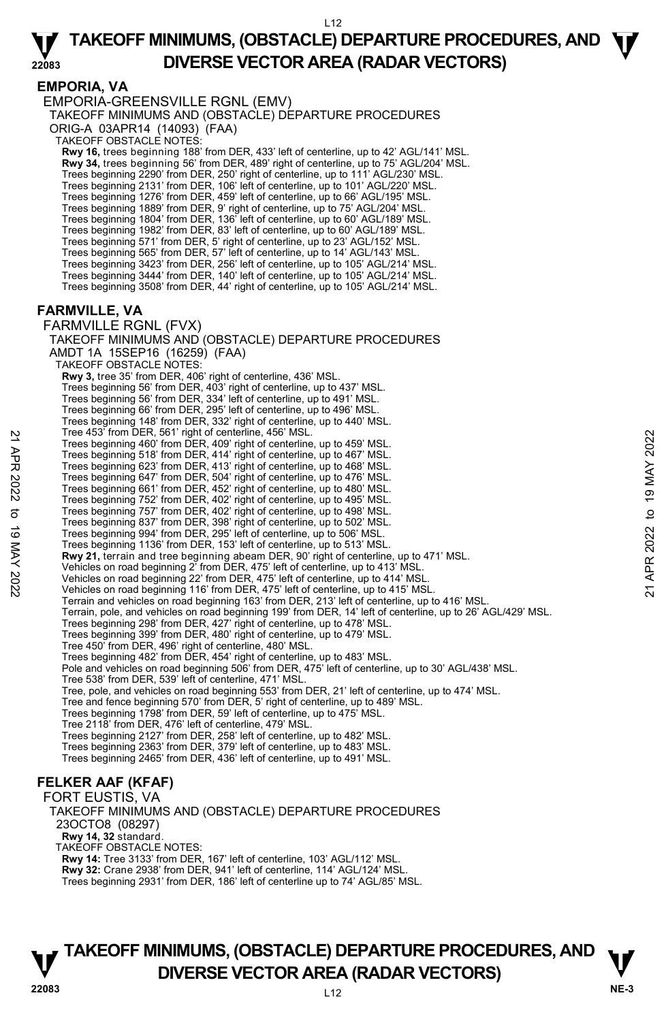## **EMPORIA, VA**

EMPORIA-GREENSVILLE RGNL (EMV) TAKEOFF MINIMUMS AND (OBSTACLE) DEPARTURE PROCEDURES ORIG-A 03APR14 (14093) (FAA) TAKEOFF OBSTACLE NOTES: **Rwy 16,** trees beginning 188' from DER, 433' left of centerline, up to 42' AGL/141' MSL. **Rwy 34,** trees beginning 56' from DER, 489' right of centerline, up to 75' AGL/204' MSL. Trees beginning 2290' from DER, 250' right of centerline, up to 111' AGL/230' MSL. Trees beginning 2131' from DER, 106' left of centerline, up to 101' AGL/220' MSL. Trees beginning 1276' from DER, 459' left of centerline, up to 66' AGL/195' MSL. Trees beginning 1889' from DER, 9' right of centerline, up to 75' AGL/204' MSL. Trees beginning 1804' from DER, 136' left of centerline, up to 60' AGL/189' MSL. Trees beginning 1982' from DER, 83' left of centerline, up to 60' AGL/189' MSL. Trees beginning 571' from DER, 5' right of centerline, up to 23' AGL/152' MSL. Trees beginning 565' from DER, 57' left of centerline, up to 14' AGL/143' MSL. Trees beginning 3423' from DER, 256' left of centerline, up to 105' AGL/214' MSL. Trees beginning 3444' from DER, 140' left of centerline, up to 105' AGL/214' MSL. Trees beginning 3508' from DER, 44' right of centerline, up to 105' AGL/214' MSL. **FARMVILLE, VA**  FARMVILLE RGNL (FVX) TAKEOFF MINIMUMS AND (OBSTACLE) DEPARTURE PROCEDURES AMDT 1A 15SEP16 (16259) (FAA) TAKEOFF OBSTACLE NOTES: **Rwy 3,** tree 35' from DER, 406' right of centerline, 436' MSL. Trees beginning 56' from DER, 403' right of centerline, up to 437' MSL. Trees beginning 56' from DER, 334' left of centerline, up to 491' MSL. Trees beginning 66' from DER, 295' left of centerline, up to 496' MSL. Trees beginning 148' from DER, 332' right of centerline, up to 440' MSL. Tree 453' from DER, 561' right of centerline, 456' MSL. Trees beginning 460' from DER, 409' right of centerline, up to 459' MSL. Trees beginning 518' from DER, 414' right of centerline, up to 467' MSL. Trees beginning 623' from DER, 413' right of centerline, up to 468' MSL. Trees beginning 647' from DER, 504' right of centerline, up to 476' MSL. Trees beginning 661' from DER, 452' right of centerline, up to 480' MSL. Trees beginning 752' from DER, 402' right of centerline, up to 495' MSL. Trees beginning 757' from DER, 402' right of centerline, up to 498' MSL. Trees beginning 837' from DER, 398' right of centerline, up to 502' MSL. Trees beginning 994' from DER, 295' left of centerline, up to 506' MSL. Trees beginning 1136' from DER, 153' left of centerline, up to 513' MSL. **Rwy 21,** terrain and tree beginning abeam DER, 90' right of centerline, up to 471' MSL. Vehicles on road beginning 2' from DER, 475' left of centerline, up to 413' MSL. Tree so beginning 460' from DER, 409' right of centerline, up to 459' MSL.<br>Trees beginning 618' from DER, 414' right of centerline, up to 467' MSL.<br>Trees beginning 623' from DER, 504' right of centerline, up to 476' MSL.<br>T Terrain and vehicles on road beginning 163' from DER, 213' left of centerline, up to 416' MSL. Terrain, pole, and vehicles on road beginning 199' from DER, 14' left of centerline, up to 26' AGL/429' MSL.<br>Trees beginning 298' from DER, 427' right of centerline, up to 478' MSL. Trees beginning 399' from DER, 480' right of centerline, up to 479' MSL. Tree 450' from DER, 496' right of centerline, 480' MSL. Trees beginning 482' from DER, 454' right of centerline, up to 483' MSL. Pole and vehicles on road beginning 506' from DER, 475' left of centerline, up to 30' AGL/438' MSL. Tree 538' from DER, 539' left of centerline, 471' MSL. Tree, pole, and vehicles on road beginning 553' from DER, 21' left of centerline, up to 474' MSL.<br>Tree and fence beginning 570' from DER, 5' right of centerline, up to 489' MSL. Trees beginning 1798' from DER, 59' left of centerline, up to 475' MSL. Tree 2118' from DER, 476' left of centerline, 479' MSL.<br>Trees beginning 2127' from DER, 258' left of centerline, up to 482' MSL.<br>Trees beginning 2363' from DER, 379' left of centerline, up to 483' MSL. Trees beginning 2465' from DER, 436' left of centerline, up to 491' MSL. **FELKER AAF (KFAF)** 

FORT EUSTIS, VA TAKEOFF MINIMUMS AND (OBSTACLE) DEPARTURE PROCEDURES 23OCTO8 (08297)  **Rwy 14, 32** standard. TAKEOFF OBSTACLE NOTES: **Rwy 14:** Tree 3133' from DER, 167' left of centerline, 103' AGL/112' MSL. **Rwy 32:** Crane 2938' from DER, 941' left of centerline, 114' AGL/124' MSL. Trees beginning 2931' from DER, 186' left of centerline up to 74' AGL/85' MSL.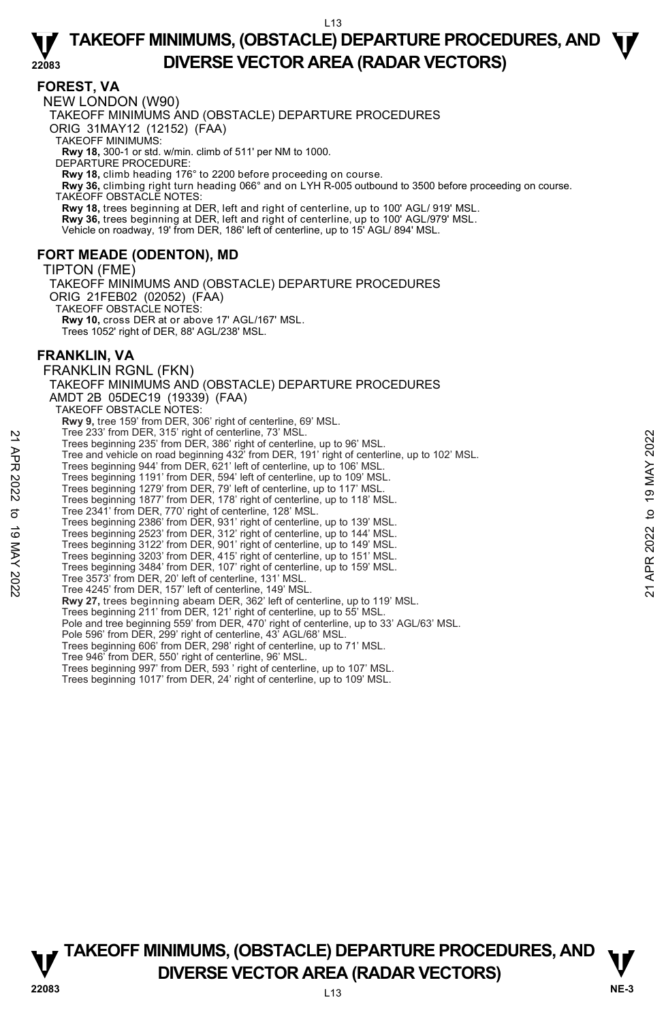#### **FOREST, VA**

**22083**  NEW LONDON (W90) TAKEOFF MINIMUMS AND (OBSTACLE) DEPARTURE PROCEDURES ORIG 31MAY12 (12152) (FAA) TAKEOFF MINIMUMS: **Rwy 18,** 300-1 or std. w/min. climb of 511' per NM to 1000. DEPARTURE PROCEDURE: **Rwy 18,** climb heading 176° to 2200 before proceeding on course. **Rwy 36,** climbing right turn heading 066° and on LYH R-005 outbound to 3500 before proceeding on course. TAKEOFF OBSTACLE NOTES: **Rwy 18,** trees beginning at DER, left and right of centerline, up to 100' AGL/ 919' MSL. **Rwy 36,** trees beginning at DER, left and right of centerline, up to 100' AGL/979' MSL. Vehicle on roadway, 19' from DER, 186' left of centerline, up to 15' AGL/ 894' MSL. **FORT MEADE (ODENTON), MD**  TIPTON (FME) TAKEOFF MINIMUMS AND (OBSTACLE) DEPARTURE PROCEDURES ORIG 21FEB02 (02052) (FAA) TAKEOFF OBSTACLE NOTES: **Rwy 10,** cross DER at or above 17' AGL/167' MSL. Trees 1052' right of DER, 88' AGL/238' MSL. **FRANKLIN, VA**  FRANKLIN RGNL (FKN) TAKEOFF MINIMUMS AND (OBSTACLE) DEPARTURE PROCEDURES AMDT 2B 05DEC19 (19339) (FAA) TAKEOFF OBSTACLE NOTES: **Rwy 9,** tree 159' from DER, 306' right of centerline, 69' MSL. Tree 233' from DER, 315' right of centerline, 73' MSL. Trees beginning 235' from DER, 386' right of centerline, up to 96' MSL. Tree and vehicle on road beginning 432' from DER, 191' right of centerline, up to 102' MSL. Trees beginning 944' from DER, 621' left of centerline, up to 106' MSL. Trees beginning 1191' from DER, 594' left of centerline, up to 109' MSL. Trees beginning 1279' from DER, 79' left of centerline, up to 117' MSL. Trees beginning 1877' from DER, 178' right of centerline, up to 118' MSL. Tree 2341' from DER, 770' right of centerline, 128' MSL. Trees beginning 2386' from DER, 931' right of centerline, up to 139' MSL. Trees beginning 2523' from DER, 312' right of centerline, up to 144' MSL. Trees beginning 3122' from DER, 901' right of centerline, up to 149' MSL. Trees beginning 3203' from DER, 415' right of centerline, up to 151' MSL. Trees beginning 3484' from DER, 107' right of centerline, up to 159' MSL. Tree 3573' from DER, 20' left of centerline, 131' MSL. Tree 4245' from DER, 157' left of centerline, 149' MSL. **Rwy 27,** trees beginning abeam DER, 362' left of centerline, up to 119' MSL. Trees beginning 211' from DER, 121' right of centerline, up to 55' MSL. Pole and tree beginning 559' from DER, 470' right of centerline, up to 33' AGL/63' MSL. Pole 596' from DER, 299' right of centerline, 43' AGL/68' MSL. Trees beginning 606' from DER, 298' right of centerline, up to 71' MSL. Tree 946' from DER, 550' right of centerline, 96' MSL. Trees beginning 997' from DER, 593 ' right of centerline, up to 107' MSL. Trees beginning 1017' from DER, 24' right of centerline, up to 109' MSL. Tree 233 from DER, 315 inght of enterline, 49 in MSL.<br>
Trees beginning 235' from DER, 386' right of centerline, up to 96' MSL.<br>
Trees beginning 943' from DER, 621' left of centerline, up to 102' MSL.<br>
Trees beginning 944'

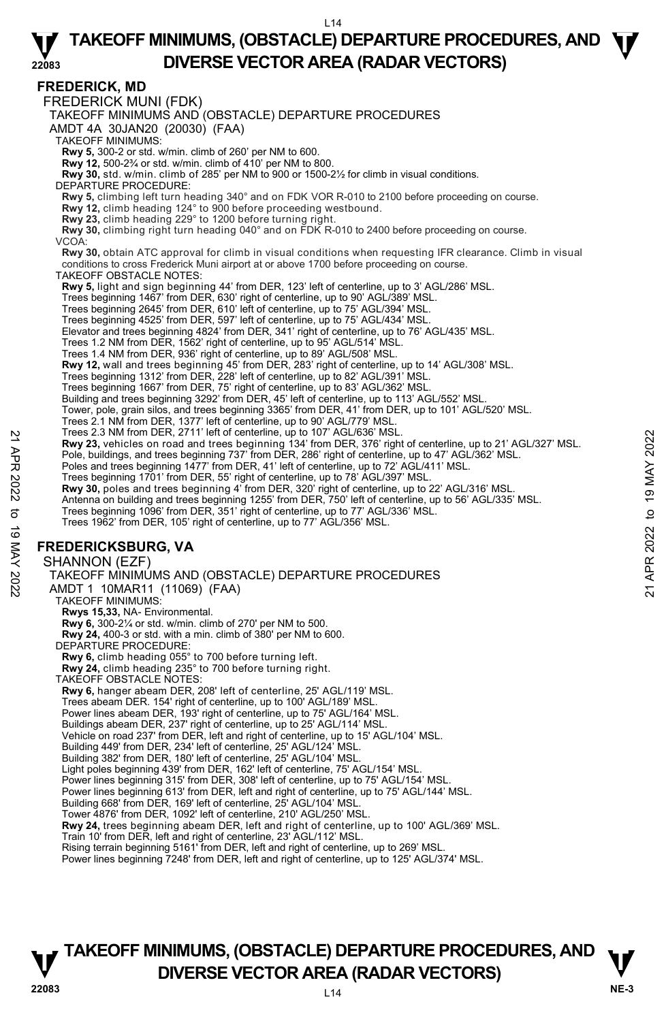#### **FREDERICK, MD**

FREDERICK MUNI (FDK) TAKEOFF MINIMUMS AND (OBSTACLE) DEPARTURE PROCEDURES AMDT 4A 30JAN20 (20030) (FAA) TAKEOFF MINIMUMS: **Rwy 5,** 300-2 or std. w/min. climb of 260' per NM to 600. **Rwy 12,** 500-2¾ or std. w/min. climb of 410' per NM to 800. **Rwy 30,** std. w/min. climb of 285' per NM to 900 or 1500-2½ for climb in visual conditions. DEPARTURE PROCEDURE: **Rwy 5,** climbing left turn heading 340° and on FDK VOR R-010 to 2100 before proceeding on course. **Rwy 12,** climb heading 124° to 900 before proceeding westbound. **Rwy 23,** climb heading 229° to 1200 before turning right. **Rwy 30,** climbing right turn heading 040° and on FDK R-010 to 2400 before proceeding on course. VCOA: **Rwy 30,** obtain ATC approval for climb in visual conditions when requesting IFR clearance. Climb in visual conditions to cross Frederick Muni airport at or above 1700 before proceeding on course. TAKEOFF OBSTACLE NOTES: **Rwy 5,** light and sign beginning 44' from DER, 123' left of centerline, up to 3' AGL/286' MSL. Trees beginning 1467' from DER, 630' right of centerline, up to 90' AGL/389' MSL. Trees beginning 2645' from DER, 610' left of centerline, up to 75' AGL/394' MSL. Trees beginning 4525' from DER, 597' left of centerline, up to 75' AGL/434' MSL. Elevator and trees beginning 4824' from DER, 341' right of centerline, up to 76' AGL/435' MSL. Trees 1.2 NM from DER, 1562' right of centerline, up to 95' AGL/514' MSL. Trees 1.4 NM from DER, 936' right of centerline, up to 89' AGL/508' MSL. **Rwy 12,** wall and trees beginning 45' from DER, 283' right of centerline, up to 14' AGL/308' MSL. Trees beginning 1312' from DER, 228' left of centerline, up to 82' AGL/391' MSL. Trees beginning 1667' from DER, 75' right of centerline, up to 83' AGL/362' MSL. Building and trees beginning 3292' from DER, 45' left of centerline, up to 113' AGL/552' MSL. Tower, pole, grain silos, and trees beginning 3365' from DER, 41' from DER, up to 101' AGL/520' MSL. Trees 2.1 NM from DER, 1377' left of centerline, up to 90' AGL/779' MSL. Trees 2.3 NM from DER, 2711' left of centerline, up to 107' AGL/636' MSL. **Rwy 23,** vehicles on road and trees beginning 134' from DER, 376' right of centerline, up to 21' AGL/327' MSL. Pole, buildings, and trees beginning 737' from DER, 286' right of centerline, up to 47' AGL/362' MSL. Poles and trees beginning 1477' from DER, 41' left of centerline, up to 72' AGL/411' MSL. Trees beginning 1701' from DER, 55' right of centerline, up to 78' AGL/397' MSL.<br>**Rwy 30,** poles and trees beginning 4' from DER, 320' right of centerline, up to 22' AGL/316' MSL. Antenna on building and trees beginning 1255' from DER, 750' left of centerline, up to 56' AGL/335' MSL. Trees beginning 1096' from DER, 351' right of centerline, up to 77' AGL/336' MSL. Trees 1962' from DER, 105' right of centerline, up to 77' AGL/356' MSL. **FREDERICKSBURG, VA**  SHANNON (EZF) TAKEOFF MINIMUMS AND (OBSTACLE) DEPARTURE PROCEDURES AMDT 1 10MAR11 (11069) (FAA) TAKEOFF MINIMUMS: **Rwys 15,33,** NA- Environmental. **Rwy 6,** 300-2¼ or std. w/min. climb of 270' per NM to 500. **Rwy 24,** 400-3 or std. with a min. climb of 380' per NM to 600. DEPARTURE PROCEDURE: **Rwy 6,** climb heading 055° to 700 before turning left. **Rwy 24,** climb heading 235° to 700 before turning right. TAKEOFF OBSTACLE NOTES: **Rwy 6,** hanger abeam DER, 208' left of centerline, 25' AGL/119' MSL. Trees abeam DER. 154' right of centerline, up to 100' AGL/189' MSL. Power lines abeam DER, 193' right of centerline, up to 75' AGL/164' MSL. Buildings abeam DER, 237' right of centerline, up to 25' AGL/114' MSL.<br>Vehicle on road 237' from DER, left and right of centerline, up to 15' AGL/104' MSL. Building 449' from DER, 234' left of centerline, 25' AGL/124' MSL. Building 382' from DER, 180' left of centerline, 25' AGL/104' MSL. Light poles beginning 439' from DER, 162' left of centerline, 75' AGL/154' MSL. Power lines beginning 315' from DER, 308' left of centerline, up to 75' AGL/154' MSL. Power lines beginning 613' from DER, left and right of centerline, up to 75' AGL/144' MSL. Building 668' from DER, 169' left of centerline, 25' AGL/104' MSL. Tower 4876' from DER, 1092' left of centerline, 210' AGL/250' MSL. **Rwy 24,** trees beginning abeam DER, left and right of centerline, up to 100' AGL/369' MSL. Train 10' from DER, left and right of centerline, 23' AGL/112' MSL. Rising terrain beginning 5161' from DER, left and right of centerline, up to 269' MSL. Power lines beginning 7248' from DER, left and right of centerline, up to 125' AGL/374' MSL. Prese 2.3 NM from DER, 2711 lent o center line, up to 10' AGL/636' MSL.<br> **Property 23**, vehicles on road and trees beginning 134' from DER, 376' right of centerline, up to 21' AGL/362' MSL.<br>
Pole, buildings, and trees beg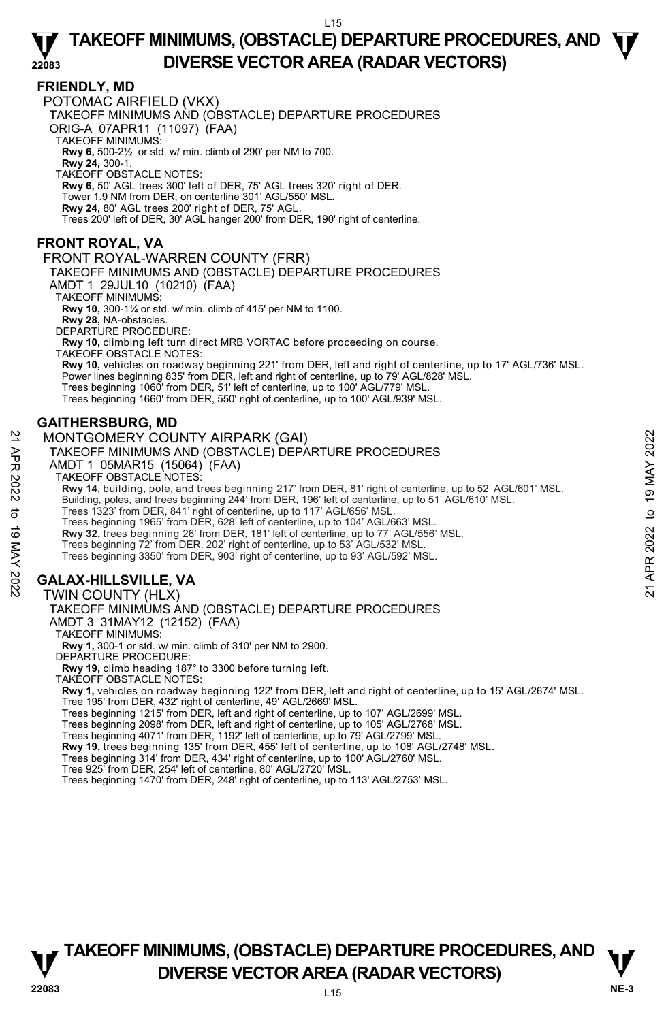#### **FRIENDLY, MD**

**22083** 

POTOMAC AIRFIELD (VKX) TAKEOFF MINIMUMS AND (OBSTACLE) DEPARTURE PROCEDURES ORIG-A 07APR11 (11097) (FAA) TAKEOFF MINIMUMS: **Rwy 6,** 500-2½ or std. w/ min. climb of 290' per NM to 700. **Rwy 24,** 300-1. TAKEOFF OBSTACLE NOTES: **Rwy 6,** 50' AGL trees 300' left of DER, 75' AGL trees 320' right of DER. Tower 1.9 NM from DER, on centerline 301' AGL/550' MSL. **Rwy 24,** 80' AGL trees 200' right of DER, 75' AGL. Trees 200' left of DER, 30' AGL hanger 200' from DER, 190' right of centerline.

## **FRONT ROYAL, VA**

FRONT ROYAL-WARREN COUNTY (FRR)

TAKEOFF MINIMUMS AND (OBSTACLE) DEPARTURE PROCEDURES

AMDT 1 29JUL10 (10210) (FAA)

TAKEOFF MINIMUMS:

**Rwy 10,** 300-1¼ or std. w/ min. climb of 415' per NM to 1100. **Rwy 28,** NA-obstacles.

DEPARTURE PROCEDURE:

**Rwy 10,** climbing left turn direct MRB VORTAC before proceeding on course. TAKEOFF OBSTACLE NOTES:

**Rwy 10,** vehicles on roadway beginning 221' from DER, left and right of centerline, up to 17' AGL/736' MSL.

Power lines beginning 835' from DER, left and right of centerline, up to 79' AGL/828' MSL.

Trees beginning 1060' from DER, 51' left of centerline, up to 100' AGL/779' MSL.

Trees beginning 1660' from DER, 550' right of centerline, up to 100' AGL/939' MSL.

## **GAITHERSBURG, MD**

#### MONTGOMERY COUNTY AIRPARK (GAI)

TAKEOFF MINIMUMS AND (OBSTACLE) DEPARTURE PROCEDURES

AMDT 1 05MAR15 (15064) (FAA)

TAKEOFF OBSTACLE NOTES:

**Rwy 14,** building, pole, and trees beginning 217' from DER, 81' right of centerline, up to 52' AGL/601' MSL. MONTGOMERY COUNTY AIRPARK (GAI)<br>
TAKEOFF MINIMUMS AND (OBSTACLE) DEPARTURE PROCEDURES<br>
AMDT 1 O5MAR15 (15064) (FAA)<br>
TAKEOFF OBSTACLE NOTES:<br>
TAKEOFF OBSTACLE NOTES:<br>
TAKEOFF OBSTACLE NOTES:<br>
Rwy 14, building, pole, and t

Building, poles, and trees beginning 244' from DER, 196' left of centerline, up to 51' AGL/610' MSL.<br>Trees 1323' from DER, 841' right of centerline, up to 117' AGL/656' MSL.

Trees beginning 1965' from DER, 628' left of centerline, up to 104' AGL/663' MSL.

**Rwy 32,** trees beginning 26' from DER, 181' left of centerline, up to 77' AGL/556' MSL.

Trees beginning 72' from DER, 202' right of centerline, up to 53' AGL/532' MSL.

Trees beginning 3350' from DER, 903' right of centerline, up to 93' AGL/592' MSL.

# **GALAX-HILLSVILLE, VA**

#### TWIN COUNTY (HLX)

#### TAKEOFF MINIMUMS AND (OBSTACLE) DEPARTURE PROCEDURES

AMDT 3 31MAY12 (12152) (FAA)

TAKEOFF MINIMUMS:

**Rwy 1,** 300-1 or std. w/ min. climb of 310' per NM to 2900. DEPARTURE PROCEDURE:

**Rwy 19,** climb heading 187° to 3300 before turning left.

TAKEOFF OBSTACLE NOTES:

**Rwy 1,** vehicles on roadway beginning 122' from DER, left and right of centerline, up to 15' AGL/2674' MSL. Tree 195' from DER, 432' right of centerline, 49' AGL/2669' MSL.

Trees beginning 1215' from DER, left and right of centerline, up to 107' AGL/2699' MSL.

Trees beginning 2098' from DER, left and right of centerline, up to 105' AGL/2768' MSL.

Trees beginning 4071' from DER, 1192' left of centerline, up to 79' AGL/2799' MSL.

**Rwy 19,** trees beginning 135' from DER, 455' left of centerline, up to 108' AGL/2748' MSL.

Trees beginning 314' from DER, 434' right of centerline, up to 100' AGL/2760' MSL.

Tree 925' from DER, 254' left of centerline, 80' AGL/2720' MSL.

Trees beginning 1470' from DER, 248' right of centerline, up to 113' AGL/2753' MSL.

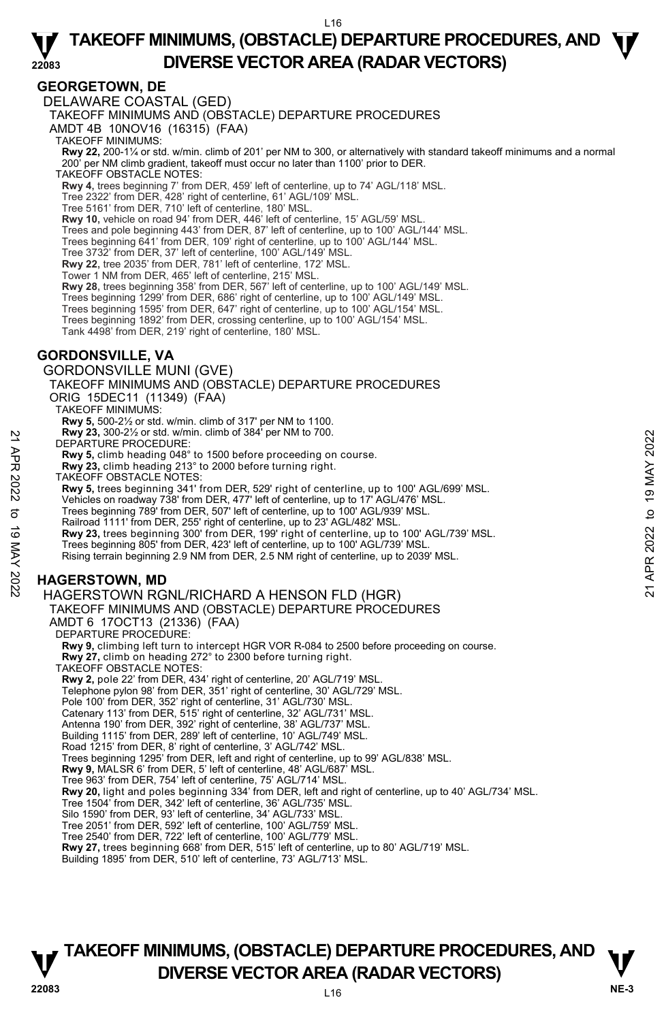#### **GEORGETOWN, DE**

**22083**  DELAWARE COASTAL (GED) TAKEOFF MINIMUMS AND (OBSTACLE) DEPARTURE PROCEDURES AMDT 4B 10NOV16 (16315) (FAA) TAKEOFF MINIMUMS: **Rwy 22,** 200-1¼ or std. w/min. climb of 201' per NM to 300, or alternatively with standard takeoff minimums and a normal per NM climb gradient, takeoff must occur no later than 1100' prior to DER. TAKEOFF OBSTACLE NOTES: **Rwy 4,** trees beginning 7' from DER, 459' left of centerline, up to 74' AGL/118' MSL. Tree 2322' from DER, 428' right of centerline, 61' AGL/109' MSL. Tree 5161' from DER, 710' left of centerline, 180' MSL. **Rwy 10,** vehicle on road 94' from DER, 446' left of centerline, 15' AGL/59' MSL. Trees and pole beginning 443' from DER, 87' left of centerline, up to 100' AGL/144' MSL. Trees beginning 641' from DER, 109' right of centerline, up to 100' AGL/144' MSL. Tree 3732' from DER, 37' left of centerline, 100' AGL/149' MSL. **Rwy 22,** tree 2035' from DER, 781' left of centerline, 172' MSL. Tower 1 NM from DER, 465' left of centerline, 215' MSL. **Rwy 28,** trees beginning 358' from DER, 567' left of centerline, up to 100' AGL/149' MSL. Trees beginning 1299' from DER, 686' right of centerline, up to 100' AGL/149' MSL. Trees beginning 1595' from DER, 647' right of centerline, up to 100' AGL/154' MSL. Trees beginning 1892' from DER, crossing centerline, up to 100' AGL/154' MSL. Tank 4498' from DER, 219' right of centerline, 180' MSL. **GORDONSVILLE, VA**  GORDONSVILLE MUNI (GVE) TAKEOFF MINIMUMS AND (OBSTACLE) DEPARTURE PROCEDURES ORIG 15DEC11 (11349) (FAA) TAKEOFF MINIMUMS: **Rwy 5,** 500-2½ or std. w/min. climb of 317' per NM to 1100. **Rwy 23,** 300-2½ or std. w/min. climb of 384' per NM to 700. DEPARTURE PROCEDURE: **Rwy 5,** climb heading 048° to 1500 before proceeding on course. **Rwy 23,** climb heading 213° to 2000 before turning right. TAKÉOFF OBSTACLE NOTES: **Rwy 5,** trees beginning 341' from DER, 529' right of centerline, up to 100' AGL/699' MSL. Vehicles on roadway 738' from DER, 477' left of centerline, up to 17' AGL/476' MSL. Trees beginning 789' from DER, 507' left of centerline, up to 100' AGL/939' MSL. Railroad 1111' from DER, 255' right of centerline, up to 23' AGL/482' MSL. **Rwy 23,** trees beginning 300' from DER, 199' right of centerline, up to 100' AGL/739' MSL. Trees beginning 805' from DER, 423' left of centerline, up to 100' AGL/739' MSL. Rising terrain beginning 2.9 NM from DER, 2.5 NM right of centerline, up to 2039' MSL. **HAGERSTOWN, MD**  HAGERSTOWN RGNL/RICHARD A HENSON FLD (HGR) TAKEOFF MINIMUMS AND (OBSTACLE) DEPARTURE PROCEDURES AMDT 6 17OCT13 (21336) (FAA) DEPARTURE PROCEDURE: **Rwy 9,** climbing left turn to intercept HGR VOR R-084 to 2500 before proceeding on course. **Rwy 27,** climb on heading 272° to 2300 before turning right. TAKEOFF OBSTACLE NOTES: **Rwy 2,** pole 22' from DER, 434' right of centerline, 20' AGL/719' MSL. Telephone pylon 98' from DER, 351' right of centerline, 30' AGL/729' MSL. Pole 100' from DER, 352' right of centerline, 31' AGL/730' MSL. EVALUATION: A SUCK WANT 2023 THE SUCK WANTED AT THE SUCK ON SUCKNOW AND HAGERSTOWN, MD<br>
Not allocating 213<sup>1</sup> to 2000 before proceeding on course.<br>
Rwy 5, climb heading 048° to 1500 before proceeding on course.<br>
TAKE OFF

Catenary 113' from DER, 515' right of centerline, 32' AGL/731' MSL.

Antenna 190' from DER, 392' right of centerline, 38' AGL/737' MSL. Building 1115' from DER, 289' left of centerline, 10' AGL/749' MSL.

Road 1215' from DER, 8' right of centerline, 3' AGL/742' MSL.

Trees beginning 1295' from DER, left and right of centerline, up to 99' AGL/838' MSL.

**Rwy 9,** MALSR 6' from DER, 5' left of centerline, 48' AGL/687' MSL.

Tree 963' from DER, 754' left of centerline, 75' AGL/714' MSL.

**Rwy 20,** light and poles beginning 334' from DER, left and right of centerline, up to 40' AGL/734' MSL.

- Tree 1504' from DER, 342' left of centerline, 36' AGL/735' MSL.
- Silo 1590' from DER, 93' left of centerline, 34' AGL/733' MSL.

Tree 2051' from DER, 592' left of centerline, 100' AGL/759' MSL. Tree 2540' from DER, 722' left of centerline, 100' AGL/779' MSL.

**Rwy 27,** trees beginning 668' from DER, 515' left of centerline, up to 80' AGL/719' MSL.

Building 1895' from DER, 510' left of centerline, 73' AGL/713' MSL.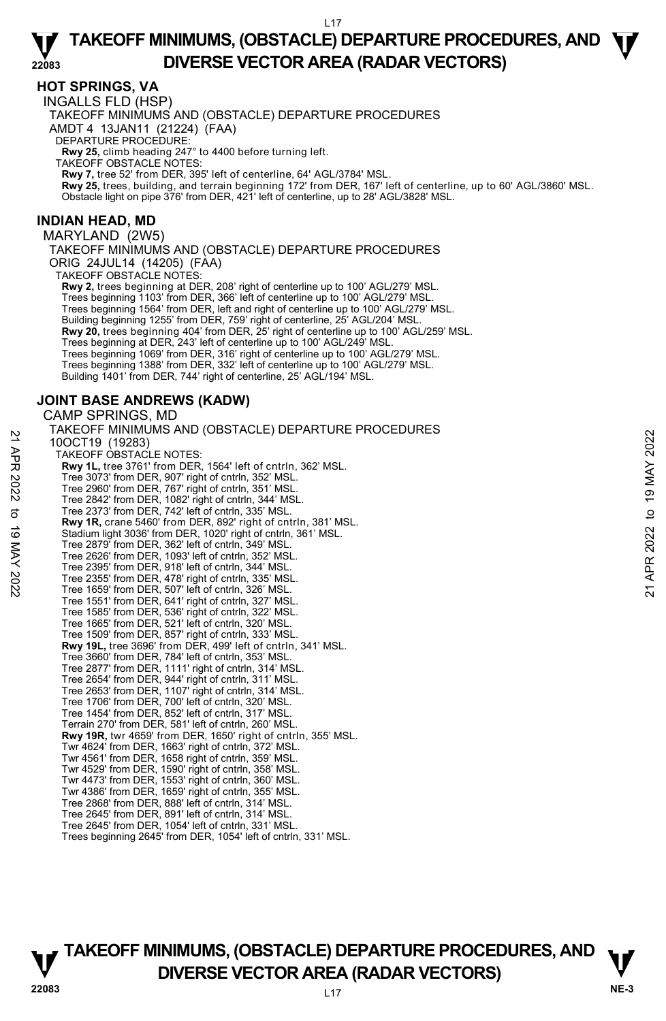## **HOT SPRINGS, VA**

INGALLS FLD (HSP) TAKEOFF MINIMUMS AND (OBSTACLE) DEPARTURE PROCEDURES AMDT 4 13JAN11 (21224) (FAA) DEPARTURE PROCEDURE: **Rwy 25,** climb heading 247° to 4400 before turning left. TAKEOFF OBSTACLE NOTES: **Rwy 7,** tree 52' from DER, 395' left of centerline, 64' AGL/3784' MSL.

**Rwy 25,** trees, building, and terrain beginning 172' from DER, 167' left of centerline, up to 60' AGL/3860' MSL. Obstacle light on pipe 376' from DER, 421' left of centerline, up to 28' AGL/3828' MSL.

#### **INDIAN HEAD, MD**

MARYLAND (2W5)

TAKEOFF MINIMUMS AND (OBSTACLE) DEPARTURE PROCEDURES ORIG 24JUL14 (14205) (FAA)

TAKEOFF OBSTACLE NOTES:

**Rwy 2,** trees beginning at DER, 208' right of centerline up to 100' AGL/279' MSL. Trees beginning 1103' from DER, 366' left of centerline up to 100' AGL/279' MSL. Trees beginning 1564' from DER, left and right of centerline up to 100' AGL/279' MSL. Building beginning 1255' from DER, 759' right of centerline, 25' AGL/204' MSL. **Rwy 20,** trees beginning 404' from DER, 25' right of centerline up to 100' AGL/259' MSL. Trees beginning at DER, 243' left of centerline up to 100' AGL/249' MSL. Trees beginning 1069' from DER, 316' right of centerline up to 100' AGL/279' MSL. Trees beginning 1388' from DER, 332' left of centerline up to 100' AGL/279' MSL. Building 1401' from DER, 744' right of centerline, 25' AGL/194' MSL.

# **JOINT BASE ANDREWS (KADW)**

CAMP SPRINGS, MD

TAKEOFF MINIMUMS AND (OBSTACLE) DEPARTURE PROCEDURES 10OCT19 (19283) TAKEOFF OBSTACLE NOTES: **Rwy 1L,** tree 3761' from DER, 1564' left of cntrln, 362' MSL. Tree 3073' from DER, 907' right of cntrln, 352' MSL. Tree 2960' from DER, 767' right of cntrln, 351' MSL. Tree 2842' from DER, 1082' right of cntrln, 344' MSL. Tree 2373' from DER, 742' left of cntrln, 335' MSL. **Rwy 1R,** crane 5460' from DER, 892' right of cntrln, 381' MSL. Stadium light 3036' from DER, 1020' right of cntrln, 361' MSL. Tree 2879' from DER, 362' left of cntrln, 349' MSL. Tree 2626' from DER, 1093' left of cntrln, 352' MSL. Tree 2395' from DER, 918' left of cntrln, 344' MSL. Tree 2355' from DER, 478' right of cntrln, 335' MSL. Tree 1659' from DER, 507' left of cntrln, 326' MSL. Tree 1551' from DER, 641' right of cntrln, 327' MSL. Tree 1585' from DER, 536' right of cntrln, 322' MSL. Tree 1665' from DER, 521' left of cntrln, 320' MSL. Tree 1509' from DER, 857' right of cntrln, 333' MSL. **Rwy 19L,** tree 3696' from DER, 499' left of cntrln, 341' MSL. Tree 3660' from DER, 784' left of cntrln, 353' MSL. Tree 2877' from DER, 1111' right of cntrln, 314' MSL. Tree 2654' from DER, 944' right of cntrln, 311' MSL. Tree 2653' from DER, 1107' right of cntrln, 314' MSL. Tree 1706' from DER, 700' left of cntrln, 320' MSL. Tree 1454' from DER, 852' left of cntrln, 317' MSL. Terrain 270' from DER, 581' left of cntrln, 260' MSL. **Rwy 19R,** twr 4659' from DER, 1650' right of cntrln, 355' MSL. Twr 4624' from DER, 1663' right of cntrln, 372' MSL. Twr 4561' from DER, 1658 right of cntrln, 359' MSL. Twr 4529' from DER, 1590' right of cntrln, 358' MSL. Twr 4473' from DER, 1553' right of cntrln, 360' MSL. Twr 4386' from DER, 1659' right of cntrln, 355' MSL. Tree 2868' from DER, 888' left of cntrln, 314' MSL. Tree 2645' from DER, 891' left of cntrln, 314' MSL. Tree 2645' from DER, 1054' left of cntrln, 331' MSL. Trees beginning 2645' from DER, 1054' left of cntrln, 331' MSL. 21 ANCO-T19 (19283)<br>
21 DOCT19 (19283)<br>
22 TAKEOFF OBSTACLE NOTES:<br>
22 THE 3073' from DER, 1564' left of cntrln, 362' MSL.<br>
22 Tree 3073' from DER, 767' right of cntrln, 352' MSL.<br>
22 Tree 2960' from DER, 767' right of cnt

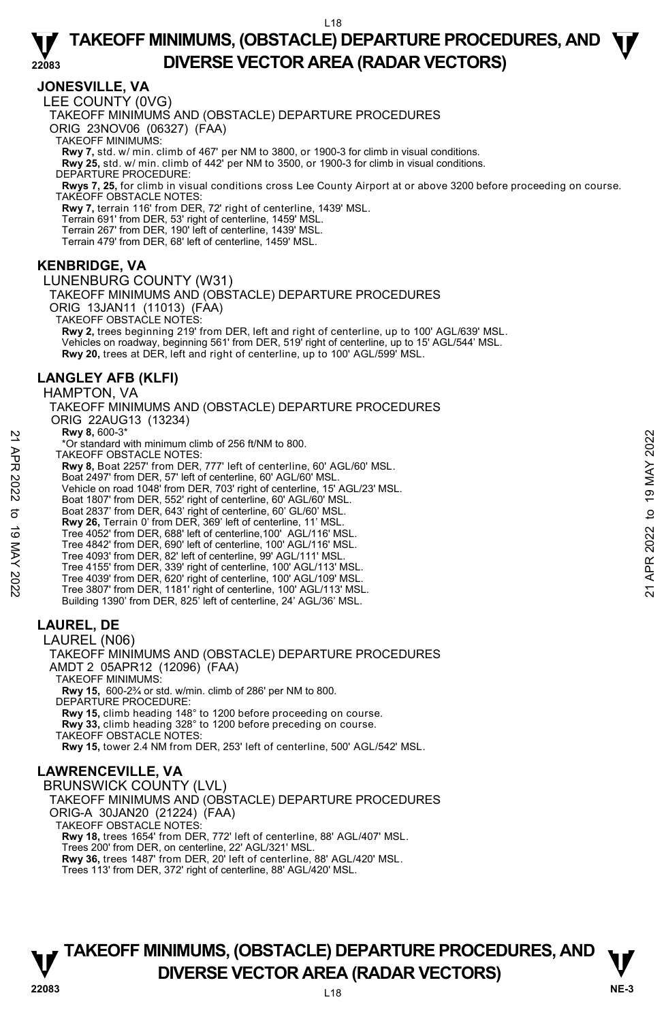## **JONESVILLE, VA**

LEE COUNTY (0VG)

TAKEOFF MINIMUMS AND (OBSTACLE) DEPARTURE PROCEDURES

ORIG 23NOV06 (06327) (FAA)

TAKEOFF MINIMUMS:

**Rwy 7,** std. w/ min. climb of 467' per NM to 3800, or 1900-3 for climb in visual conditions. **Rwy 25,** std. w/ min. climb of 442' per NM to 3500, or 1900-3 for climb in visual conditions.

DEPARTURE PROCEDURE:

**Rwys 7, 25,** for climb in visual conditions cross Lee County Airport at or above 3200 before proceeding on course. TAKEOFF OBSTACLE NOTES:

**Rwy 7,** terrain 116' from DER, 72' right of centerline, 1439' MSL.

Terrain 691' from DER, 53' right of centerline, 1459' MSL.

Terrain 267' from DER, 190' left of centerline, 1439' MSL. Terrain 479' from DER, 68' left of centerline, 1459' MSL.

## **KENBRIDGE, VA**

LUNENBURG COUNTY (W31) TAKEOFF MINIMUMS AND (OBSTACLE) DEPARTURE PROCEDURES ORIG 13JAN11 (11013) (FAA) TAKEOFF OBSTACLE NOTES:

**Rwy 2,** trees beginning 219' from DER, left and right of centerline, up to 100' AGL/639' MSL. Vehicles on roadway, beginning 561' from DER, 519' right of centerline, up to 15' AGL/544' MSL. **Rwy 20,** trees at DER, left and right of centerline, up to 100' AGL/599' MSL.

# **LANGLEY AFB (KLFI)**

HAMPTON, VA TAKEOFF MINIMUMS AND (OBSTACLE) DEPARTURE PROCEDURES ORIG 22AUG13 (13234)  **Rwy 8,** 600-3\* \*Or standard with minimum climb of 256 ft/NM to 800. TAKEOFF OBSTACLE NOTES: **Rwy 8,** Boat 2257' from DER, 777' left of centerline, 60' AGL/60' MSL. Boat 2497' from DER, 57' left of centerline, 60' AGL/60' MSL. Vehicle on road 1048' from DER, 703' right of centerline, 15' AGL/23' MSL. Boat 1807' from DER, 552' right of centerline, 60' AGL/60' MSL.<br>Boat 2837' from DER, 643' right of centerline, 60' GL/60' MSL.<br>**Rwy 26,** Terrain 0' from DER, 369' left of centerline, 11' MSL. Tree 4052' from DER, 688' left of centerline,100' AGL/116' MSL. Tree 4842' from DER, 690' left of centerline, 100' AGL/116' MSL. Tree 4093' from DER, 82' left of centerline, 99' AGL/111' MSL. Tree 4155' from DER, 339' right of centerline, 100' AGL/113' MSL. Tree 4039' from DER, 620' right of centerline, 100' AGL/109' MSL. Tree 3807' from DER, 1181' right of centerline, 100' AGL/113' MSL. Building 1390' from DER, 825' left of centerline, 24' AGL/36' MSL. **LAUREL, DE**  LAUREL (N06) TAKEOFF MINIMUMS AND (OBSTACLE) DEPARTURE PROCEDURES **EVALUAT SET AND AN INTERT CONSULTER CONSULTER AND AN INCREDIBLEM AND THE ASSOCIATED TO BE A SOLUTION DERIVED TO BE A SURFACT TO DERIVED A SOLUTION ON SURFACT AND REALLY APPOSE TO BOAT 1807 TO BOAT 1807 TO BOAT 1807 TO BO** 

AMDT 2 05APR12 (12096) (FAA)

TAKEOFF MINIMUMS:

**Rwy 15,** 600-2¾ or std. w/min. climb of 286' per NM to 800. DEPARTURE PROCEDURE:

**Rwy 15,** climb heading 148° to 1200 before proceeding on course.

**Rwy 33,** climb heading 328° to 1200 before preceding on course. TAKEOFF OBSTACLE NOTES:

**Rwy 15,** tower 2.4 NM from DER, 253' left of centerline, 500' AGL/542' MSL.

# **LAWRENCEVILLE, VA**

BRUNSWICK COUNTY (LVL) TAKEOFF MINIMUMS AND (OBSTACLE) DEPARTURE PROCEDURES ORIG-A 30JAN20 (21224) (FAA) TAKEOFF OBSTACLE NOTES: **Rwy 18,** trees 1654' from DER, 772' left of centerline, 88' AGL/407' MSL. Trees 200' from DER, on centerline, 22' AGL/321' MSL.

**Rwy 36,** trees 1487' from DER, 20' left of centerline, 88' AGL/420' MSL.

Trees 113' from DER, 372' right of centerline, 88' AGL/420' MSL.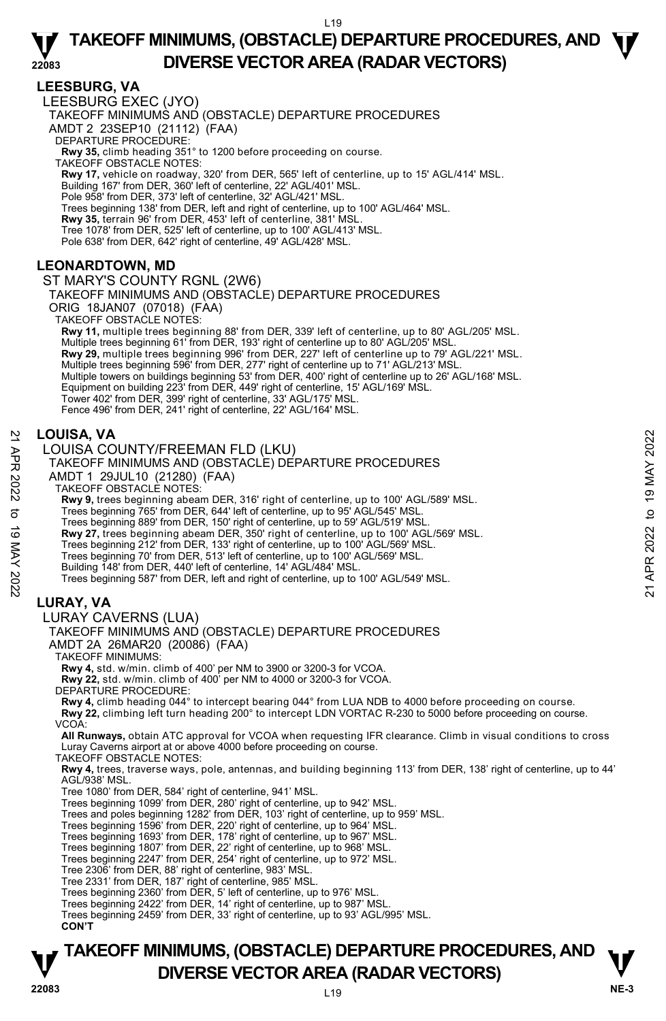## **LEESBURG, VA**

LEESBURG EXEC (JYO) TAKEOFF MINIMUMS AND (OBSTACLE) DEPARTURE PROCEDURES AMDT 2 23SEP10 (21112) (FAA) DEPARTURE PROCEDURE: **Rwy 35,** climb heading 351° to 1200 before proceeding on course. TAKEOFF OBSTACLE NOTES: **Rwy 17,** vehicle on roadway, 320' from DER, 565' left of centerline, up to 15' AGL/414' MSL. Building 167' from DER, 360' left of centerline, 22' AGL/401' MSL. Pole 958' from DER, 373' left of centerline, 32' AGL/421' MSL. Trees beginning 138' from DER, left and right of centerline, up to 100' AGL/464' MSL. **Rwy 35,** terrain 96' from DER, 453' left of centerline, 381' MSL. Tree 1078' from DER, 525' left of centerline, up to 100' AGL/413' MSL. Pole 638' from DER, 642' right of centerline, 49' AGL/428' MSL.

## **LEONARDTOWN, MD**

ST MARY'S COUNTY RGNL (2W6)

TAKEOFF MINIMUMS AND (OBSTACLE) DEPARTURE PROCEDURES

ORIG 18JAN07 (07018) (FAA)

TAKEOFF OBSTACLE NOTES:

**Rwy 11,** multiple trees beginning 88' from DER, 339' left of centerline, up to 80' AGL/205' MSL. Multiple trees beginning 61' from DER, 193' right of centerline up to 80' AGL/205' MSI **Rwy 29,** multiple trees beginning 996' from DER, 227' left of centerline up to 79' AGL/221' MSL. Multiple trees beginning 596' from DER, 277' right of centerline up to 71' AGL/213' MSL. Multiple towers on buildings beginning 53' from DER, 400' right of centerline up to 26' AGL/168' MSL. Equipment on building 223' from DER, 449' right of centerline, 15' AGL/169' MSL. Tower 402' from DER, 399' right of centerline, 33' AGL/175' MSL. Fence 496' from DER, 241' right of centerline, 22' AGL/164' MSL.

#### **LOUISA, VA**

LOUISA COUNTY/FREEMAN FLD (LKU)

# TAKEOFF MINIMUMS AND (OBSTACLE) DEPARTURE PROCEDURES **LOUISA, VA**<br>  $\rightarrow$  LOUISA COUNTY/FREEMAN FLD (LKU)<br>
TAKEOFF MINIMUMS AND (OBSTACLE) DEPARTURE PROCEDURES<br>
AMDT 1 29JUL10 (21280) (FAA)<br>
TAKEOFF OBSTACLE NOTES:<br> **EXPLUSE DEPART AND THE SUBMARY AND TAKE CONTINUE AREA**<br>
THE

AMDT 1 29JUL10 (21280) (FAA)

TAKEOFF OBSTACLE NOTES:

**Rwy 9,** trees beginning abeam DER, 316' right of centerline, up to 100' AGL/589' MSL.<br>Trees beginning 765' from DER, 644' left of centerline, up to 95' AGL/545' MSL.

Trees beginning 889' from DER, 150' right of centerline, up to 59' AGL/519' MSL.

**Rwy 27,** trees beginning abeam DER, 350' right of centerline, up to 100' AGL/569' MSL.

Trees beginning 212' from DER, 133' right of centerline, up to 100' AGL/569' MSL.

Trees beginning 70' from DER, 513' left of centerline, up to 100' AGL/569' MSL.

Building 148' from DER, 440' left of centerline, 14' AGL/484' MSL.

Trees beginning 587' from DER, left and right of centerline, up to 100' AGL/549' MSL.

## **LURAY, VA**

#### LURAY CAVERNS (LUA)

TAKEOFF MINIMUMS AND (OBSTACLE) DEPARTURE PROCEDURES

AMDT 2A 26MAR20 (20086) (FAA)

TAKEOFF MINIMUMS:

**Rwy 4,** std. w/min. climb of 400' per NM to 3900 or 3200-3 for VCOA.

**Rwy 22,** std. w/min. climb of 400' per NM to 4000 or 3200-3 for VCOA.

DEPARTURE PROCEDURE:

**Rwy 4,** climb heading 044° to intercept bearing 044° from LUA NDB to 4000 before proceeding on course. **Rwy 22,** climbing left turn heading 200° to intercept LDN VORTAC R-230 to 5000 before proceeding on course. VCOA:

**All Runways,** obtain ATC approval for VCOA when requesting IFR clearance. Climb in visual conditions to cross Luray Caverns airport at or above 4000 before proceeding on course.

TAKEOFF OBSTACLE NOTES:

**Rwy 4,** trees, traverse ways, pole, antennas, and building beginning 113' from DER, 138' right of centerline, up to 44'<br>AGL/938' MSL.

Tree 1080' from DER, 584' right of centerline, 941' MSL.

Trees beginning 1099' from DER, 280' right of centerline, up to 942' MSL. Trees and poles beginning 1282' from DER, 103' right of centerline, up to 959' MSL.

Trees beginning 1596' from DER, 220' right of centerline, up to 964' MSL.

Trees beginning 1693' from DER, 178' right of centerline, up to 967' MSL. Trees beginning 1807' from DER, 22' right of centerline, up to 968' MSL.

Trees beginning 2247' from DER, 254' right of centerline, up to 972' MSL.

Tree 2306' from DER, 88' right of centerline, 983' MSL.

Tree 2331' from DER, 187' right of centerline, 985' MSL.

Trees beginning 2360' from DER, 5' left of centerline, up to 976' MSL. Trees beginning 2422' from DER, 14' right of centerline, up to 987' MSL.

Trees beginning 2459' from DER, 33' right of centerline, up to 93' AGL/995' MSL.

#### **CON'T**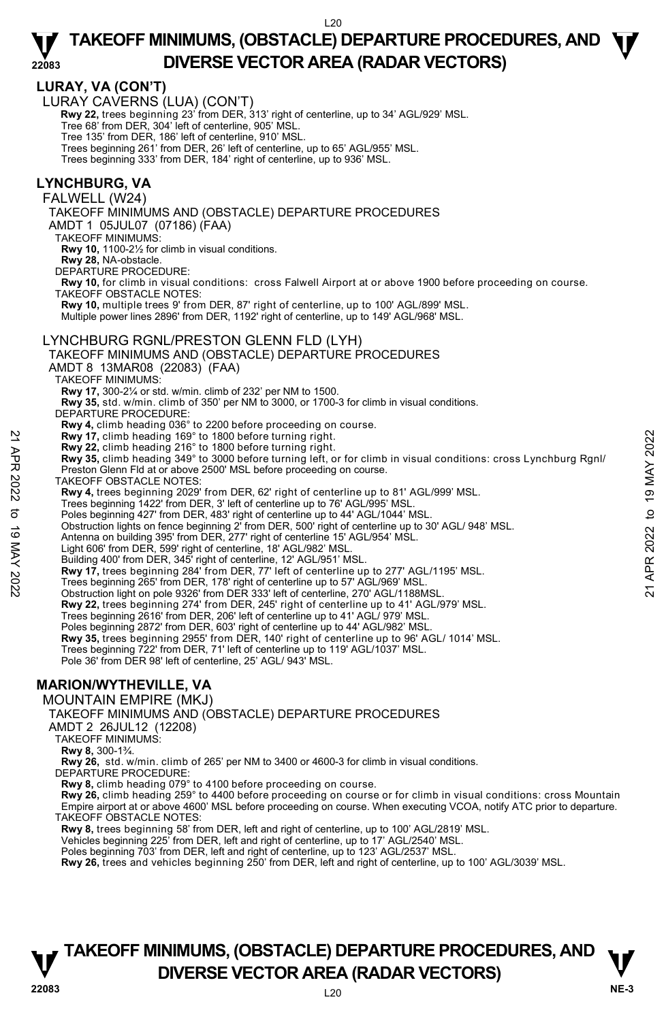## **LURAY, VA (CON'T)**

**22083** 

LURAY CAVERNS (LUA) (CON'T)

 **Rwy 22,** trees beginning 23' from DER, 313' right of centerline, up to 34' AGL/929' MSL. Tree 68' from DER, 304' left of centerline, 905' MSL.

- Tree 135' from DER, 186' left of centerline, 910' MSL. Trees beginning 261' from DER, 26' left of centerline, up to 65' AGL/955' MSL.
- Trees beginning 333' from DER, 184' right of centerline, up to 936' MSL.

#### **LYNCHBURG, VA**

FALWELL (W24)

TAKEOFF MINIMUMS AND (OBSTACLE) DEPARTURE PROCEDURES

AMDT 1 05JUL07 (07186) (FAA)

TAKEOFF MINIMUMS:

**Rwy 10,** 1100-2½ for climb in visual conditions.

**Rwy 28,** NA-obstacle.

DEPARTURE PROCEDURE:

**Rwy 10,** for climb in visual conditions: cross Falwell Airport at or above 1900 before proceeding on course. TAKEOFF OBSTACLE NOTES:

**Rwy 10,** multiple trees 9' from DER, 87' right of centerline, up to 100' AGL/899' MSL.

Multiple power lines 2896' from DER, 1192' right of centerline, up to 149' AGL/968' MSL.

#### LYNCHBURG RGNL/PRESTON GLENN FLD (LYH)

TAKEOFF MINIMUMS AND (OBSTACLE) DEPARTURE PROCEDURES

AMDT 8 13MAR08 (22083) (FAA)

TAKEOFF MINIMUMS:

**Rwy 17,** 300-2¼ or std. w/min. climb of 232' per NM to 1500.

**Rwy 35,** std. w/min. climb of 350' per NM to 3000, or 1700-3 for climb in visual conditions.

DEPARTURE PROCEDURE:

**Rwy 4,** climb heading 036° to 2200 before proceeding on course.

- 
- **Rwy 17,** climb heading 169° to 1800 before turning right. **Rwy 22,** climb heading 216° to 1800 before turning right.
- **Rwy 35,** climb heading 349° to 3000 before turning left, or for climb in visual conditions: cross Lynchburg Rgnl/ Preston Glenn Fld at or above 2500' MSL before proceeding on course. **Example 12**<br> **Example 10** Apple 10 1800 before turning right.<br> **Example 21** APR 2022 to 1900 before turning right.<br> **Example 12** and the computer in the state of the state of the state of the state of the state of CHS an
	- TAKEOFF OBSTACLE NOTES:

**Rwy 4,** trees beginning 2029' from DER, 62' right of centerline up to 81' AGL/999' MSL.

Trees beginning 1422' from DER, 3' left of centerline up to 76' AGL/995' MSL. Poles beginning 427' from DER, 483' right of centerline up to 44' AGL/1044' MSL.

Obstruction lights on fence beginning 2' from DER, 500' right of centerline up to 30' AGL/ 948' MSL.

Antenna on building 395' from DER, 277' right of centerline 15' AGL/954' MSL. Light 606' from DER, 599' right of centerline, 18' AGL/982' MSL.

Building 400' from DER, 345' right of centerline, 12' AGL/951' MSL.

**Rwy 17,** trees beginning 284' from DER, 77' left of centerline up to 277' AGL/1195' MSL.

Trees beginning 265' from DER, 178' right of centerline up to 57' AGL/969' MSL.

Obstruction light on pole 9326' from DER 333' left of centerline, 270' AGL/1188MSL.

**Rwy 22,** trees beginning 274' from DER, 245' right of centerline up to 41' AGL/979' MSL.

Trees beginning 2616' from DER, 206' left of centerline up to 41' AGL/ 979' MSL. Poles beginning 2872' from DER, 603' right of centerline up to 44' AGL/982' MSL.

**Rwy 35,** trees beginning 2955' from DER, 140' right of centerline up to 96' AGL/ 1014' MSL.

Trees beginning 722' from DER, 71' left of centerline up to 119' AGL/1037' MSL.

Pole 36' from DER 98' left of centerline, 25' AGL/ 943' MSL.

# **MARION/WYTHEVILLE, VA**

MOUNTAIN EMPIRE (MKJ)

TAKEOFF MINIMUMS AND (OBSTACLE) DEPARTURE PROCEDURES

AMDT 2 26JUL12 (12208)

TAKEOFF MINIMUMS:

**Rwy 8,** 300-1¾.

**Rwy 26,** std. w/min. climb of 265' per NM to 3400 or 4600-3 for climb in visual conditions. DEPARTURE PROCEDURE:

**Rwy 8,** climb heading 079° to 4100 before proceeding on course.

**Rwy 26,** climb heading 259° to 4400 before proceeding on course or for climb in visual conditions: cross Mountain Empire airport at or above 4600' MSL before proceeding on course. When executing VCOA, notify ATC prior to departure. TAKEOFF OBSTACLE NOTES:

**Rwy 8,** trees beginning 58' from DER, left and right of centerline, up to 100' AGL/2819' MSL.

Vehicles beginning 225' from DER, left and right of centerline, up to 17' AGL/2540' MSL.

Poles beginning 703' from DER, left and right of centerline, up to 123' AGL/2537' MSL.

**Rwy 26,** trees and vehicles beginning 250' from DER, left and right of centerline, up to 100' AGL/3039' MSL.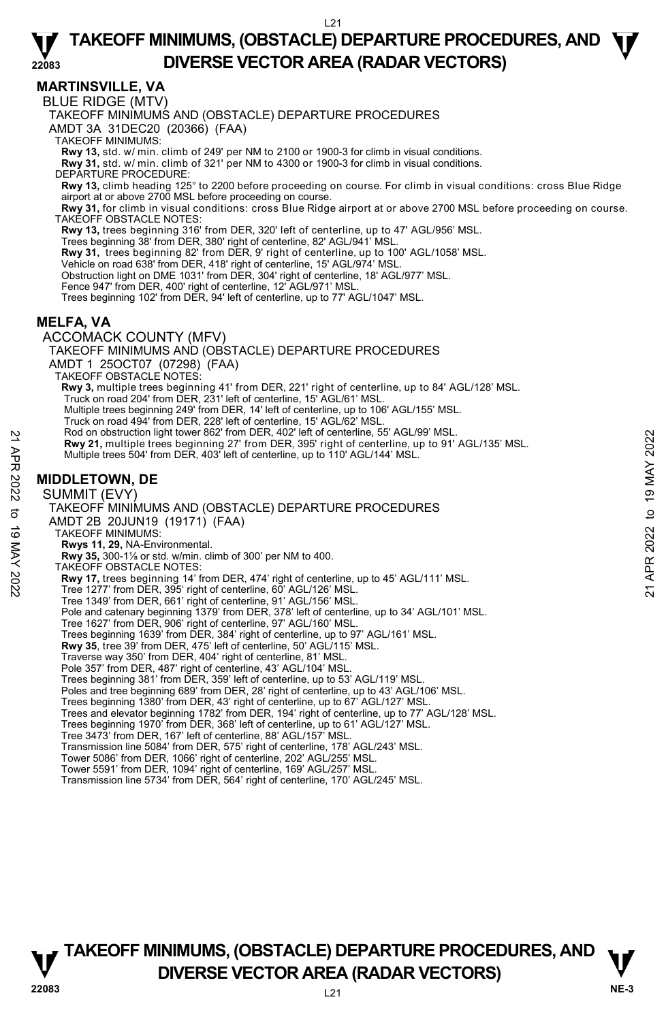**MARTINSVILLE, VA** 

BLUE RIDGE (MTV)

TAKEOFF MINIMUMS AND (OBSTACLE) DEPARTURE PROCEDURES

AMDT 3A 31DEC20 (20366) (FAA)

TAKEOFF MINIMUMS:

**Rwy 13,** std. w/ min. climb of 249' per NM to 2100 or 1900-3 for climb in visual conditions. **Rwy 31,** std. w/ min. climb of 321' per NM to 4300 or 1900-3 for climb in visual conditions.

DEPARTURE PROCEDURE:

**Rwy 13,** climb heading 125° to 2200 before proceeding on course. For climb in visual conditions: cross Blue Ridge airport at or above 2700 MSL before proceeding on course.

**Rwy 31,** for climb in visual conditions: cross Blue Ridge airport at or above 2700 MSL before proceeding on course. TAKEOFF OBSTACLE NOTES:

**Rwy 13,** trees beginning 316' from DER, 320' left of centerline, up to 47' AGL/956' MSL.

Trees beginning 38' from DER, 380' right of centerline, 82' AGL/941' MSL.

**Rwy 31,** trees beginning 82' from DER, 9' right of centerline, up to 100' AGL/1058' MSL.

Vehicle on road 638' from DER, 418' right of centerline, 15' AGL/974' MSL.

Obstruction light on DME 1031' from DER, 304' right of centerline, 18' AGL/977' MSL.

Fence 947' from DER, 400' right of centerline, 12' AGL/971' MSL.

Trees beginning 102' from DER, 94' left of centerline, up to 77' AGL/1047' MSL.

#### **MELFA, VA**

ACCOMACK COUNTY (MFV) TAKEOFF MINIMUMS AND (OBSTACLE) DEPARTURE PROCEDURES AMDT 1 25OCT07 (07298) (FAA) TAKEOFF OBSTACLE NOTES: **Rwy 3,** multiple trees beginning 41' from DER, 221' right of centerline, up to 84' AGL/128' MSL.<br>Truck on road 204' from DER, 231' left of centerline, 15' AGL/61' MSL. Multiple trees beginning 249' from DER, 14' left of centerline, up to 106' AGL/155' MSL. Truck on road 494' from DER, 228' left of centerline, 15' AGL/62' MSL. Rod on obstruction light tower 862' from DER, 402' left of centerline, 55' AGL/99' MSL. **Rwy 21,** multiple trees beginning 27' from DER, 395' right of centerline, up to 91' AGL/135' MSL. Multiple trees 504' from DER, 403' left of centerline, up to 110' AGL/144' MSL.

#### **MIDDLETOWN, DE**

SUMMIT (EVY) TAKEOFF MINIMUMS AND (OBSTACLE) DEPARTURE PROCEDURES AMDT 2B 20JUN19 (19171) (FAA) TAKEOFF MINIMUMS: **Rwys 11, 29,** NA-Environmental. **Rwy 35,** 300-1⅛ or std. w/min. climb of 300' per NM to 400. TAKEOFF OBSTACLE NOTES: **Rwy 17,** trees beginning 14' from DER, 474' right of centerline, up to 45' AGL/111' MSL.<br>Tree 1277' from DER, 395' right of centerline, 60' AGL/126' MSL. Tree 1349' from DER, 661' right of centerline, 91' AGL/156' MSL. Pole and catenary beginning 1379' from DER, 378' left of centerline, up to 34' AGL/101' MSL. Tree 1627' from DER, 906' right of centerline, 97' AGL/160' MSL. Trees beginning 1639' from DER, 384' right of centerline, up to 97' AGL/161' MSL. **Rwy 35**, tree 39' from DER, 475' left of centerline, 50' AGL/115' MSL. Traverse way 350' from DER, 404' right of centerline, 81' MSL. Pole 357' from DER, 487' right of centerline, 43' AGL/104' MSL Trees beginning 381' from DER, 359' left of centerline, up to 53' AGL/119' MSL. Poles and tree beginning 689' from DER, 28' right of centerline, up to 43' AGL/106' MSL. Trees beginning 1380' from DER, 43' right of centerline, up to 67' AGL/127' MSL. Trees and elevator beginning 1782' from DER, 194' right of centerline, up to 77' AGL/128' MSL. Trees beginning 1970' from DER, 368' left of centerline, up to 61' AGL/127' MSL. Tree 3473' from DER, 167' left of centerline, 88' AGL/157' MSL. 22 Road obstruction light tower 852 Trom DER, 402 left of centerline, up to 91' AGL/135' MSL.<br>
22 Multiple trees 504' from DER, 403' left of centerline, up to 110' AGL/144' MSL.<br>
22 MIDDLETOWN, DE<br>
22 MIDDLETOWN, DE<br>
22 M

Transmission line 5084' from DER, 575' right of centerline, 178' AGL/243' MSL.

Tower 5086' from DER, 1066' right of centerline, 202' AGL/255' MSL.

Tower 5591' from DER, 1094' right of centerline, 169' AGL/257' MSL. Transmission line 5734' from DER, 564' right of centerline, 170' AGL/245' MSL.

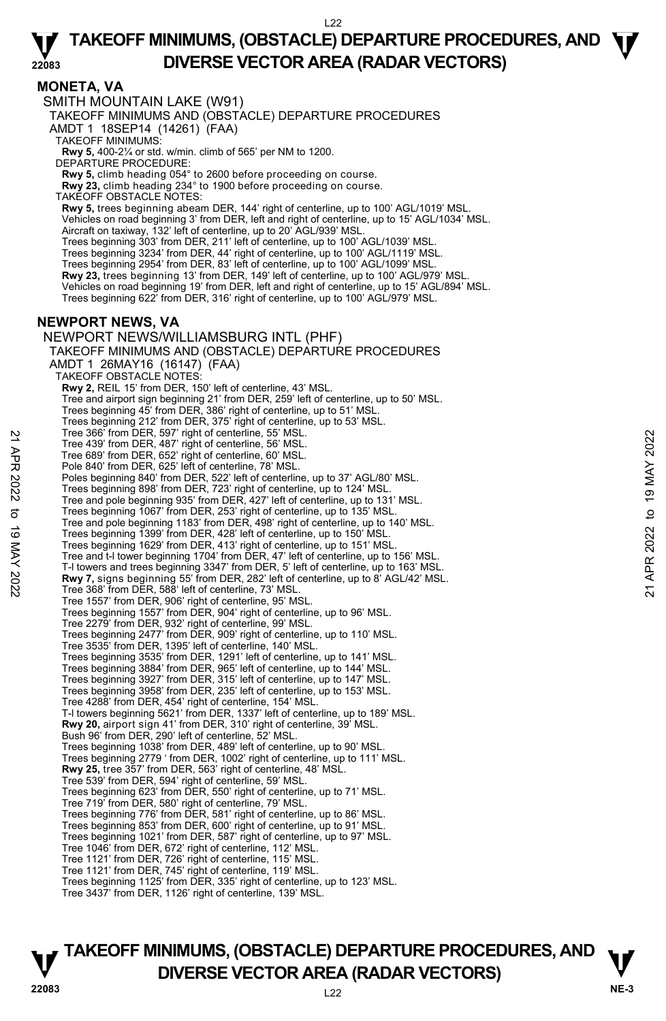#### **MONETA, VA**

SMITH MOUNTAIN LAKE (W91) TAKEOFF MINIMUMS AND (OBSTACLE) DEPARTURE PROCEDURES AMDT 1 18SEP14 (14261) (FAA) TAKEOFF MINIMUMS: **Rwy 5,** 400-2¼ or std. w/min. climb of 565' per NM to 1200. DEPARTURE PROCEDURE: **Rwy 5,** climb heading 054° to 2600 before proceeding on course. **Rwy 23,** climb heading 234° to 1900 before proceeding on course. TAKEOFF OBSTACLE NOTES: **Rwy 5,** trees beginning abeam DER, 144' right of centerline, up to 100' AGL/1019' MSL. Vehicles on road beginning 3' from DER, left and right of centerline, up to 15' AGL/1034' MSL. Aircraft on taxiway, 132' left of centerline, up to 20' AGL/939' MSL. Trees beginning 303' from DER, 211' left of centerline, up to 100' AGL/1039' MSL. Trees beginning 3234' from DER, 44' right of centerline, up to 100' AGL/1119' MSL. Trees beginning 2954' from DER, 83' left of centerline, up to 100' AGL/1099' MSL. **Rwy 23,** trees beginning 13' from DER, 149' left of centerline, up to 100' AGL/979' MSL. Vehicles on road beginning 19' from DER, left and right of centerline, up to 15' AGL/894' MSL. Trees beginning 622' from DER, 316' right of centerline, up to 100' AGL/979' MSL. **NEWPORT NEWS, VA**  NEWPORT NEWS/WILLIAMSBURG INTL (PHF) TAKEOFF MINIMUMS AND (OBSTACLE) DEPARTURE PROCEDURES AMDT 1 26MAY16 (16147) (FAA) TAKEOFF OBSTACLE NOTES: **Rwy 2,** REIL 15' from DER, 150' left of centerline, 43' MSL. Tree and airport sign beginning 21' from DER, 259' left of centerline, up to 50' MSL. Trees beginning 45' from DER, 386' right of centerline, up to 51' MSL. Trees beginning 212' from DER, 375' right of centerline, up to 53' MSL. Tree 366' from DER, 597' right of centerline, 55' MSL. Tree 439' from DER, 487' right of centerline, 56' MSL. Tree 689' from DER, 652' right of centerline, 60' MSL. Pole 840' from DER, 625' left of centerline, 78' MSL. Poles beginning 840' from DER, 522' left of centerline, up to 37' AGL/80' MSL. Trees beginning 898' from DER, 723' right of centerline, up to 124' MSL. Tree and pole beginning 935' from DER, 427' left of centerline, up to 131' MSL. Trees beginning 1067' from DER, 253' right of centerline, up to 135' MSL. Tree and pole beginning 1183' from DER, 498' right of centerline, up to 140' MSL. Trees beginning 1399' from DER, 428' left of centerline, up to 150' MSL. Trees beginning 1629' from DER, 413' right of centerline, up to 151' MSL. Tree and t-l tower beginning 1704' from DER, 47' left of centerline, up to 156' MSL. T-l towers and trees beginning 3347' from DER, 5' left of centerline, up to 163' MSL. **Rwy 7,** signs beginning 55' from DER, 282' left of centerline, up to 8' AGL/42' MSL.<br>Tree 368' from DER, 588' left of centerline, 73' MSL. Tree 1557' from DER, 906' right of centerline, 95' MSL. Trees beginning 1557' from DER, 904' right of centerline, up to 96' MSL. Tree 2279' from DER, 932' right of centerline, 99' MSL. Trees beginning 2477' from DER, 909' right of centerline, up to 110' MSL. Tree 3535' from DER, 1395' left of centerline, 140' MSL. Trees beginning 3535' from DER, 1291' left of centerline, up to 141' MSL. Trees beginning 3884' from DER, 965' left of centerline, up to 144' MSL. Trees beginning 3927' from DER, 315' left of centerline, up to 147' MSL. Trees beginning 3958' from DER, 235' left of centerline, up to 153' MSL. Tree 4288' from DER, 454' right of centerline, 154' MSL. T-l towers beginning 5621' from DER, 1337' left of centerline, up to 189' MSL. **Rwy 20,** airport sign 41' from DER, 310' right of centerline, 39' MSL. Bush 96' from DER, 290' left of centerline, 52' MSL. Trees beginning 1038' from DER, 489' left of centerline, up to 90' MSL. Trees beginning 2779 ' from DER, 1002' right of centerline, up to 111' MSL. **Rwy 25,** tree 357' from DER, 563' right of centerline, 48' MSL. Tree 539' from DER, 594' right of centerline, 59' MSL. Trees beginning 623' from DER, 550' right of centerline, up to 71' MSL. Tree 719' from DER, 580' right of centerline, 79' MSL. Trees beginning 776' from DER, 581' right of centerline, up to 86' MSL. Trees beginning 853' from DER, 600' right of centerline, up to 91' MSL. Trees beginning 1021' from DER, 587' right of centerline, up to 97' MSL. Tree 1046' from DER, 672' right of centerline, 112' MSL. Tree 1121' from DER, 726' right of centerline, 115' MSL. Tree 1121' from DER, 745' right of centerline, 119' MSL. Trees beginning 1125' from DER, 335' right of centerline, up to 123' MSL. Tree 3437' from DER, 1126' right of centerline, 139' MSL. Tree 309' from DER, 99' right of centerline, 56' MSL.<br>
Tree 439' from DER, 487' right of centerline, 60' MSL.<br>
Pole 840' from DER, 652' left of centerline, 78' MSL.<br>
Poles beginning 840' from DER, 522' left of centerline,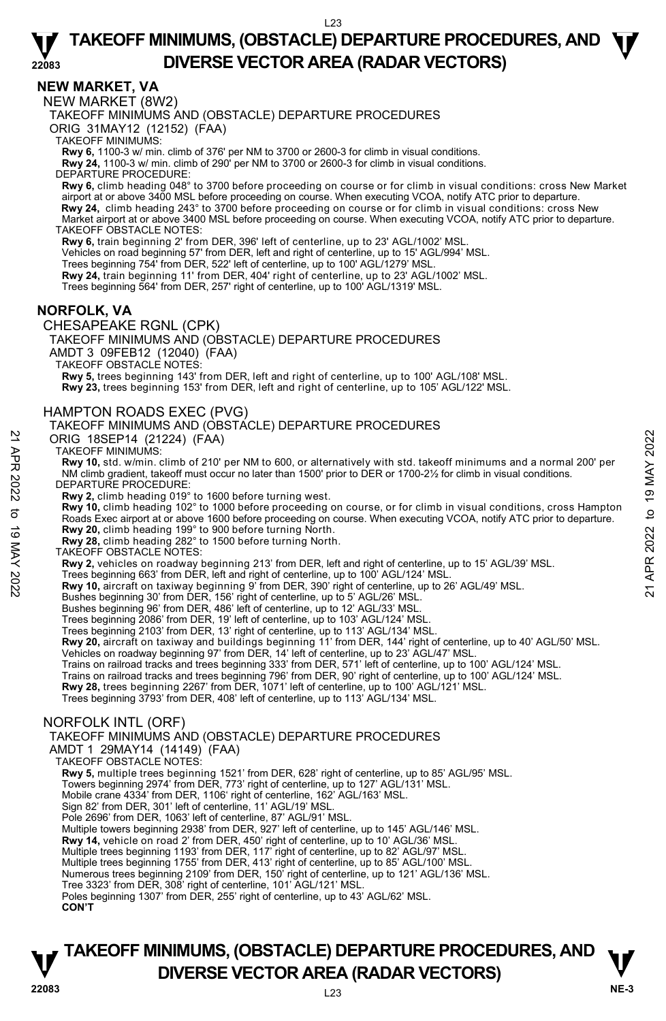#### **NEW MARKET, VA**

NEW MARKET (8W2)

TAKEOFF MINIMUMS AND (OBSTACLE) DEPARTURE PROCEDURES

ORIG 31MAY12 (12152) (FAA)

TAKEOFF MINIMUMS:

**Rwy 6,** 1100-3 w/ min. climb of 376' per NM to 3700 or 2600-3 for climb in visual conditions. **Rwy 24,** 1100-3 w/ min. climb of 290' per NM to 3700 or 2600-3 for climb in visual conditions.

DEPARTURE PROCEDURE:

**Rwy 6,** climb heading 048° to 3700 before proceeding on course or for climb in visual conditions: cross New Market airport at or above 3400 MSL before proceeding on course. When executing VCOA, notify ATC prior to departure. **Rwy 24,** climb heading 243° to 3700 before proceeding on course or for climb in visual conditions: cross New Market airport at or above 3400 MSL before proceeding on course. When executing VCOA, notify ATC prior to departure. TAKEOFF OBSTACLE NOTES:

**Rwy 6,** train beginning 2' from DER, 396' left of centerline, up to 23' AGL/1002' MSL.

Vehicles on road beginning 57' from DER, left and right of centerline, up to 15' AGL/994' MSL.

Trees beginning 754' from DER, 522' left of centerline, up to 100' AGL/1279' MSL.

**Rwy 24,** train beginning 11' from DER, 404' right of centerline, up to 23' AGL/1002' MSL.

Trees beginning 564' from DER, 257' right of centerline, up to 100' AGL/1319' MSL.

#### **NORFOLK, VA**

#### CHESAPEAKE RGNL (CPK)

TAKEOFF MINIMUMS AND (OBSTACLE) DEPARTURE PROCEDURES AMDT 3 09FEB12 (12040) (FAA)

TAKEOFF OBSTACLE NOTES:

**Rwy 5,** trees beginning 143' from DER, left and right of centerline, up to 100' AGL/108' MSL.

**Rwy 23,** trees beginning 153' from DER, left and right of centerline, up to 105' AGL/122' MSL.

#### HAMPTON ROADS EXEC (PVG)

#### TAKEOFF MINIMUMS AND (OBSTACLE) DEPARTURE PROCEDURES

ORIG 18SEP14 (21224) (FAA)

TAKEOFF MINIMUMS:

**Rwy 10,** std. w/min. climb of 210' per NM to 600, or alternatively with std. takeoff minimums and a normal 200' per NM climb gradient, takeoff must occur no later than 1500' prior to DER or 1700-2½ for climb in visual conditions. DEPARTURE PROCEDURE:

**Rwy 2,** climb heading 019° to 1600 before turning west.<br>**Rwy 10,** climb heading 102° to 1000 before proceeding on course, or for climb in visual conditions, cross Hampton Roads Exec airport at or above 1600 before proceeding on course. When executing VCOA, notify ATC prior to departure. **Rwy 20,** climb heading 199° to 900 before turning North. **Rwy 28,** climb heading 282° to 1500 before turning North. ORIG 18SEP14 (21224) (FAA)<br>
TAKEOFF MINIMUMS:<br>
TAW TRIMINUMS:<br>
Note of the state of the state of the state of the state of the state of the state of the state of the state of the state of the state of the state of the sta

TAKEOFF OBSTACLE NOTES:

**Rwy 2,** vehicles on roadway beginning 213' from DER, left and right of centerline, up to 15' AGL/39' MSL.

Trees beginning 663' from DER, left and right of centerline, up to 100' AGL/124' MSL.<br>**Rwy 10,** aircraft on taxiway beginning 9' from DER, 390' right of centerline, up to 26' AGL/49' MSL.

Bushes beginning 30' from DER, 156' right of centerline, up to 5' AGL/26' MSL.

Bushes beginning 96' from DER, 486' left of centerline, up to 12' AGL/33' MSL. Trees beginning 2086' from DER, 19' left of centerline, up to 103' AGL/124' MSL.

Trees beginning 2103' from DER, 13' right of centerline, up to 113' AGL/134' MSL.

**Rwy 20,** aircraft on taxiway and buildings beginning 11' from DER, 144' right of centerline, up to 40' AGL/50' MSL.

Vehicles on roadway beginning 97' from DER, 14' left of centerline, up to 23' AGL/47' MSL. Trains on railroad tracks and trees beginning 333' from DER, 571' left of centerline, up to 100' AGL/124' MSL.

Trains on railroad tracks and trees beginning 796' from DER, 90' right of centerline, up to 100' AGL/124' MSL.

**Rwy 28,** trees beginning 2267' from DER, 1071' left of centerline, up to 100' AGL/121' MSL.<br>Trees beginning 3793' from DER, 408' left of centerline, up to 113' AGL/134' MSL.

#### NORFOLK INTL (ORF)

TAKEOFF MINIMUMS AND (OBSTACLE) DEPARTURE PROCEDURES

AMDT 1 29MAY14 (14149) (FAA)

TAKEOFF OBSTACLE NOTES:

**Rwy 5,** multiple trees beginning 1521' from DER, 628' right of centerline, up to 85' AGL/95' MSL.

Towers beginning 2974' from DER, 773' right of centerline, up to 127' AGL/131' MSL.

Mobile crane 4334' from DER, 1106' right of centerline, 162' AGL/163' MSL.

Sign 82' from DER, 301' left of centerline, 11' AGL/19' MSL.

Pole 2696' from DER, 1063' left of centerline, 87' AGL/91' MSL.

Multiple towers beginning 2938' from DER, 927' left of centerline, up to 145' AGL/146' MSL.

**Rwy 14,** vehicle on road 2' from DER, 450' right of centerline, up to 10' AGL/36' MSL.<br>Multiple trees beginning 1193' from DER, 117' right of centerline, up to 82' AGL/97' MSL.<br>Multiple trees beginning 1755' from DER, 413

Numerous trees beginning 2109' from DER, 150' right of centerline, up to 121' AGL/136' MSL.

Tree 3323' from DER, 308' right of centerline, 101' AGL/121' MSL. Poles beginning 1307' from DER, 255' right of centerline, up to 43' AGL/62' MSL. **CON'T**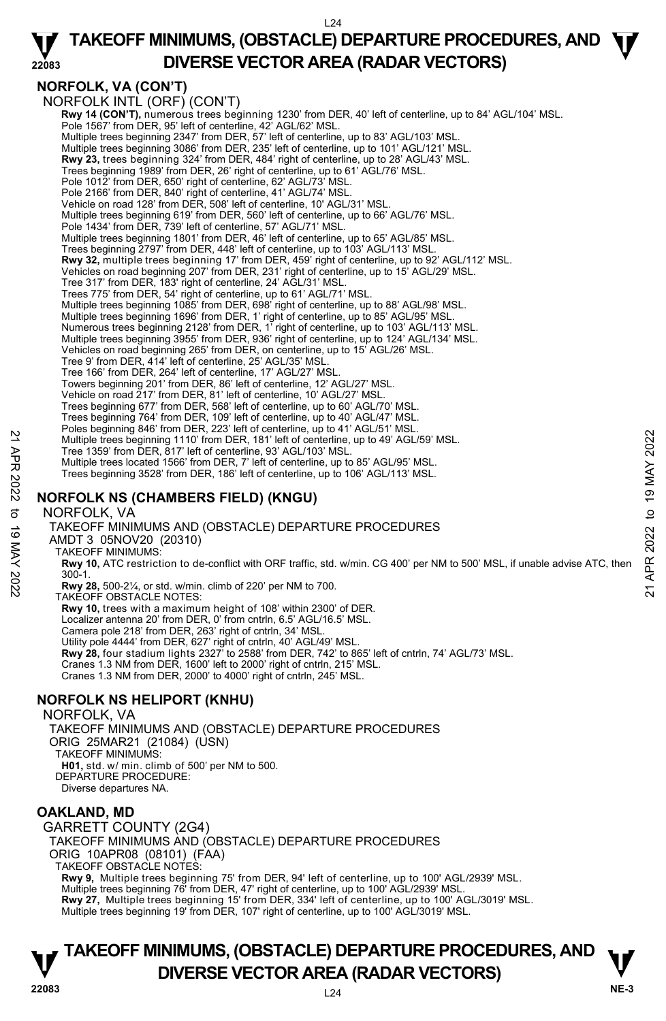#### L24

**TAKEOFF MINIMUMS, (OBSTACLE) DEPARTURE PROCEDURES, AND**  $\Psi$ 

# **NORFOLK, VA (CON'T)**

**22083 DIVERSE VECTOR AREA (RADAR VECTORS)**  NORFOLK INTL (ORF) (CON'T) **Rwy 14 (CON'T),** numerous trees beginning 1230' from DER, 40' left of centerline, up to 84' AGL/104' MSL.<br>Pole 1567' from DER, 95' left of centerline, 42' AGL/62' MSL. Multiple trees beginning 2347' from DER, 57' left of centerline, up to 83' AGL/103' MSL.<br>Multiple trees beginning 3086' from DER, 235' left of centerline, up to 101' AGL/121' MSL.<br>**Rwy 23,** trees beginning 324' from DER, 4 Trees beginning 1989' from DER, 26' right of centerline, up to 61' AGL/76' MSL. Pole 1012' from DER, 650' right of centerline, 62' AGL/73' MSL. Pole 2166' from DER, 840' right of centerline, 41' AGL/74' MSL. Vehicle on road 128' from DER, 508' left of centerline, 10' AGL/31' MSL. Multiple trees beginning 619' from DER, 560' left of centerline, up to 66' AGL/76' MSL. Pole 1434' from DER, 739' left of centerline, 57' AGL/71' MSL. Multiple trees beginning 1801' from DER, 46' left of centerline, up to 65' AGL/85' MSL. Trees beginning 2797' from DER, 448' left of centerline, up to 103' AGL/113' MSL. **Rwy 32,** multiple trees beginning 17' from DER, 459' right of centerline, up to 92' AGL/112' MSL. Vehicles on road beginning 207' from DER, 231' right of centerline, up to 15' AGL/29' MSL. Tree 317' from DER, 183' right of centerline, 24' AGL/31' MSL. Trees 775' from DER, 54' right of centerline, up to 61' AGL/71' MSL. Multiple trees beginning 1085' from DER, 698' right of centerline, up to 88' AGL/98' MSL. Multiple trees beginning 1696' from DER, 1' right of centerline, up to 85' AGL/95' MSL. Numerous trees beginning 2128' from DER, 1' right of centerline, up to 103' AGL/113' MSL. Multiple trees beginning 3955' from DER, 936' right of centerline, up to 124' AGL/134' MSL. Vehicles on road beginning 265' from DER, on centerline, up to 15' AGL/26' MSL. Tree 9' from DER, 414' left of centerline, 25' AGL/35' MSL. Tree 166' from DER, 264' left of centerline, 17' AGL/27' MSL. Towers beginning 201' from DER, 86' left of centerline, 12' AGL/27' MSL. Vehicle on road 217' from DER, 81' left of centerline, 10' AGL/27' MSL. Trees beginning 677' from DER, 568' left of centerline, up to 60' AGL/70' MSL. Trees beginning 764' from DER, 109' left of centerline, up to 40' AGL/47' MSL. Poles beginning 846' from DER, 223' left of centerline, up to 41' AGL/51' MSL. Multiple trees beginning 1110' from DER, 181' left of centerline, up to 49' AGL/59' MSL. Tree 1359' from DER, 817' left of centerline, 93' AGL/103' MSL. Multiple trees located 1566' from DER, 7' left of centerline, up to 85' AGL/95' MSL. Trees beginning 3528' from DER, 186' left of centerline, up to 106' AGL/113' MSL. **NORFOLK NS (CHAMBERS FIELD) (KNGU)**  NORFOLK, VA TAKEOFF MINIMUMS AND (OBSTACLE) DEPARTURE PROCEDURES AMDT 3 05NOV20 (20310) TAKEOFF MINIMUMS: **Rwy 10,** ATC restriction to de-conflict with ORF traffic, std. w/min. CG 400' per NM to 500' MSL, if unable advise ATC, then 300-1. **Rwy 28,** 500-2¼, or std. w/min. climb of 220' per NM to 700. 21<br>
Multiple trees beginning 1110' from DER, 181' left of centerline, up to 49' AGL/59' MSL.<br>
Tree 1359' from DER, 81' left of centerline, and the USBS' MSL.<br>
Multiple trees located 1566' from DER, 7' left of centerline,

TAKEOFF OBSTACLE NOTES:

**Rwy 10,** trees with a maximum height of 108' within 2300' of DER. Localizer antenna 20' from DER, 0' from cntrln, 6.5' AGL/16.5' MSL. Camera pole 218' from DER, 263' right of cntrln, 34' MSL. Utility pole 4444' from DER, 627' right of cntrln, 40' AGL/49' MSL. **Rwy 28,** four stadium lights 2327' to 2588' from DER, 742' to 865' left of cntrln, 74' AGL/73' MSL.<br>Cranes 1.3 NM from DER, 1600' left to 2000' right of cntrln, 215' MSL.

Cranes 1.3 NM from DER, 2000' to 4000' right of cntrln, 245' MSL.

## **NORFOLK NS HELIPORT (KNHU)**

NORFOLK, VA

TAKEOFF MINIMUMS AND (OBSTACLE) DEPARTURE PROCEDURES ORIG 25MAR21 (21084) (USN) TAKEOFF MINIMUMS: **H01,** std. w/ min. climb of 500' per NM to 500. DEPARTURE PROCEDURE: Diverse departures NA. **OAKLAND, MD** 

GARRETT COUNTY (2G4) TAKEOFF MINIMUMS AND (OBSTACLE) DEPARTURE PROCEDURES ORIG 10APR08 (08101) (FAA) TAKEOFF OBSTACLE NOTES: **Rwy 9,** Multiple trees beginning 75' from DER, 94' left of centerline, up to 100' AGL/2939' MSL.<br>Multiple trees beginning 76' from DER, 47' right of centerline, up to 100' AGL/2939' MSL. **Rwy 27,** Multiple trees beginning 15' from DER, 334' left of centerline, up to 100' AGL/3019' MSL. Multiple trees beginning 19' from DER, 107' right of centerline, up to 100' AGL/3019' MSL.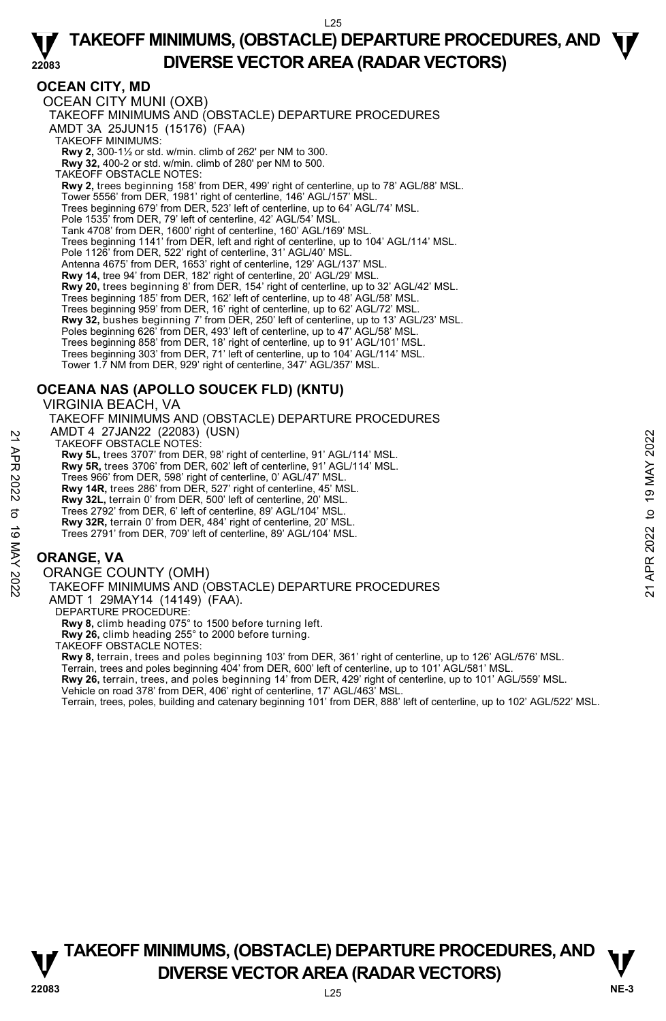## **OCEAN CITY, MD**

OCEAN CITY MUNI (OXB) TAKEOFF MINIMUMS AND (OBSTACLE) DEPARTURE PROCEDURES AMDT 3A 25JUN15 (15176) (FAA) TAKEOFF MINIMUMS: **Rwy 2,** 300-1½ or std. w/min. climb of 262' per NM to 300. **Rwy 32,** 400-2 or std. w/min. climb of 280' per NM to 500. TAKEOFF OBSTACLE NOTES: **Rwy 2,** trees beginning 158' from DER, 499' right of centerline, up to 78' AGL/88' MSL. Tower 5556' from DER, 1981' right of centerline, 146' AGL/157' MSL. Trees beginning 679' from DER, 523' left of centerline, up to 64' AGL/74' MSL. Pole 1535' from DER, 79' left of centerline, 42' AGL/54' MSL. Tank 4708' from DER, 1600' right of centerline, 160' AGL/169' MSL. Trees beginning 1141' from DER, left and right of centerline, up to 104' AGL/114' MSL. Pole 1126' from DER, 522' right of centerline, 31' AGL/40' MSL. Antenna 4675' from DER, 1653' right of centerline, 129' AGL/137' MSL. **Rwy 14,** tree 94' from DER, 182' right of centerline, 20' AGL/29' MSL. **Rwy 20,** trees beginning 8' from DER, 154' right of centerline, up to 32' AGL/42' MSL. Trees beginning 185' from DER, 162' left of centerline, up to 48' AGL/58' MSL. Trees beginning 959' from DER, 16' right of centerline, up to 62' AGL/72' MSL. **Rwy 32,** bushes beginning 7' from DER, 250' left of centerline, up to 13' AGL/23' MSL. Poles beginning 626<sup>7</sup> from DER, 493' left of centerline, up to 47' AGL/58' MSL. Trees beginning 858' from DER, 18' right of centerline, up to 91' AGL/101' MSL. Trees beginning 303' from DER, 71' left of centerline, up to 104' AGL/114' MSL. Tower 1.7 NM from DER, 929' right of centerline, 347' AGL/357' MSL.

# **OCEANA NAS (APOLLO SOUCEK FLD) (KNTU)**

VIRGINIA BEACH, VA TAKEOFF MINIMUMS AND (OBSTACLE) DEPARTURE PROCEDURES AMDT 4 27JAN22 (22083) (USN) TAKEOFF OBSTACLE NOTES: **Rwy 5L,** trees 3707' from DER, 98' right of centerline, 91' AGL/114' MSL.  **Rwy 5R,** trees 3706' from DER, 602' left of centerline, 91' AGL/114' MSL. Trees 966' from DER, 598' right of centerline, 0' AGL/47' MSL.  **Rwy 14R,** trees 286' from DER, 527' right of centerline, 45' MSL.  **Rwy 32L,** terrain 0' from DER, 500' left of centerline, 20' MSL. Trees 2792' from DER, 6' left of centerline, 89' AGL/104' MSL.  **Rwy 32R,** terrain 0' from DER, 484' right of centerline, 20' MSL. Trees 2791' from DER, 709' left of centerline, 89' AGL/104' MSL. AND THE 21 JANNZE (22003) (USIN)<br>
TAKEOFF OBSTACLE NOTES:<br> **21 Rwy 5L**, trees 3707' from DER, 98' right of centerline, 91' AGL/114' MSL.<br> **22** Rwy 5R, trees 3707' from DER, 698' right of centerline, 91' AGL/47' MSL.<br> **22**

## **ORANGE, VA**

ORANGE COUNTY (OMH) TAKEOFF MINIMUMS AND (OBSTACLE) DEPARTURE PROCEDURES AMDT 1 29MAY14 (14149) (FAA). DEPARTURE PROCEDURE **Rwy 8,** climb heading 075° to 1500 before turning left. **Rwy 26,** climb heading 255° to 2000 before turning. TAKEOFF OBSTACLE NOTES:

**Rwy 8,** terrain, trees and poles beginning 103' from DER, 361' right of centerline, up to 126' AGL/576' MSL.<br>Terrain, trees and poles beginning 404' from DER, 600' left of centerline, up to 101' AGL/581' MSL. **Rwy 26,** terrain, trees, and poles beginning 14' from DER, 429' right of centerline, up to 101' AGL/559' MSL. Vehicle on road 378' from DER, 406' right of centerline, 17' AGL/463' MSL.

Terrain, trees, poles, building and catenary beginning 101' from DER, 888' left of centerline, up to 102' AGL/522' MSL.

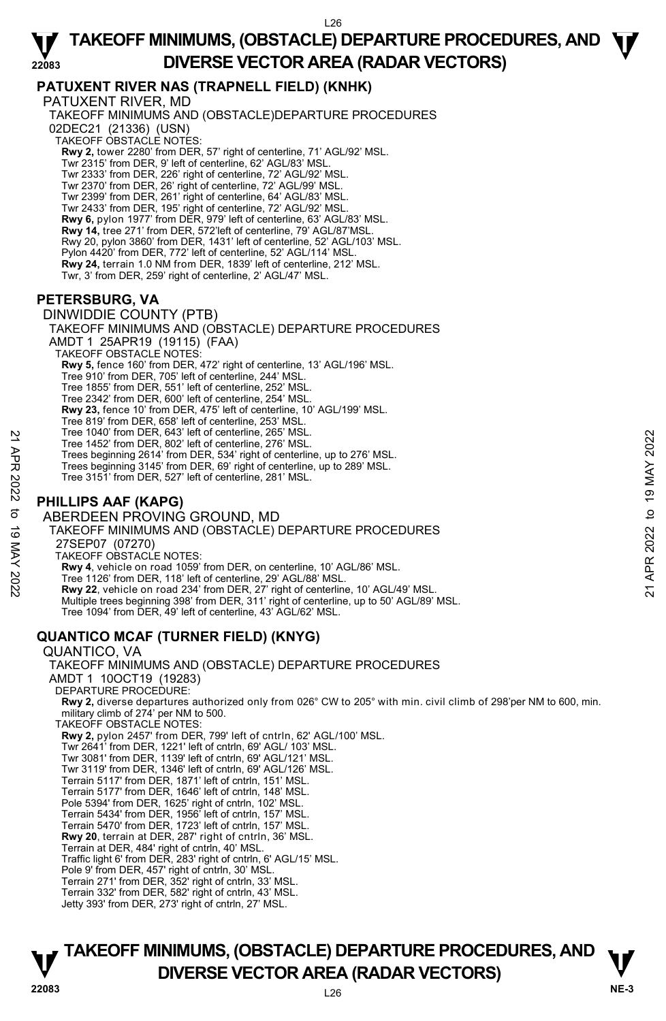# **PATUXENT RIVER NAS (TRAPNELL FIELD) (KNHK)**

PATUXENT RIVER, MD TAKEOFF MINIMUMS AND (OBSTACLE)DEPARTURE PROCEDURES 02DEC21 (21336) (USN) TAKEOFF OBSTACLE NOTES: **Rwy 2,** tower 2280' from DER, 57' right of centerline, 71' AGL/92' MSL. Twr 2315' from DER, 9' left of centerline, 62' AGL/83' MSL. Twr 2333' from DER, 226' right of centerline, 72' AGL/92' MSL.

Twr 2370' from DER, 26' right of centerline, 72' AGL/99' MSL. Twr 2399' from DER, 261' right of centerline, 64' AGL/83' MSL. Twr 2433' from DER, 195' right of centerline, 72' AGL/92' MSL. **Rwy 6,** pylon 1977' from DER, 979' left of centerline, 63' AGL/83' MSL. **Rwy 14,** tree 271' from DER, 572'left of centerline, 79' AGL/87'MSL. Rwy 20, pylon 3860' from DER, 1431' left of centerline, 52' AGL/103' MSL. Pylon 4420' from DER, 772' left of centerline, 52' AGL/114' MSL. **Rwy 24,** terrain 1.0 NM from DER, 1839' left of centerline, 212' MSL. Twr, 3' from DER, 259' right of centerline, 2' AGL/47' MSL.

# **PETERSBURG, VA**

DINWIDDIE COUNTY (PTB) TAKEOFF MINIMUMS AND (OBSTACLE) DEPARTURE PROCEDURES AMDT 1 25APR19 (19115) (FAA) TAKEOFF OBSTACLE NOTES: **Rwy 5,** fence 160' from DER, 472' right of centerline, 13' AGL/196' MSL. Tree 910' from DER, 705' left of centerline, 244' MSL. Tree 1855' from DER, 551' left of centerline, 252' MSL. Tree 2342' from DER, 600' left of centerline, 254' MSL. **Rwy 23,** fence 10' from DER, 475' left of centerline, 10' AGL/199' MSL. Tree 819' from DER, 658' left of centerline, 253' MSL. Tree 1040' from DER, 643' left of centerline, 265' MSL. Tree 1452' from DER, 802' left of centerline, 276' MSL. Trees beginning 2614' from DER, 534' right of centerline, up to 276' MSL. Trees beginning 3145' from DER, 69' right of centerline, up to 289' MSL. Tree 3151' from DER, 527' left of centerline, 281' MSL. ABERDEEN PROVING GROUND, MD Tree 1442 from DER, 843 left of centerline, 26° MSL.<br>
Tree 1452 from DER, 802 left of centerline, 276' MSL.<br>
Trees beginning 2614' from DER, 534' right of centerline, up to 276' MSL.<br>
Trees beginning 3145' from DER, 69' r

# **PHILLIPS AAF (KAPG)**

TAKEOFF MINIMUMS AND (OBSTACLE) DEPARTURE PROCEDURES 27SEP07 (07270) TAKEOFF OBSTACLE NOTES: **Rwy 4**, vehicle on road 1059' from DER, on centerline, 10' AGL/86' MSL. Tree 1126' from DER, 118' left of centerline, 29' AGL/88' MSL. **Rwy 22**, vehicle on road 234' from DER, 27' right of centerline, 10' AGL/49' MSL. Multiple trees beginning 398' from DER, 311' right of centerline, up to 50' AGL/89' MSL.

Tree 1094' from DER, 49' left of centerline, 43' AGL/62' MSL.

# **QUANTICO MCAF (TURNER FIELD) (KNYG)**

QUANTICO, VA TAKEOFF MINIMUMS AND (OBSTACLE) DEPARTURE PROCEDURES AMDT 1 10OCT19 (19283) DEPARTURE PROCEDURE: **Rwy 2,** diverse departures authorized only from 026° CW to 205° with min. civil climb of 298'per NM to 600, min. military climb of 274' per NM to 500. TAKEOFF OBSTACLE NOTES: **Rwy 2,** pylon 2457' from DER, 799' left of cntrln, 62' AGL/100' MSL. Twr 2641' from DER, 1221' left of cntrln, 69' AGL/ 103' MSL. Twr 3081' from DER, 1139' left of cntrln, 69' AGL/121' MSL. Twr 3119' from DER, 1346' left of cntrln, 69' AGL/126' MSL. Terrain 5117' from DER, 1871' left of cntrln, 151' MSL. Terrain 5177' from DER, 1646' left of cntrln, 148' MSL. Pole 5394' from DER, 1625' right of cntrln, 102' MSL. Terrain 5434' from DER, 1956' left of cntrln, 157' MSL. Terrain 5470' from DER, 1723' left of cntrln, 157' MSL. **Rwy 20**, terrain at DER, 287' right of cntrln, 36' MSL. Terrain at DER, 484' right of cntrln, 40' MSL. Traffic light 6' from DER, 283' right of cntrln, 6' AGL/15' MSL. Pole 9' from DER, 457' right of cntrln, 30' MSL. Terrain 271' from DER, 352' right of cntrln, 33' MSL. Terrain 332' from DER, 582' right of cntrln, 43' MSL. Jetty 393' from DER, 273' right of cntrln, 27' MSL.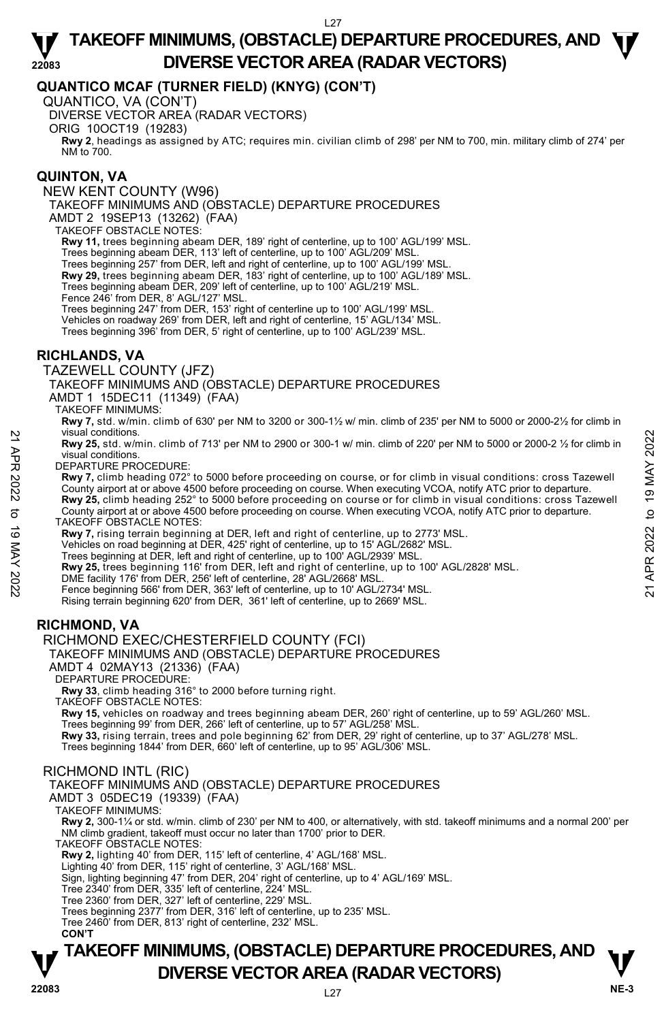## **QUANTICO MCAF (TURNER FIELD) (KNYG) (CON'T)**

QUANTICO, VA (CON'T)

DIVERSE VECTOR AREA (RADAR VECTORS)

ORIG 10OCT19 (19283)

 **Rwy 2**, headings as assigned by ATC; requires min. civilian climb of 298' per NM to 700, min. military climb of 274' per NM to 700.

#### **QUINTON, VA**

NEW KENT COUNTY (W96) TAKEOFF MINIMUMS AND (OBSTACLE) DEPARTURE PROCEDURES

AMDT 2 19SEP13 (13262) (FAA)

TAKEOFF OBSTACLE NOTES:

**Rwy 11,** trees beginning abeam DER, 189' right of centerline, up to 100' AGL/199' MSL.

Trees beginning abeam DER, 113' left of centerline, up to 100' AGL/209' MSL.

Trees beginning 257' from DER, left and right of centerline, up to 100' AGL/199' MSL.

**Rwy 29,** trees beginning abeam DER, 183' right of centerline, up to 100' AGL/189' MSL.

Trees beginning abeam DER, 209' left of centerline, up to 100' AGL/219' MSL.

Fence 246' from DER, 8' AGL/127' MSL.

Trees beginning 247' from DER, 153' right of centerline up to 100' AGL/199' MSL.

Vehicles on roadway 269' from DER, left and right of centerline, 15' AGL/134' MSL.

Trees beginning 396' from DER, 5' right of centerline, up to 100' AGL/239' MSL.

## **RICHLANDS, VA**

TAZEWELL COUNTY (JFZ)

TAKEOFF MINIMUMS AND (OBSTACLE) DEPARTURE PROCEDURES

AMDT 1 15DEC11 (11349) (FAA)

TAKEOFF MINIMUMS:

**Rwy 7,** std. w/min. climb of 630' per NM to 3200 or 300-1½ w/ min. climb of 235' per NM to 5000 or 2000-2½ for climb in visual conditions.

**Rwy 25,** std. w/min. climb of 713' per NM to 2900 or 300-1 w/ min. climb of 220' per NM to 5000 or 2000-2 ½ for climb in visual conditions.

DEPARTURE PROCEDURE:

**Rwy 7,** climb heading 072° to 5000 before proceeding on course, or for climb in visual conditions: cross Tazewell County airport at or above 4500 before proceeding on course. When executing VCOA, notify ATC prior to departure. **Rwy 25,** climb heading 252° to 5000 before proceeding on course or for climb in visual conditions: cross Tazewell 22 Visual conditions.<br>
22 EWY 25, std. w/min. climb of 713' per NM to 2900 or 300-1 w/min. climb of 220' per NM to 5000 or 2000-2 1/2 for climb in<br>
22 DEPARTURE PROCEDURE:<br>
22 DEPARTURE PROCEDURE:<br>
22 TO EVA TURE PROCEDUR

County airport at or above 4500 before proceeding on course. When executing VCOA, notify ATC prior to departure. TAKEOFF OBSTACLE NOTES:

**Rwy 7,** rising terrain beginning at DER, left and right of centerline, up to 2773' MSL.<br>Vehicles on road beginning at DER, 425' right of centerline, up to 15' AGL/2682' MSL.

Trees beginning at DER, left and right of centerline, up to 100' AGL/2939' MSL.

**Rwy 25,** trees beginning 116' from DER, left and right of centerline, up to 100' AGL/2828' MSL.

DME facility 176' from DER, 256' left of centerline, 28' AGL/2668' MSL

Fence beginning 566' from DER, 363' left of centerline, up to 10' AGL/2734' MSL.

Rising terrain beginning 620' from DER, 361' left of centerline, up to 2669' MSL.

# **RICHMOND, VA**

#### RICHMOND EXEC/CHESTERFIELD COUNTY (FCI)

TAKEOFF MINIMUMS AND (OBSTACLE) DEPARTURE PROCEDURES

AMDT 4 02MAY13 (21336) (FAA)

DEPARTURE PROCEDURE:

**Rwy 33**, climb heading 316° to 2000 before turning right. TAKEOFF OBSTACLE NOTES:

**Rwy 15,** vehicles on roadway and trees beginning abeam DER, 260' right of centerline, up to 59' AGL/260' MSL.

 Trees beginning 99' from DER, 266' left of centerline, up to 57' AGL/258' MSL. **Rwy 33,** rising terrain, trees and pole beginning 62' from DER, 29' right of centerline, up to 37' AGL/278' MSL. Trees beginning 1844' from DER, 660' left of centerline, up to 95' AGL/306' MSL.

#### RICHMOND INTL (RIC)

TAKEOFF MINIMUMS AND (OBSTACLE) DEPARTURE PROCEDURES

AMDT 3 05DEC19 (19339) (FAA)

TAKEOFF MINIMUMS:

**Rwy 2,** 300-1¼ or std. w/min. climb of 230' per NM to 400, or alternatively, with std. takeoff minimums and a normal 200' per NM climb gradient, takeoff must occur no later than 1700' prior to DER.

TAKEOFF OBSTACLE NOTES:

**Rwy 2,** lighting 40' from DER, 115' left of centerline, 4' AGL/168' MSL.

Lighting 40' from DER, 115' right of centerline, 3' AGL/168' MSL.

Sign, lighting beginning 47' from DER, 204' right of centerline, up to 4' AGL/169' MSL. Tree 2340' from DER, 335' left of centerline, 224' MSL.

Tree 2360' from DER, 327' left of centerline, 229' MSL.

Trees beginning 2377' from DER, 316' left of centerline, up to 235' MSL.

Tree 2460' from DER, 813' right of centerline, 232' MSL.  **CON'T**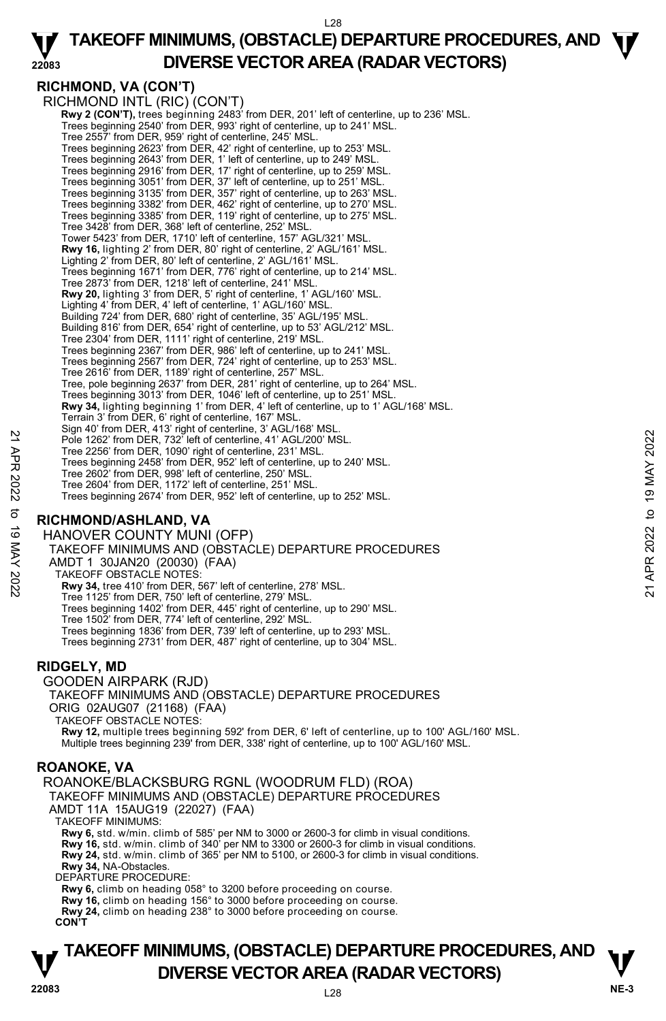# **RICHMOND, VA (CON'T)**

RICHMOND INTL (RIC) (CON'T)  **Rwy 2 (CON'T),** trees beginning 2483' from DER, 201' left of centerline, up to 236' MSL. Trees beginning 2540' from DER, 993' right of centerline, up to 241' MSL. Tree 2557' from DER, 959' right of centerline, 245' MSL. Trees beginning 2623' from DER, 42' right of centerline, up to 253' MSL. Trees beginning 2643' from DER, 1' left of centerline, up to 249' MSL. Trees beginning 2916' from DER, 17' right of centerline, up to 259' MSL. Trees beginning 3051' from DER, 37' left of centerline, up to 251' MSL. Trees beginning 3135' from DER, 357' right of centerline, up to 263' MSL. Trees beginning 3382' from DER, 462' right of centerline, up to 270' MSL. Trees beginning 3385' from DER, 119' right of centerline, up to 275' MSL. Tree 3428' from DER, 368' left of centerline, 252' MSL. Tower 5423' from DER, 1710' left of centerline, 157' AGL/321' MSL. **Rwy 16,** lighting 2' from DER, 80' right of centerline, 2' AGL/161' MSL. Lighting 2' from DER, 80' left of centerline, 2' AGL/161' MSL. Trees beginning 1671' from DER, 776' right of centerline, up to 214' MSL. Tree 2873' from DER, 1218' left of centerline, 241' MSL. **Rwy 20,** lighting 3' from DER, 5' right of centerline, 1' AGL/160' MSL. Lighting 4' from DER, 4' left of centerline, 1' AGL/160' MSI Building 724' from DER, 680' right of centerline, 35' AGL/195' MSL. Building 816' from DER, 654' right of centerline, up to 53' AGL/212' MSL. Tree 2304' from DER, 1111' right of centerline, 219' MSL. Trees beginning 2367' from DER, 986' left of centerline, up to 241' MSL. Trees beginning 2567' from DER, 724' right of centerline, up to 253' MSL. Tree 2616' from DER, 1189' right of centerline, 257' MSL. Tree, pole beginning 2637' from DER, 281' right of centerline, up to 264' MSL. Trees beginning 3013' from DER, 1046' left of centerline, up to 251' MSL. **Rwy 34,** lighting beginning 1' from DER, 4' left of centerline, up to 1' AGL/168' MSL. Terrain 3' from DER, 6' right of centerline, 167' MSL. Sign 40' from DER, 413' right of centerline, 3' AGL/168' MSL. Pole 1262' from DER, 732' left of centerline, 41' AGL/200' MSL. Tree 2256' from DER, 1090' right of centerline, 231' MSL. Trees beginning 2458' from DER, 952' left of centerline, up to 240' MSL. Tree 2602' from DER, 998' left of centerline, 250' MSL. Tree 2604' from DER, 1172' left of centerline, 251' MSL. Trees beginning 2674' from DER, 952' left of centerline, up to 252' MSL. Pole 1262' from DER, 732' left of centerline, 41' AGL/200' MSL.<br>
Tree 2566' from DER, 732' left of centerline, 231' MSL.<br>
Tree beginning 2458' for one PR, 952' left of centerline, up to 240' MSL.<br>
Tree 2604' from DER, 958

## **RICHMOND/ASHLAND, VA**

HANOVER COUNTY MUNI (OFP) TAKEOFF MINIMUMS AND (OBSTACLE) DEPARTURE PROCEDURES AMDT 1 30JAN20 (20030) (FAA) TAKEOFF OBSTACLE NOTES: **Rwy 34,** tree 410' from DER, 567' left of centerline, 278' MSL. Tree 1125' from DER, 750' left of centerline, 279' MSL. Trees beginning 1402' from DER, 445' right of centerline, up to 290' MSL. Tree 1502' from DER, 774' left of centerline, 292' MSL. Trees beginning 1836' from DER, 739' left of centerline, up to 293' MSL. Trees beginning 2731' from DER, 487' right of centerline, up to 304' MSL.

#### **RIDGELY, MD**

GOODEN AIRPARK (RJD) TAKEOFF MINIMUMS AND (OBSTACLE) DEPARTURE PROCEDURES ORIG 02AUG07 (21168) (FAA) TAKEOFF OBSTACLE NOTES: **Rwy 12,** multiple trees beginning 592' from DER, 6' left of centerline, up to 100' AGL/160' MSL.<br>Multiple trees beginning 239' from DER, 338' right of centerline, up to 100' AGL/160' MSL.

## **ROANOKE, VA**

ROANOKE/BLACKSBURG RGNL (WOODRUM FLD) (ROA) TAKEOFF MINIMUMS AND (OBSTACLE) DEPARTURE PROCEDURES AMDT 11A 15AUG19 (22027) (FAA) TAKEOFF MINIMUMS: **Rwy 6,** std. w/min. climb of 585' per NM to 3000 or 2600-3 for climb in visual conditions. **Rwy 16,** std. w/min. climb of 340' per NM to 3300 or 2600-3 for climb in visual conditions.<br>**Rwy 24,** std. w/min. climb of 365' per NM to 5100, or 2600-3 for climb in visual conditions.<br>**Rwy 34,** NA-Obstacles. DEPARTURE PROCEDURE **Rwy 6,** climb on heading 058° to 3200 before proceeding on course. **Rwy 16,** climb on heading 156° to 3000 before proceeding on course. **Rwy 24,** climb on heading 238° to 3000 before proceeding on course. **CON'T**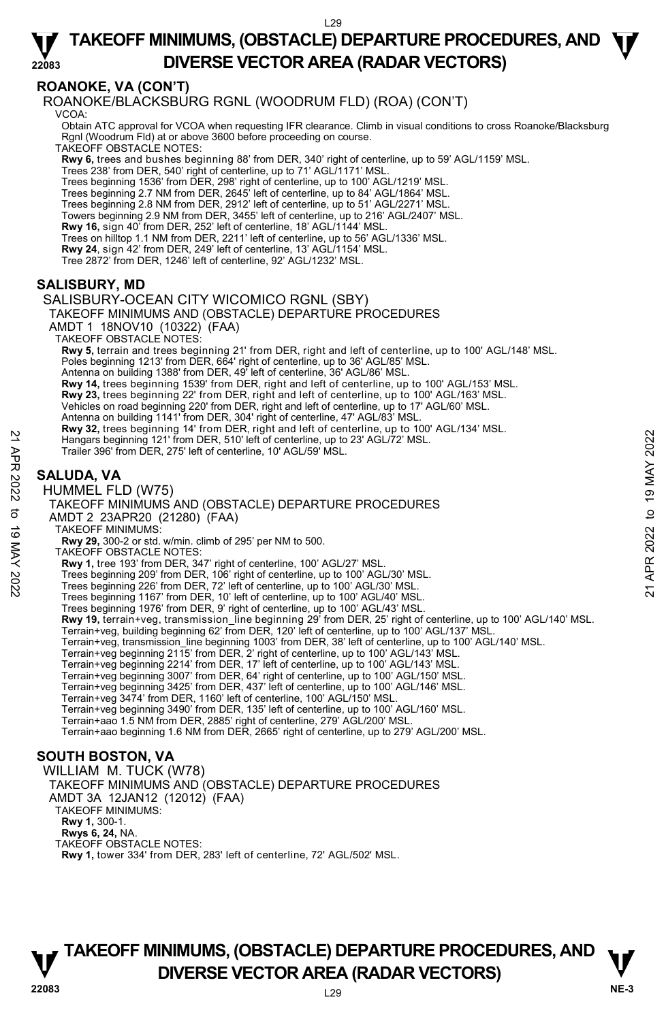# **ROANOKE, VA (CON'T)**

ROANOKE/BLACKSBURG RGNL (WOODRUM FLD) (ROA) (CON'T) VCOA:

 Obtain ATC approval for VCOA when requesting IFR clearance. Climb in visual conditions to cross Roanoke/Blacksburg Rgnl (Woodrum Fld) at or above 3600 before proceeding on course.

TAKEOFF OBSTACLE NOTES:

**Rwy 6,** trees and bushes beginning 88' from DER, 340' right of centerline, up to 59' AGL/1159' MSL.

Trees 238' from DER, 540' right of centerline, up to 71' AGL/1171' MSL.

Trees beginning 1536' from DER, 298' right of centerline, up to 100' AGL/1219' MSL.

Trees beginning 2.7 NM from DER, 2645' left of centerline, up to 84' AGL/1864' MSL. Trees beginning 2.8 NM from DER, 2912' left of centerline, up to 51' AGL/2271' MSL.

Towers beginning 2.9 NM from DER, 3455' left of centerline, up to 216' AGL/2407' MSL.

**Rwy 16,** sign 40' from DER, 252' left of centerline, 18' AGL/1144' MSL.

Trees on hilltop 1.1 NM from DER, 2211' left of centerline, up to 56' AGL/1336' MSL.

**Rwy 24**, sign 42' from DER, 249' left of centerline, 13' AGL/1154' MSL.

Tree 2872' from DER, 1246' left of centerline, 92' AGL/1232' MSL.

## **SALISBURY, MD**

SALISBURY-OCEAN CITY WICOMICO RGNL (SBY) TAKEOFF MINIMUMS AND (OBSTACLE) DEPARTURE PROCEDURES AMDT 1 18NOV10 (10322) (FAA) TAKEOFF OBSTACLE NOTES: **Rwy 5,** terrain and trees beginning 21' from DER, right and left of centerline, up to 100' AGL/148' MSL.<br>Poles beginning 1213' from DER, 664' right of centerline, up to 36' AGL/85' MSL. Antenna on building 1388' from DER, 49' left of centerline, 36' AGL/86' MSL **Rwy 14,** trees beginning 1539' from DER, right and left of centerline, up to 100' AGL/153' MSL. **Rwy 23,** trees beginning 22' from DER, right and left of centerline, up to 100' AGL/163' MSL. Vehicles on road beginning 220' from DER, right and left of centerline, up to 17' AGL/60' MSL. Antenna on building 1141' from DER, 304' right of centerline, 47' AGL/83' MSL. **Rwy 32,** trees beginning 14' from DER, right and left of centerline, up to 100' AGL/134' MSL.<br>Hangars beginning 121' from DER, 510' left of centerline, up to 23' AGL/72' MSL. Trailer 396' from DER, 275' left of centerline, 10' AGL/59' MSL. **SALUDA, VA**  HUMMEL FLD (W75) TAKEOFF MINIMUMS AND (OBSTACLE) DEPARTURE PROCEDURES AMDT 2 23APR20 (21280) (FAA) TAKEOFF MINIMUMS: **Rwy 29,** 300-2 or std. w/min. climb of 295' per NM to 500. TAKEOFF OBSTACLE NOTES: **Rwy 1,** tree 193' from DER, 347' right of centerline, 100' AGL/27' MSL. Trees beginning 209' from DER, 106' right of centerline, up to 100' AGL/30' MSL. Trees beginning 226' from DER, 72' left of centerline, up to 100' AGL/30' MSL. Trees beginning 1167' from DER, 10' left of centerline, up to 100' AGL/40' MSL. Trees beginning 1976' from DER, 9' right of centerline, up to 100' AGL/43' MSL. **Rwy 19,** terrain+veg, transmission\_line beginning 29' from DER, 25' right of centerline, up to 100' AGL/140' MSL.<br>Terrain+veg, building beginning 62' from DER, 120' left of centerline, up to 100' AGL/137' MSL. Terrain+veg, transmission\_line beginning 1003' from DER, 38' left of centerline, up to 100' AGL/140' MSL. Terrain+veg beginning 2115' from DER, 2' right of centerline, up to 100' AGL/143' MSL. Terrain+veg beginning 2214' from DER, 17' left of centerline, up to 100' AGL/143' MSL. Terrain+veg beginning 3007' from DER, 64' right of centerline, up to 100' AGL/150' MSL. Terrain+veg beginning 3425' from DER, 437' left of centerline, up to 100' AGL/146' MSL. Terrain+veg 3474' from DER, 1160' left of centerline, 100' AGL/150' MSL. Terrain+veg beginning 3490' from DER, 135' left of centerline, up to 100' AGL/160' MSL. Terrain+aao 1.5 NM from DER, 2885' right of centerline, 279' AGL/200' MSL. Terrain+aao beginning 1.6 NM from DER, 2665' right of centerline, up to 279' AGL/200' MSL. **SOUTH BOSTON, VA**  22 Apple 19 Apple 19 APP 10 APP 10 APP 10 APP 10 APP 10 APP 10 APP 10 APP 10 APP 10 APP 10 APP 10 APP 10 APP 10 APP 10 APP 10 APP 10 APP 10 APP 10 APP 10 APP 10 APP 10 APP 10 APP 10 APP 10 APP 10 APP 10 APP 10 APP 10 APP

WILLIAM M. TUCK (W78)

TAKEOFF MINIMUMS AND (OBSTACLE) DEPARTURE PROCEDURES

AMDT 3A 12JAN12 (12012) (FAA)

TAKEOFF MINIMUMS:

**Rwy 1,** 300-1.

**Rwys 6, 24,** NA.

TAKEOFF OBSTACLE NOTES:

**Rwy 1,** tower 334' from DER, 283' left of centerline, 72' AGL/502' MSL.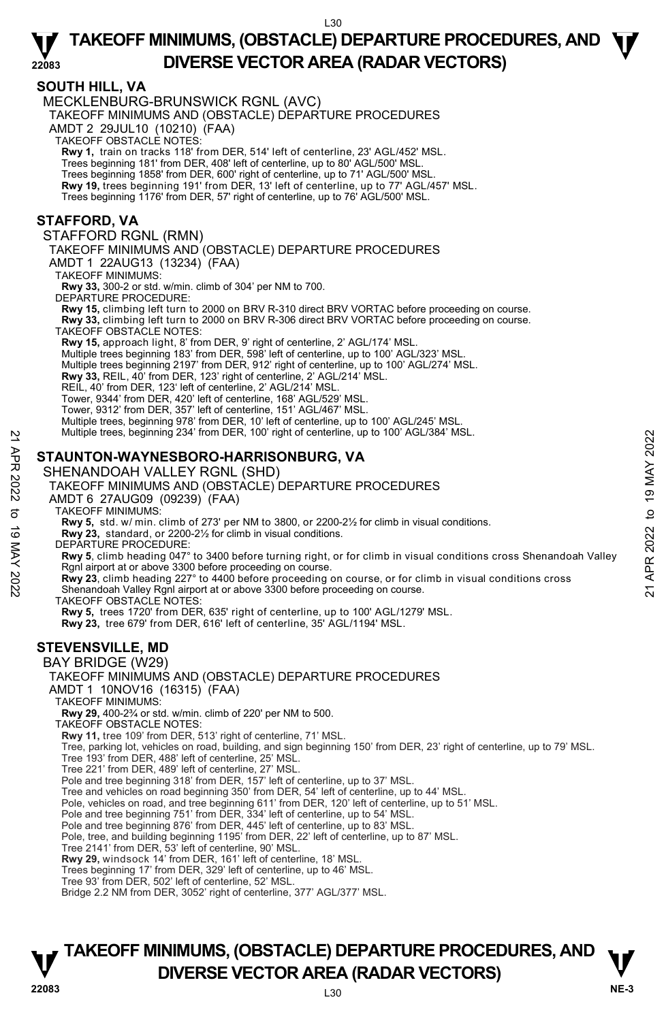#### **SOUTH HILL, VA**

MECKLENBURG-BRUNSWICK RGNL (AVC)

TAKEOFF MINIMUMS AND (OBSTACLE) DEPARTURE PROCEDURES

AMDT 2 29JUL10 (10210) (FAA)

TAKEOFF OBSTACLE NOTES:

**Rwy 1,** train on tracks 118' from DER, 514' left of centerline, 23' AGL/452' MSL.

Trees beginning 181' from DER, 408' left of centerline, up to 80' AGL/500' MSL.

Trees beginning 1858' from DER, 600' right of centerline, up to 71' AGL/500' MSL.

**Rwy 19,** trees beginning 191' from DER, 13' left of centerline, up to 77' AGL/457' MSL.

Trees beginning 1176' from DER, 57' right of centerline, up to 76' AGL/500' MSL.

#### **STAFFORD, VA**

STAFFORD RGNL (RMN)

TAKEOFF MINIMUMS AND (OBSTACLE) DEPARTURE PROCEDURES AMDT 1 22AUG13 (13234) (FAA)

TAKEOFF MINIMUMS:

**Rwy 33,** 300-2 or std. w/min. climb of 304' per NM to 700.

DEPARTURE PROCEDURE:

**Rwy 15,** climbing left turn to 2000 on BRV R-310 direct BRV VORTAC before proceeding on course.

**Rwy 33,** climbing left turn to 2000 on BRV R-306 direct BRV VORTAC before proceeding on course. TAKEOFF OBSTACLE NOTES:

**Rwy 15,** approach light, 8' from DER, 9' right of centerline, 2' AGL/174' MSL.<br>Multiple trees beginning 183' from DER, 598' left of centerline, up to 100' AGL/323' MSL.

Multiple trees beginning 2197' from DER, 912' right of centerline, up to 100' AGL/274' MSL.

**Rwy 33,** REIL, 40' from DER, 123' right of centerline, 2' AGL/214' MSL.

REIL, 40' from DER, 123' left of centerline, 2' AGL/214' MSL.

Tower, 9344' from DER, 420' left of centerline, 168' AGL/529' MSL.

Tower, 9312' from DER, 357' left of centerline, 151' AGL/467' MSL.

Multiple trees, beginning 978' from DER, 10' left of centerline, up to 100' AGL/245' MSL.<br>Multiple trees, beginning 234' from DER, 100' right of centerline, up to 100' AGL/384' MSL.

## **STAUNTON-WAYNESBORO-HARRISONBURG, VA**

SHENANDOAH VALLEY RGNL (SHD)

TAKEOFF MINIMUMS AND (OBSTACLE) DEPARTURE PROCEDURES AMDT 6 27AUG09 (09239) (FAA) TAKEOFF MINIMUMS: **Rwy 5,** std. w/ min. climb of 273' per NM to 3800, or 2200-2½ for climb in visual conditions. **Rwy 23,** standard, or 2200-2½ for climb in visual conditions. DEPARTURE PROCEDURE: **Rwy 5**, climb heading 047° to 3400 before turning right, or for climb in visual conditions cross Shenandoah Valley Rgnl airport at or above 3300 before proceeding on course. Multiple trees, beginning 234 from DER, 100 right of centerine, up to 100 AGL/384 MSL.<br> **STAUNTON-WAYNESBORO-HARRISONBURG, VA**<br>
SHENANDOAH VALLEY RGNL (SHD)<br>
TAKEOFF MINIMUMS AND (OBSTACLE) DEPARTURE PROCEDURES<br>
AND TO 27 TAKEOFF OBSTACLE NOTES: **Rwy 5,** trees 1720' from DER, 635' right of centerline, up to 100' AGL/1279' MSL. **Rwy 23,** tree 679' from DER, 616' left of centerline, 35' AGL/1194' MSL. **STEVENSVILLE, MD**  BAY BRIDGE (W29) TAKEOFF MINIMUMS AND (OBSTACLE) DEPARTURE PROCEDURES AMDT 1 10NOV16 (16315) (FAA) TAKEOFF MINIMUMS: **Rwy 29,** 400-2¾ or std. w/min. climb of 220' per NM to 500. TAKEOFF OBSTACLE NOTES: **Rwy 11,** tree 109' from DER, 513' right of centerline, 71' MSL. Tree 193' from DER, 488' left of centerline, 25' MSL. Tree 221' from DER, 489' left of centerline, 27' MSL. Pole and tree beginning 318' from DER, 157' left of centerline, up to 37' MSL. Tree and vehicles on road beginning 350' from DER, 54' left of centerline, up to 44' MSL. Pole, vehicles on road, and tree beginning 611' from DER, 120' left of centerline, up to 51' MSL.<br>Pole and tree beginning 751' from DER, 334' left of centerline, up to 54' MSL. Pole and tree beginning 876' from DER, 445' left of centerline, up to 83' MSL. Pole, tree, and building beginning 1195' from DER, 22' left of centerline, up to 87' MSL.

Tree, parking lot, vehicles on road, building, and sign beginning 150' from DER, 23' right of centerline, up to 79' MSL.

Tree 2141' from DER, 53' left of centerline, 90' MSL.

**Rwy 29,** windsock 14' from DER, 161' left of centerline, 18' MSL.

Trees beginning 17' from DER, 329' left of centerline, up to 46' MSL.

Tree 93' from DER, 502' left of centerline, 52' MSL.

Bridge 2.2 NM from DER, 3052' right of centerline, 377' AGL/377' MSL.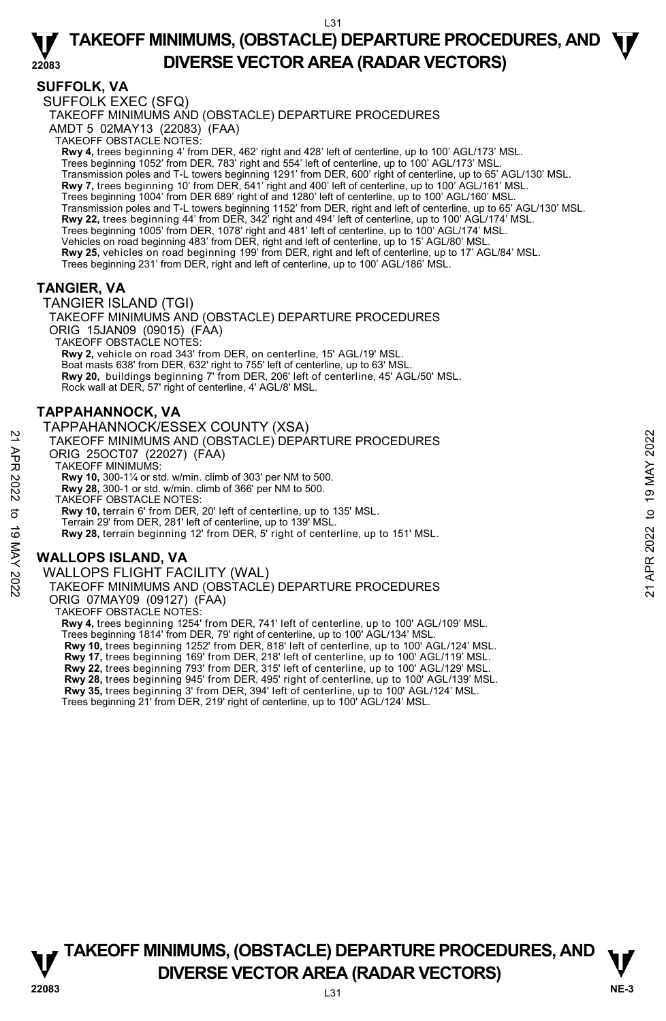## **SUFFOLK, VA**

SUFFOLK EXEC (SFQ) TAKEOFF MINIMUMS AND (OBSTACLE) DEPARTURE PROCEDURES AMDT 5 02MAY13 (22083) (FAA) TAKEOFF OBSTACLE NOTES: **Rwy 4,** trees beginning 4' from DER, 462' right and 428' left of centerline, up to 100' AGL/173' MSL. Trees beginning 1052' from DER, 783' right and 554' left of centerline, up to 100' AGL/173' MSL. Transmission poles and T-L towers beginning 1291' from DER, 600' right of centerline, up to 65' AGL/130' MSL.

**Rwy 7,** trees beginning 10' from DER, 541' right and 400' left of centerline, up to 100' AGL/161' MSL. Trees beginning 1004' from DER 689' right of and 1280' left of centerline, up to 100' AGL/160' MSL. Transmission poles and T-L towers beginning 1152' from DER, right and left of centerline, up to 65' AGL/130' MSL. **Rwy 22,** trees beginning 44' from DER, 342' right and 494' left of centerline, up to 100' AGL/174' MSL. Trees beginning 1005' from DER, 1078' right and 481' left of centerline, up to 100' AGL/174' MSL.<br>Vehicles on road beginning 483' from DER, right and left of centerline, up to 15' AGL/80' MSL. **Rwy 25,** vehicles on road beginning 199' from DER, right and left of centerline, up to 17' AGL/84' MSL. Trees beginning 231' from DER, right and left of centerline, up to 100' AGL/186' MSL.

# **TANGIER, VA**

TANGIER ISLAND (TGI) TAKEOFF MINIMUMS AND (OBSTACLE) DEPARTURE PROCEDURES ORIG 15JAN09 (09015) (FAA) TAKEOFF OBSTACLE NOTES: **Rwy 2,** vehicle on road 343' from DER, on centerline, 15' AGL/19' MSL. Boat masts 638' from DER, 632' right to 755' left of centerline, up to 63' MSL. **Rwy 20,** buildings beginning 7' from DER, 206' left of centerline, 45' AGL/50' MSL. Rock wall at DER, 57' right of centerline, 4' AGL/8' MSL.

# **TAPPAHANNOCK, VA**

TAPPAHANNOCK/ESSEX COUNTY (XSA) TAKEOFF MINIMUMS AND (OBSTACLE) DEPARTURE PROCEDURES ORIG 25OCT07 (22027) (FAA) TAKEOFF MINIMUMS: **Rwy 10,** 300-1¼ or std. w/min. climb of 303' per NM to 500. **Rwy 28,** 300-1 or std. w/min. climb of 366' per NM to 500. TAKEOFF OBSTACLE NOTES: **Rwy 10,** terrain 6' from DER, 20' left of centerline, up to 135' MSL. Terrain 29' from DER, 281' left of centerline, up to 139' MSL. **Rwy 28,** terrain beginning 12' from DER, 5' right of centerline, up to 151' MSL. 21 TAKEOFF MINIMUMS AND (OBSTACLE) DEPARTURE PROCEDURES<br>
22 TAKEOFF MINIMUMS AND (OBSTACLE) DEPARTURE PROCEDURES<br>
22 TAKEOFF MINIMUMS AND (OBSTACLE) DEPARTURE PROCEDURES<br>
22 TAW 10, 300-1' or std. w/min. climb of 303' per

# **WALLOPS ISLAND, VA**

WALLOPS FLIGHT FACILITY (WAL)

TAKEOFF MINIMUMS AND (OBSTACLE) DEPARTURE PROCEDURES

ORIG 07MAY09 (09127) (FAA)

TAKEOFF OBSTACLE NOTES:

**Rwy 4,** trees beginning 1254' from DER, 741' left of centerline, up to 100' AGL/109' MSL. Trees beginning 1814' from DER, 79' right of centerline, up to 100' AGL/134' MSL. **Rwy 10,** trees beginning 1252' from DER, 818' left of centerline, up to 100' AGL/124' MSL. **Rwy 17,** trees beginning 169' from DER, 218' left of centerline, up to 100' AGL/119' MSL. **Rwy 22,** trees beginning 793' from DER, 315' left of centerline, up to 100' AGL/129' MSL.



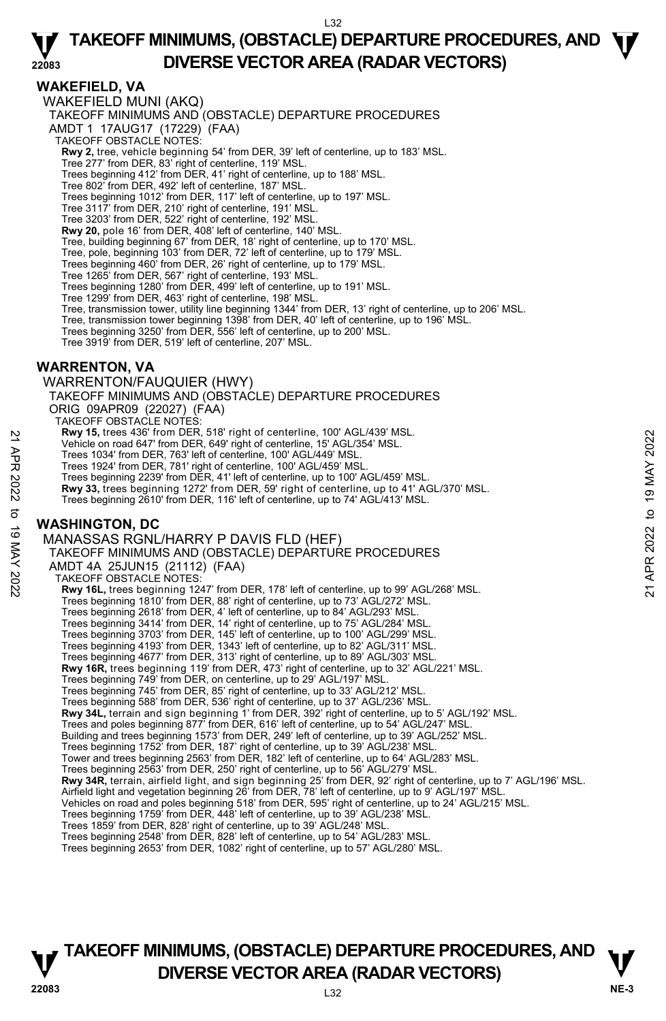## **WAKEFIELD, VA**

**22083**  WAKEFIELD MUNI (AKQ) TAKEOFF MINIMUMS AND (OBSTACLE) DEPARTURE PROCEDURES AMDT 1 17AUG17 (17229) (FAA) TAKEOFF OBSTACLE NOTES: **Rwy 2,** tree, vehicle beginning 54' from DER, 39' left of centerline, up to 183' MSL.<br>Tree 277' from DER, 83' right of centerline, 119' MSL. Trees beginning 412' from DER, 41' right of centerline, up to 188' MSL. Tree 802' from DER, 492' left of centerline, 187' MSL. Trees beginning 1012' from DER, 117' left of centerline, up to 197' MSL. Tree 3117' from DER, 210' right of centerline, 191' MSL. Tree 3203' from DER, 522' right of centerline, 192' MSL. **Rwy 20,** pole 16' from DER, 408' left of centerline, 140' MSL. Tree, building beginning 67' from DER, 18' right of centerline, up to 170' MSL. Tree, pole, beginning 103' from DER, 72' left of centerline, up to 179' MSL. Trees beginning 460' from DER, 26' right of centerline, up to 179' MSL. Tree 1265' from DER, 567' right of centerline, 193' MSL. Trees beginning 1280' from DER, 499' left of centerline, up to 191' MSL. Tree 1299' from DER, 463' right of centerline, 198' MSL. Tree, transmission tower, utility line beginning 1344' from DER, 13' right of centerline, up to 206' MSL.<br>Tree, transmission tower beginning 1398' from DER, 40' left of centerline, up to 196' MSL. Trees beginning 3250' from DER, 556' left of centerline, up to 200' MSL. Tree 3919' from DER, 519' left of centerline, 207' MSL. **WARRENTON, VA**  WARRENTON/FAUQUIER (HWY) TAKEOFF MINIMUMS AND (OBSTACLE) DEPARTURE PROCEDURES ORIG 09APR09 (22027) (FAA) TAKEOFF OBSTACLE NOTES: **Rwy 15,** trees 436' from DER, 518' right of centerline, 100' AGL/439' MSL. Vehicle on road 647' from DER, 649' right of centerline, 15' AGL/354' MSL. Trees 1034' from DER, 763' left of centerline, 100' AGL/449' MSL. Trees 1924' from DER, 781' right of centerline, 100' AGL/459' MSL. Trees beginning 2239' from DER, 41' left of centerline, up to 100' AGL/459' MSL. **Rwy 33,** trees beginning 1272' from DER, 59' right of centerline, up to 41' AGL/370' MSL. Trees beginning 2610' from DER, 116' left of centerline, up to 74' AGL/413' MSL. **WASHINGTON, DC**  MANASSAS RGNL/HARRY P DAVIS FLD (HEF) TAKEOFF MINIMUMS AND (OBSTACLE) DEPARTURE PROCEDURES AMDT 4A 25JUN15 (21112) (FAA) TAKEOFF OBSTACLE NOTES: **Rwy 16L,** trees beginning 1247' from DER, 178' left of centerline, up to 99' AGL/268' MSL. Trees beginning 1810' from DER, 88' right of centerline, up to 73' AGL/272' MSL. Trees beginning 2618' from DER, 4' left of centerline, up to 84' AGL/293' MSL. Trees beginning 3414' from DER, 14' right of centerline, up to 75' AGL/284' MSL. Trees beginning 3703' from DER, 145' left of centerline, up to 100' AGL/299' MSL. Trees beginning 4193' from DER, 1343' left of centerline, up to 82' AGL/311' MSL. Trees beginning 4677' from DER, 313' right of centerline, up to 89' AGL/303' MSL.<br>**Rwy 16R,** trees beginning 119' from DER, 473' right of centerline, up to 32' AGL/221' MSL. Trees beginning 749' from DER, on centerline, up to 29' AGL/197' MSL. Trees beginning 745' from DER, 85' right of centerline, up to 33' AGL/212' MSL. Trees beginning 588' from DER, 536' right of centerline, up to 37' AGL/236' MSL. **Rwy 34L,** terrain and sign beginning 1' from DER, 392' right of centerline, up to 5' AGL/192' MSL. Trees and poles beginning 877' from DER, 616' left of centerline, up to 54' AGL/247' MSL. Building and trees beginning 1573' from DER, 249' left of centerline, up to 39' AGL/252' MSL. Trees beginning 1752' from DER, 187' right of centerline, up to 39' AGL/238' MSL. Tower and trees beginning 2563' from DER, 182' left of centerline, up to 64' AGL/283' MSL. Trees beginning 2563' from DER, 250' right of centerline, up to 56' AGL/279' MSL.<br>**Rwy 34R,** terrain, airfield light, and sign beginning 25' from DER, 92' right of centerline, up to 7' AGL/196' MSL. Airfield light and vegetation beginning 26' from DER, 78' left of centerline, up to 9' AGL/197' MSL. Vehicles on road and poles beginning 518' from DER, 595' right of centerline, up to 24' AGL/215' MSL.<br>Trees beginning 1759' from DER, 448' left of centerline, up to 39' AGL/238' MSL. Trees 1859' from DER, 828' right of centerline, up to 39' AGL/248' MSL. Trees beginning 2548' from DER, 828' left of centerline, up to 54' AGL/283' MSL Trees beginning 2653' from DER, 1082' right of centerline, up to 57' AGL/280' MSL. With these states are the states and of enterline, 100 NGL/439' MSL.<br>
Yehicle on road 647' from DER, 649' right of centerline, 15' AGL/354' MSL.<br>
Trees 1034' from DER, 783' left of centerline, 100' AGL/449' MSL.<br>
Trees beg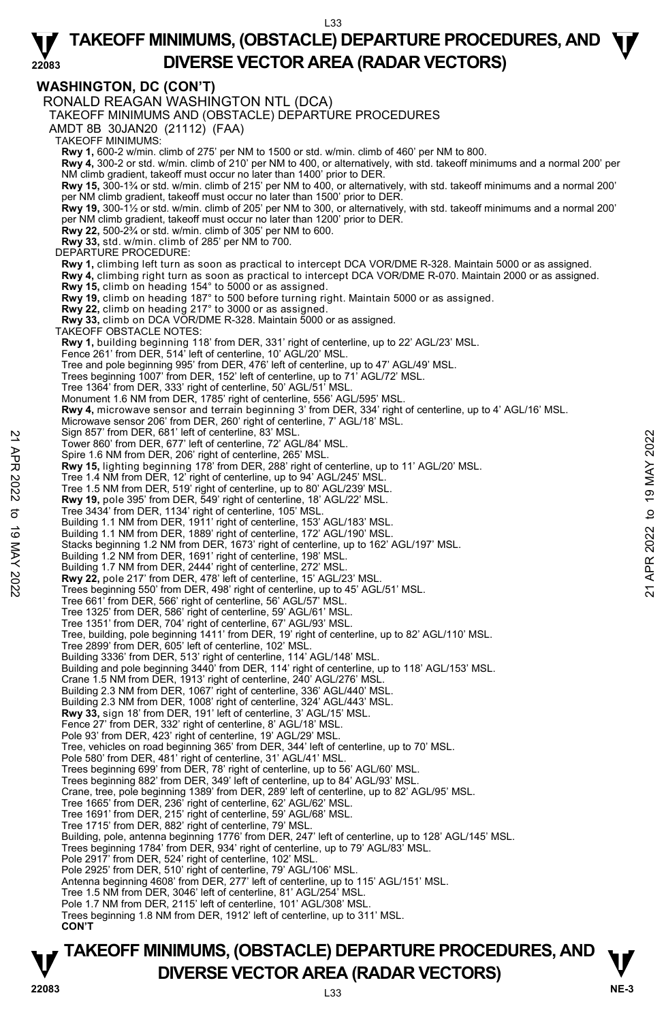#### **WASHINGTON, DC (CON'T)**

RONALD REAGAN WASHINGTON NTL (DCA) TAKEOFF MINIMUMS AND (OBSTACLE) DEPARTURE PROCEDURES AMDT 8B 30JAN20 (21112) (FAA) TAKEOFF MINIMUMS: **Rwy 1,** 600-2 w/min. climb of 275' per NM to 1500 or std. w/min. climb of 460' per NM to 800. **Rwy 4,** 300-2 or std. w/min. climb of 210' per NM to 400, or alternatively, with std. takeoff minimums and a normal 200' per NM climb gradient, takeoff must occur no later than 1400' prior to DER. **Rwy 15,** 300-1¾ or std. w/min. climb of 215' per NM to 400, or alternatively, with std. takeoff minimums and a normal 200' per NM climb gradient, takeoff must occur no later than 1500' prior to DER.<br>**Rwy 19,** 300-1½ or std. w/min. climb of 205' per NM to 300, or alternatively, with std. takeoff minimums and a normal 200' per NM climb gradient, takeoff must occur no later than 1200' prior to DER. **Rwy 22,** 500-2¾ or std. w/min. climb of 305' per NM to 600. **Rwy 33,** std. w/min. climb of 285' per NM to 700. DEPARTURE PROCEDURE: **Rwy 1,** climbing left turn as soon as practical to intercept DCA VOR/DME R-328. Maintain 5000 or as assigned. **Rwy 4,** climbing right turn as soon as practical to intercept DCA VOR/DME R-070. Maintain 2000 or as assigned. **Rwy 15,** climb on heading 154° to 5000 or as assigned.<br>**Rwy 19,** climb on heading 187° to 500 before turning right. Maintain 5000 or as assigned.<br>**Rwy 22,** climb on heading 217° to 3000 or as assigned.<br>**Rwy 33,** climb on TAKEOFF OBSTACLE NOTES: **Rwy 1,** building beginning 118' from DER, 331' right of centerline, up to 22' AGL/23' MSL.<br>Fence 261' from DER, 514' left of centerline, 10' AGL/20' MSL. Tree and pole beginning 995' from DER, 476' left of centerline, up to 47' AGL/49' MSL. Trees beginning 1007' from DER, 152' left of centerline, up to 71' AGL/72' MSL. Tree 1364' from DER, 333' right of centerline, 50' AGL/51' MSL. Monument 1.6 NM from DER, 1785' right of centerline, 556' AGL/595' MSL. **Rwy 4,** microwave sensor and terrain beginning 3' from DER, 334' right of centerline, up to 4' AGL/16' MSL. Microwave sensor 206' from DER, 260' right of centerline, 7' AGL/18' MSL. Sign 857' from DER, 681' left of centerline, 83' MSL. Tower 860' from DER, 677' left of centerline, 72' AGL/84' MSL. Spire 1.6 NM from DER, 206' right of centerline, 265' MSL. **Rwy 15,** lighting beginning 178' from DER, 288' right of centerline, up to 11' AGL/20' MSL. Tree 1.4 NM from DER, 12' right of centerline, up to 94' AGL/245' MSL. Tree 1.5 NM from DER, 519' right of centerline, up to 80' AGL/239' MSL. **Rwy 19,** pole 395' from DER, 549' right of centerline, 18' AGL/22' MSL. Tree 3434' from DER, 1134' right of centerline, 105' MSL. Building 1.1 NM from DER, 1911' right of centerline, 153' AGL/183' MSL. Building 1.1 NM from DER, 1889' right of centerline, 172' AGL/190' MSL. Stacks beginning 1.2 NM from DER, 1673' right of centerline, up to 162' AGL/197' MSL. Building 1.2 NM from DER, 1691' right of centerline, 198' MSL. Building 1.7 NM from DER, 2444' right of centerline, 272' MSL. Rwy 22, pole 217' from DER, 478' left of centerline, 15' AGL/23' MSL Trees beginning 550' from DER, 498' right of centerline, up to 45' AGL/51' MSL. Tree 661' from DER, 566' right of centerline, 56' AGL/57' MSL. Tree 1325' from DER, 586' right of centerline, 59' AGL/61' MSL. Tree 1351' from DER, 704' right of centerline, 67' AGL/93' MSL. Tree, building, pole beginning 1411' from DER, 19' right of centerline, up to 82' AGL/110' MSL. Tree 2899' from DER, 605' left of centerline, 102' MSL. Building 3336' from DER, 513' right of centerline, 114' AGL/148' MSL. Building and pole beginning 3440' from DER, 114' right of centerline, up to 118' AGL/153' MSL. Crane 1.5 NM from DER, 1913' right of centerline, 240' AGL/276' MSL. Building 2.3 NM from DER, 1067' right of centerline, 336' AGL/440' MSL. Building 2.3 NM from DER, 1008' right of centerline, 324' AGL/443' MSL. **Rwy 33,** sign 18' from DER, 191' left of centerline, 3' AGL/15' MSL. Fence 27' from DER, 332' right of centerline, 8' AGL/18' MSL. Pole 93' from DER, 423' right of centerline, 19' AGL/29' MSL. Tree, vehicles on road beginning 365' from DER, 344' left of centerline, up to 70' MSL. Pole 580' from DER, 481' right of centerline, 31' AGL/41' MSL. Trees beginning 699' from DER, 78' right of centerline, up to 56' AGL/60' MSL. Trees beginning 882' from DER, 349' left of centerline, up to 84' AGL/93' MSL. Crane, tree, pole beginning 1389' from DER, 289' left of centerline, up to 82' AGL/95' MSL. Tree 1665' from DER, 236' right of centerline, 62' AGL/62' MSL. Tree 1691' from DER, 215' right of centerline, 59' AGL/68' MSL. Tree 1715' from DER, 882' right of centerline, 79' MSL. Building, pole, antenna beginning 1776' from DER, 247' left of centerline, up to 128' AGL/145' MSL. Trees beginning 1784' from DER, 934' right of centerline, up to 79' AGL/83' MSL. Pole 2917' from DER, 524' right of centerline, 102' MSL. Pole 2925' from DER, 510' right of centerline, 79' AGL/106' MSL. Antenna beginning 4608' from DER, 277' left of centerline, up to 115' AGL/151' MSL. Tree 1.5 NM from DER, 3046' left of centerline, 81' AGL/254' MSL. Pole 1.7 NM from DER, 2115' left of centerline, 101' AGL/308' MSL Trees beginning 1.8 NM from DER, 1912' left of centerline, up to 311' MSL. **CON'T** Example 12 NM from DER, 1911' right of centerline, 192' MSL.<br>
Tower 860' from DER, 206' right of centerline, 265' MSL.<br>
Rwy 15, lighting beginning 178' from DER, 12' right of centerline, up to 11' AGL/20' MSL.<br>
Rwy 15, li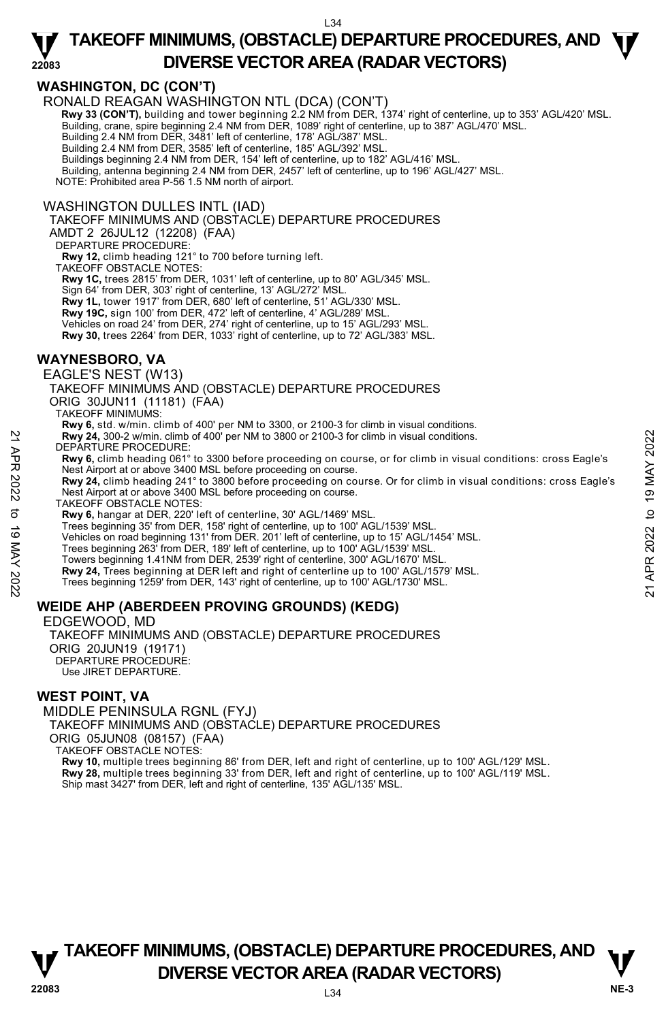# **WASHINGTON, DC (CON'T)**

RONALD REAGAN WASHINGTON NTL (DCA) (CON'T)

**Rwy 33 (CON'T),** building and tower beginning 2.2 NM from DER, 1374' right of centerline, up to 353' AGL/420' MSL. Building, crane, spire beginning 2.4 NM from DER, 1089' right of centerline, up to 387' AGL/470' MSL.

Building 2.4 NM from DER, 3481' left of centerline, 178' AGL/387' MSL.

Building 2.4 NM from DER, 3585' left of centerline, 185' AGL/392' MSL. Buildings beginning 2.4 NM from DER, 154' left of centerline, up to 182' AGL/416' MSL.

Building, antenna beginning 2.4 NM from DER, 2457' left of centerline, up to 196' AGL/427' MSL.

NOTE: Prohibited area P-56 1.5 NM north of airport.

#### WASHINGTON DULLES INTL (IAD)

TAKEOFF MINIMUMS AND (OBSTACLE) DEPARTURE PROCEDURES

AMDT 2 26JUL12 (12208) (FAA)

DEPARTURE PROCEDURE:

**Rwy 12,** climb heading 121° to 700 before turning left.

TAKEOFF OBSTACLE NOTES:

**Rwy 1C,** trees 2815' from DER, 1031' left of centerline, up to 80' AGL/345' MSL.

Sign 64' from DER, 303' right of centerline, 13' AGL/272' MSL.

**Rwy 1L,** tower 1917' from DER, 680' left of centerline, 51' AGL/330' MSL.

**Rwy 19C,** sign 100' from DER, 472' left of centerline, 4' AGL/289' MSL.<br>Vehicles on road 24' from DER, 274' right of centerline, up to 15' AGL/293' MSL.

**Rwy 30,** trees 2264' from DER, 1033' right of centerline, up to 72' AGL/383' MSL.

## **WAYNESBORO, VA**

EAGLE'S NEST (W13)

TAKEOFF MINIMUMS AND (OBSTACLE) DEPARTURE PROCEDURES

ORIG 30JUN11 (11181) (FAA)

TAKEOFF MINIMUMS:

**Rwy 6,** std. w/min. climb of 400' per NM to 3300, or 2100-3 for climb in visual conditions. **Rwy 24,** 300-2 w/min. climb of 400' per NM to 3800 or 2100-3 for climb in visual conditions.

- DEPARTURE PROCEDURE:
- **Rwy 6,** climb heading 061° to 3300 before proceeding on course, or for climb in visual conditions: cross Eagle's Nest Airport at or above 3400 MSL before proceeding on course. **EXAMPLE PROCEDURE:**<br> **EXAMPLE PROCEDURE:**<br> **EXAMPLE PROCEDURE:**<br> **EVARY 6,** climb heading 061° to 3300 before proceeding on course, or for climb in visual conditions: cross Eagle's<br> **EVARP 2022** Next Airport at or above
	- **Rwy 24,** climb heading 241° to 3800 before proceeding on course. Or for climb in visual conditions: cross Eagle's Nest Airport at or above 3400 MSL before proceeding on course.
	- TAKEOFF OBSTACLE NOTES:

**Rwy 6,** hangar at DER, 220' left of centerline, 30' AGL/1469' MSL.

Trees beginning 35' from DER, 158' right of centerline, up to 100' AGL/1539' MSL.

Vehicles on road beginning 131' from DER. 201' left of centerline, up to 15' AGL/1454' MSL.<br>Trees beginning 263' from DER, 189' left of centerline, up to 100' AGL/1539' MSL.

Towers beginning 1.41NM from DER, 2539' right of centerline, 300' AGL/1670' MSL.

**Rwy 24,** Trees beginning at DER left and right of centerline up to 100' AGL/1579' MSL. Trees beginning 1259' from DER, 143' right of centerline, up to 100' AGL/1730' MSL.

#### **WEIDE AHP (ABERDEEN PROVING GROUNDS) (KEDG)**

EDGEWOOD, MD TAKEOFF MINIMUMS AND (OBSTACLE) DEPARTURE PROCEDURES ORIG 20JUN19 (19171) DEPARTURE PROCEDURE: Use JIRET DEPARTURE.

#### **WEST POINT, VA**

MIDDLE PENINSULA RGNL (FYJ) TAKEOFF MINIMUMS AND (OBSTACLE) DEPARTURE PROCEDURES ORIG 05JUN08 (08157) (FAA) TAKEOFF OBSTACLE NOTES: **Rwy 10,** multiple trees beginning 86' from DER, left and right of centerline, up to 100' AGL/129' MSL.

**Rwy 28,** multiple trees beginning 33' from DER, left and right of centerline, up to 100' AGL/119' MSL.

Ship mast 3427' from DER, left and right of centerline, 135' AGL/135' MSL.

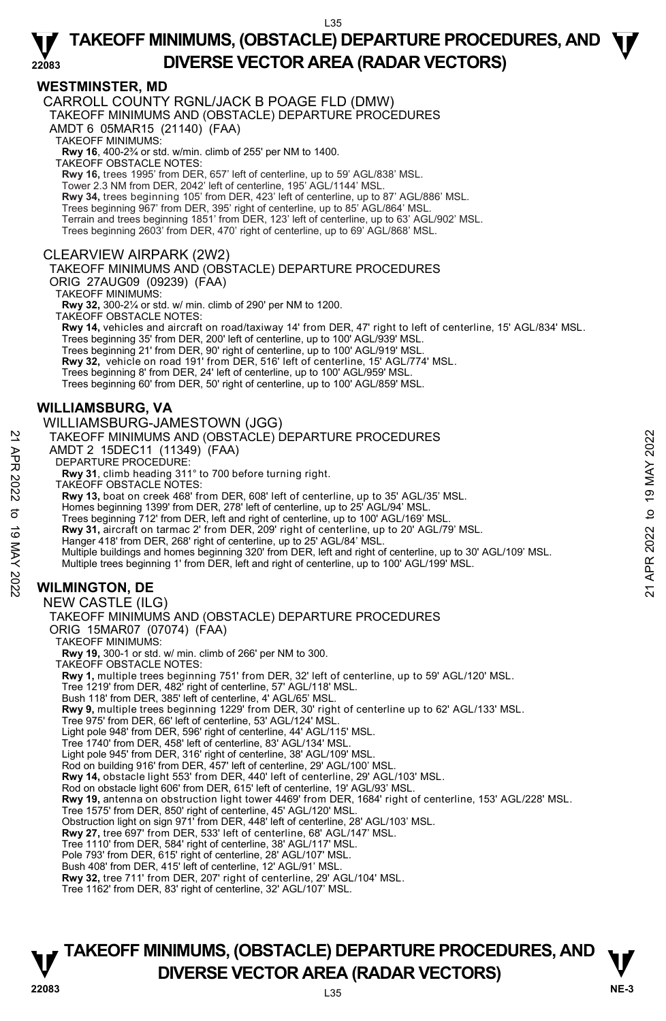#### **WESTMINSTER, MD**

**22083** 

CARROLL COUNTY RGNL/JACK B POAGE FLD (DMW)

TAKEOFF MINIMUMS AND (OBSTACLE) DEPARTURE PROCEDURES

AMDT 6 05MAR15 (21140) (FAA)

TAKEOFF MINIMUMS:

**Rwy 16**, 400-2¾ or std. w/min. climb of 255' per NM to 1400.

TAKEOFF OBSTACLE NOTES:

**Rwy 16,** trees 1995' from DER, 657' left of centerline, up to 59' AGL/838' MSL.

Tower 2.3 NM from DER, 2042' left of centerline, 195' AGL/1144' MSL.

**Rwy 34,** trees beginning 105' from DER, 423' left of centerline, up to 87' AGL/886' MSL.<br>Trees beginning 967' from DER, 395' right of centerline, up to 85' AGL/864' MSL.

Terrain and trees beginning 1851' from DER, 123' left of centerline, up to 63' AGL/902' MSL.

Trees beginning 2603' from DER, 470' right of centerline, up to 69' AGL/868' MSL.

#### CLEARVIEW AIRPARK (2W2)

TAKEOFF MINIMUMS AND (OBSTACLE) DEPARTURE PROCEDURES

ORIG 27AUG09 (09239) (FAA)

TAKEOFF MINIMUMS:

**Rwy 32,** 300-2¼ or std. w/ min. climb of 290' per NM to 1200.

TAKEOFF OBSTACLE NOTES:

**Rwy 14,** vehicles and aircraft on road/taxiway 14' from DER, 47' right to left of centerline, 15' AGL/834' MSL.

Trees beginning 35' from DER, 200' left of centerline, up to 100' AGL/939' MSL.

Trees beginning 21' from DER, 90' right of centerline, up to 100' AGL/919' MSL. **Rwy 32,** vehicle on road 191' from DER, 516' left of centerline, 15' AGL/774' MSL.

Trees beginning 8' from DER, 24' left of centerline, up to 100' AGL/959' MSL.

Trees beginning 60' from DER, 50' right of centerline, up to 100' AGL/859' MSL.

## **WILLIAMSBURG, VA**

WILLIAMSBURG-JAMESTOWN (JGG) TAKEOFF MINIMUMS AND (OBSTACLE) DEPARTURE PROCEDURES AMDT 2 15DEC11 (11349) (FAA) DEPARTURE PROCEDURE: **Rwy 31**, climb heading 311° to 700 before turning right. TAKEOFF OBSTACLE NOTES: **Rwy 13,** boat on creek 468' from DER, 608' left of centerline, up to 35' AGL/35' MSL. Homes beginning 1399' from DER, 278' left of centerline, up to 25' AGL/94' MSL. Trees beginning 712' from DER, left and right of centerline, up to 100' AGL/169' MSL. **Rwy 31,** aircraft on tarmac 2' from DER, 209' right of centerline, up to 20' AGL/79' MSL. Hanger 418' from DER, 268' right of centerline, up to 25' AGL/84' MSL. Multiple buildings and homes beginning 320' from DER, left and right of centerline, up to 30' AGL/109' MSL. Multiple trees beginning 1' from DER, left and right of centerline, up to 100' AGL/199' MSL. **WILMINGTON, DE**  NEW CASTLE (ILG) TAKEOFF MINIMUMS AND (OBSTACLE) DEPARTURE PROCEDURES ORIG 15MAR07 (07074) (FAA) TAKEOFF MINIMUMS: **Rwy 19,** 300-1 or std. w/ min. climb of 266' per NM to 300. TAKEOFF OBSTACLE NOTES: **Rwy 1,** multiple trees beginning 751' from DER, 32' left of centerline, up to 59' AGL/120' MSL. Tree 1219' from DER, 482' right of centerline, 57' AGL/118' MSL. Bush 118' from DER, 385' left of centerline, 4' AGL/65' MSL. **Rwy 9,** multiple trees beginning 1229' from DER, 30' right of centerline up to 62' AGL/133' MSL. Tree 975' from DER, 66' left of centerline, 53' AGL/124' MSL. Light pole 948' from DER, 596' right of centerline, 44' AGL/115' MSL. Tree 1740' from DER, 458' left of centerline, 83' AGL/134' MSL. Light pole 945' from DER, 316' right of centerline, 38' AGL/109' MSL. Rod on building 916' from DER, 457' left of centerline, 29' AGL/100' MSL. **Rwy 14,** obstacle light 553' from DER, 440' left of centerline, 29' AGL/103' MSL. Rod on obstacle light 606' from DER, 615' left of centerline, 19' AGL/93' MSL. **Rwy 19,** antenna on obstruction light tower 4469' from DER, 1684' right of centerline, 153' AGL/228' MSL. Tree 1575' from DER, 850' right of centerline, 45' AGL/120' MSL. Obstruction light on sign 971' from DER, 448' left of centerline, 28' AGL/103' MSL. **Rwy 27,** tree 697' from DER, 533' left of centerline, 68' AGL/147' MSL. Tree 1110' from DER, 584' right of centerline, 38' AGL/117' MSL. Pole 793' from DER, 615' right of centerline, 28' AGL/107' MSL. Bush 408' from DER, 415' left of centerline, 12' AGL/91' MSL. **Rwy 32,** tree 711' from DER, 207' right of centerline, 29' AGL/104' MSL. Tree 1162' from DER, 83' right of centerline, 32' AGL/107' MSL. TAKEOFF MINIMUMS AND (OBSTACLE) DEPARTURE PROCEDURES<br>
AMDT 2 15DEC11 (11349) (FAA)<br>
TEPARTURE PROCEDURE:<br>
Rwy 31, climb heading 311° to 700 before turning right.<br>
TAKEOFF OBSTACLE NOTES:<br>
Rwy 13, bota to recee 468' from D